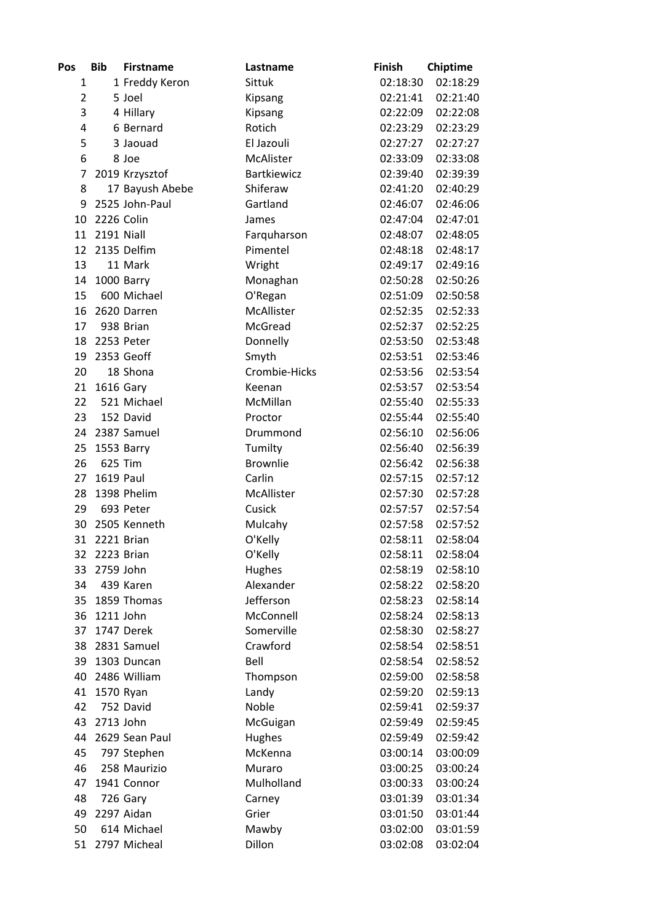| Pos            | <b>Bib</b> | <b>Firstname</b> | Lastname           | Finish   | Chiptime |
|----------------|------------|------------------|--------------------|----------|----------|
| 1              |            | 1 Freddy Keron   | Sittuk             | 02:18:30 | 02:18:29 |
| $\overline{2}$ |            | 5 Joel           | Kipsang            | 02:21:41 | 02:21:40 |
| 3              |            | 4 Hillary        | Kipsang            | 02:22:09 | 02:22:08 |
| 4              |            | 6 Bernard        | Rotich             | 02:23:29 | 02:23:29 |
| 5              |            | 3 Jaouad         | El Jazouli         | 02:27:27 | 02:27:27 |
| 6              |            | 8 Joe            | McAlister          | 02:33:09 | 02:33:08 |
| 7              |            | 2019 Krzysztof   | <b>Bartkiewicz</b> | 02:39:40 | 02:39:39 |
| 8              |            | 17 Bayush Abebe  | Shiferaw           | 02:41:20 | 02:40:29 |
| 9              |            | 2525 John-Paul   | Gartland           | 02:46:07 | 02:46:06 |
| 10             | 2226 Colin |                  | James              | 02:47:04 | 02:47:01 |
| 11             | 2191 Niall |                  | Farquharson        | 02:48:07 | 02:48:05 |
| 12             |            | 2135 Delfim      | Pimentel           | 02:48:18 | 02:48:17 |
| 13             |            | 11 Mark          | Wright             | 02:49:17 | 02:49:16 |
| 14             |            | 1000 Barry       | Monaghan           | 02:50:28 | 02:50:26 |
| 15             |            | 600 Michael      | O'Regan            | 02:51:09 | 02:50:58 |
| 16             |            | 2620 Darren      | McAllister         | 02:52:35 | 02:52:33 |
| 17             |            | 938 Brian        | McGread            | 02:52:37 | 02:52:25 |
| 18             |            | 2253 Peter       | Donnelly           | 02:53:50 | 02:53:48 |
| 19             |            | 2353 Geoff       | Smyth              | 02:53:51 | 02:53:46 |
| 20             |            | 18 Shona         | Crombie-Hicks      | 02:53:56 | 02:53:54 |
| 21             | 1616 Gary  |                  | Keenan             | 02:53:57 | 02:53:54 |
| 22             |            | 521 Michael      | McMillan           | 02:55:40 | 02:55:33 |
| 23             |            | 152 David        | Proctor            | 02:55:44 | 02:55:40 |
| 24             |            | 2387 Samuel      | Drummond           | 02:56:10 | 02:56:06 |
| 25             |            | 1553 Barry       | Tumilty            | 02:56:40 | 02:56:39 |
| 26             | 625 Tim    |                  | <b>Brownlie</b>    | 02:56:42 | 02:56:38 |
| 27             | 1619 Paul  |                  | Carlin             | 02:57:15 | 02:57:12 |
| 28             |            | 1398 Phelim      | McAllister         | 02:57:30 | 02:57:28 |
| 29             |            | 693 Peter        | Cusick             | 02:57:57 | 02:57:54 |
| 30             |            | 2505 Kenneth     | Mulcahy            | 02:57:58 | 02:57:52 |
| 31             | 2221 Brian |                  | O'Kelly            | 02:58:11 | 02:58:04 |
| 32             | 2223 Brian |                  | O'Kelly            | 02:58:11 | 02:58:04 |
| 33             | 2759 John  |                  | Hughes             | 02:58:19 | 02:58:10 |
| 34             |            | 439 Karen        | Alexander          | 02:58:22 | 02:58:20 |
| 35             |            | 1859 Thomas      | Jefferson          | 02:58:23 | 02:58:14 |
| 36             | 1211 John  |                  | McConnell          | 02:58:24 | 02:58:13 |
| 37             |            | 1747 Derek       | Somerville         | 02:58:30 | 02:58:27 |
| 38             |            | 2831 Samuel      | Crawford           | 02:58:54 | 02:58:51 |
| 39             |            | 1303 Duncan      | Bell               | 02:58:54 | 02:58:52 |
| 40             |            | 2486 William     | Thompson           | 02:59:00 | 02:58:58 |
| 41             | 1570 Ryan  |                  | Landy              | 02:59:20 | 02:59:13 |
| 42             |            | 752 David        | Noble              | 02:59:41 | 02:59:37 |
| 43             | 2713 John  |                  | McGuigan           | 02:59:49 | 02:59:45 |
| 44             |            | 2629 Sean Paul   | Hughes             | 02:59:49 | 02:59:42 |
| 45             |            |                  | McKenna            | 03:00:14 | 03:00:09 |
|                |            | 797 Stephen      | Muraro             |          |          |
| 46             |            | 258 Maurizio     |                    | 03:00:25 | 03:00:24 |
| 47             |            | 1941 Connor      | Mulholland         | 03:00:33 | 03:00:24 |
| 48             |            | 726 Gary         | Carney             | 03:01:39 | 03:01:34 |
| 49             |            | 2297 Aidan       | Grier              | 03:01:50 | 03:01:44 |
| 50             |            | 614 Michael      | Mawby              | 03:02:00 | 03:01:59 |
| 51             |            | 2797 Micheal     | Dillon             | 03:02:08 | 03:02:04 |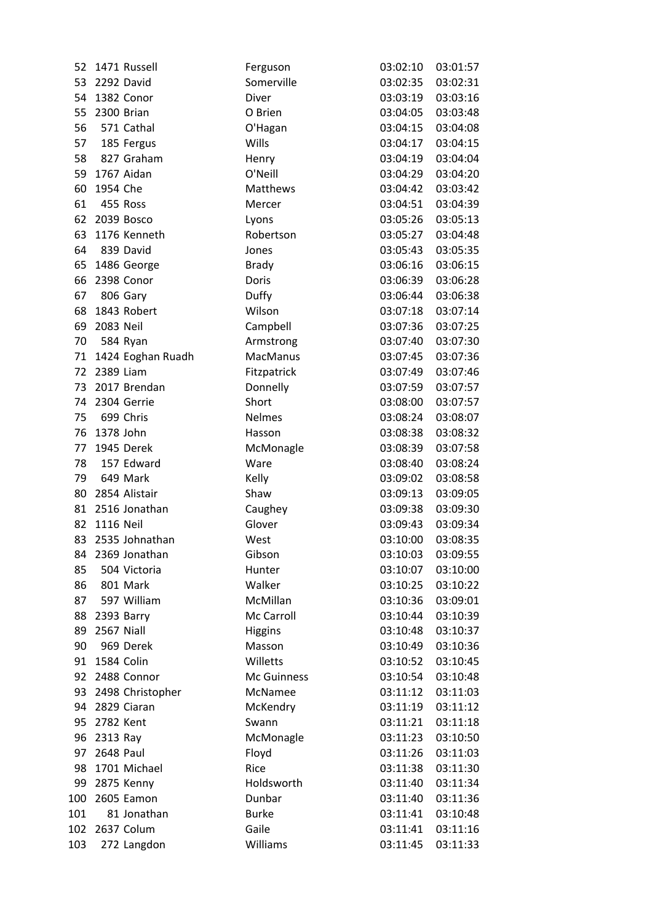| 52  |               | 1471 Russell      | Ferguson        | 03:02:10 | 03:01:57 |
|-----|---------------|-------------------|-----------------|----------|----------|
| 53  | 2292 David    |                   | Somerville      | 03:02:35 | 03:02:31 |
| 54  |               | 1382 Conor        | Diver           | 03:03:19 | 03:03:16 |
|     | 55 2300 Brian |                   | O Brien         | 03:04:05 | 03:03:48 |
| 56  |               | 571 Cathal        | O'Hagan         | 03:04:15 | 03:04:08 |
| 57  |               | 185 Fergus        | Wills           | 03:04:17 | 03:04:15 |
| 58  |               | 827 Graham        | Henry           | 03:04:19 | 03:04:04 |
| 59  |               | 1767 Aidan        | O'Neill         | 03:04:29 | 03:04:20 |
| 60  | 1954 Che      |                   | Matthews        | 03:04:42 | 03:03:42 |
| 61  |               | 455 Ross          | Mercer          | 03:04:51 | 03:04:39 |
| 62  |               | 2039 Bosco        | Lyons           | 03:05:26 | 03:05:13 |
| 63  |               | 1176 Kenneth      | Robertson       | 03:05:27 | 03:04:48 |
| 64  |               | 839 David         | Jones           | 03:05:43 | 03:05:35 |
| 65  |               | 1486 George       | <b>Brady</b>    | 03:06:16 | 03:06:15 |
| 66  |               | 2398 Conor        | Doris           | 03:06:39 | 03:06:28 |
| 67  |               | 806 Gary          | Duffy           | 03:06:44 | 03:06:38 |
| 68  |               | 1843 Robert       | Wilson          | 03:07:18 | 03:07:14 |
| 69  | 2083 Neil     |                   | Campbell        | 03:07:36 | 03:07:25 |
| 70  |               | 584 Ryan          | Armstrong       | 03:07:40 | 03:07:30 |
| 71  |               | 1424 Eoghan Ruadh | <b>MacManus</b> | 03:07:45 | 03:07:36 |
| 72  | 2389 Liam     |                   | Fitzpatrick     | 03:07:49 | 03:07:46 |
| 73  |               | 2017 Brendan      | Donnelly        | 03:07:59 | 03:07:57 |
| 74  |               | 2304 Gerrie       | Short           | 03:08:00 | 03:07:57 |
| 75  |               | 699 Chris         | <b>Nelmes</b>   | 03:08:24 | 03:08:07 |
| 76  | 1378 John     |                   | Hasson          | 03:08:38 | 03:08:32 |
| 77  |               | 1945 Derek        | McMonagle       | 03:08:39 | 03:07:58 |
| 78  |               | 157 Edward        | Ware            | 03:08:40 | 03:08:24 |
| 79  |               | 649 Mark          | Kelly           | 03:09:02 | 03:08:58 |
| 80  |               | 2854 Alistair     | Shaw            | 03:09:13 | 03:09:05 |
| 81  |               | 2516 Jonathan     | Caughey         | 03:09:38 | 03:09:30 |
| 82  | 1116 Neil     |                   | Glover          | 03:09:43 | 03:09:34 |
| 83  |               | 2535 Johnathan    | West            | 03:10:00 | 03:08:35 |
| 84  |               | 2369 Jonathan     | Gibson          | 03:10:03 | 03:09:55 |
| 85  |               | 504 Victoria      | Hunter          | 03:10:07 | 03:10:00 |
| 86  |               | 801 Mark          | Walker          | 03:10:25 | 03:10:22 |
| 87  |               | 597 William       | McMillan        | 03:10:36 | 03:09:01 |
| 88  | 2393 Barry    |                   | Mc Carroll      | 03:10:44 | 03:10:39 |
| 89  | 2567 Niall    |                   | <b>Higgins</b>  | 03:10:48 | 03:10:37 |
| 90  |               | 969 Derek         | Masson          | 03:10:49 | 03:10:36 |
| 91  | 1584 Colin    |                   | Willetts        | 03:10:52 | 03:10:45 |
|     |               | 92 2488 Connor    | Mc Guinness     | 03:10:54 | 03:10:48 |
| 93  |               | 2498 Christopher  | McNamee         | 03:11:12 | 03:11:03 |
|     |               | 94 2829 Ciaran    | McKendry        | 03:11:19 | 03:11:12 |
|     | 95 2782 Kent  |                   | Swann           | 03:11:21 | 03:11:18 |
| 96  | 2313 Ray      |                   | McMonagle       | 03:11:23 | 03:10:50 |
| 97  | 2648 Paul     |                   | Floyd           | 03:11:26 | 03:11:03 |
| 98  |               | 1701 Michael      | Rice            | 03:11:38 | 03:11:30 |
| 99  |               | 2875 Kenny        | Holdsworth      | 03:11:40 | 03:11:34 |
| 100 |               | 2605 Eamon        | Dunbar          | 03:11:40 | 03:11:36 |
| 101 |               | 81 Jonathan       | <b>Burke</b>    | 03:11:41 | 03:10:48 |
| 102 |               | 2637 Colum        | Gaile           | 03:11:41 | 03:11:16 |
| 103 |               | 272 Langdon       | Williams        | 03:11:45 | 03:11:33 |
|     |               |                   |                 |          |          |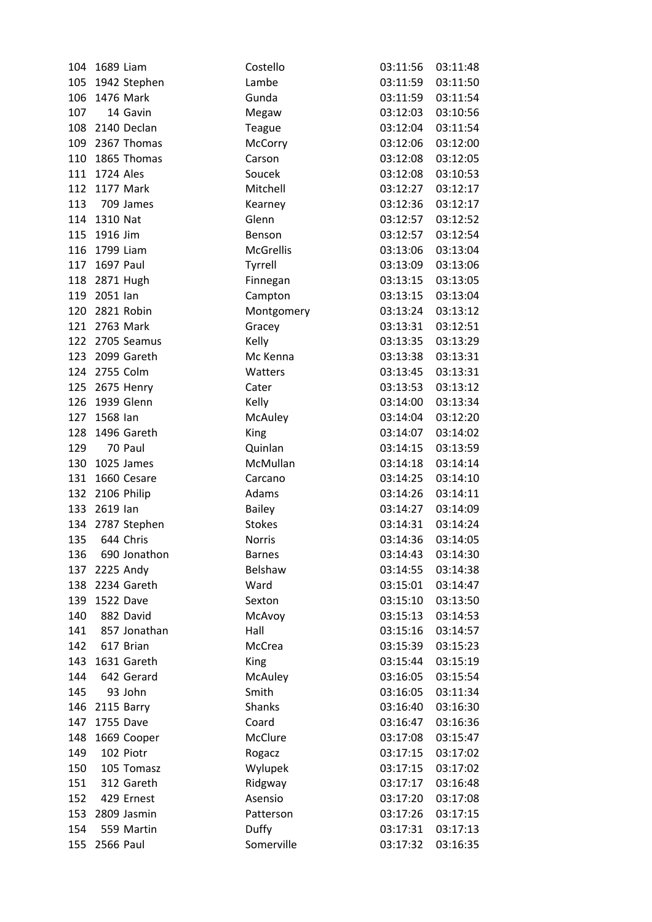| 104 | 1689 Liam       |                  | Costello         | 03:11:56          | 03:11:48 |
|-----|-----------------|------------------|------------------|-------------------|----------|
|     |                 | 105 1942 Stephen | Lambe            | 03:11:59          | 03:11:50 |
| 106 | 1476 Mark       |                  | Gunda            | 03:11:59          | 03:11:54 |
| 107 |                 | 14 Gavin         | Megaw            | 03:12:03          | 03:10:56 |
|     |                 | 108 2140 Declan  | Teague           | 03:12:04          | 03:11:54 |
| 109 |                 | 2367 Thomas      | McCorry          | 03:12:06          | 03:12:00 |
| 110 |                 | 1865 Thomas      | Carson           | 03:12:08          | 03:12:05 |
|     | 111 1724 Ales   |                  | Soucek           | 03:12:08          | 03:10:53 |
| 112 | 1177 Mark       |                  | Mitchell         | 03:12:27          | 03:12:17 |
| 113 |                 | 709 James        | Kearney          | 03:12:36          | 03:12:17 |
|     | 114 1310 Nat    |                  | Glenn            | 03:12:57          | 03:12:52 |
| 115 | 1916 Jim        |                  | Benson           | 03:12:57          | 03:12:54 |
| 116 | 1799 Liam       |                  | <b>McGrellis</b> | 03:13:06          | 03:13:04 |
|     | 117 1697 Paul   |                  | Tyrrell          | 03:13:09          | 03:13:06 |
| 118 | 2871 Hugh       |                  | Finnegan         | 03:13:15          | 03:13:05 |
|     | 119 2051 lan    |                  | Campton          | 03:13:15          | 03:13:04 |
| 120 |                 | 2821 Robin       | Montgomery       | 03:13:24          | 03:13:12 |
| 121 | 2763 Mark       |                  | Gracey           | 03:13:31          | 03:12:51 |
| 122 |                 | 2705 Seamus      | Kelly            | 03:13:35          | 03:13:29 |
| 123 |                 | 2099 Gareth      | Mc Kenna         | 03:13:38          | 03:13:31 |
|     | 124 2755 Colm   |                  | Watters          | 03:13:45          | 03:13:31 |
|     |                 | 125 2675 Henry   | Cater            | 03:13:53          | 03:13:12 |
| 126 |                 | 1939 Glenn       | Kelly            | 03:14:00          | 03:13:34 |
| 127 | 1568 lan        |                  | McAuley          | 03:14:04          | 03:12:20 |
| 128 |                 | 1496 Gareth      | King             | 03:14:07          | 03:14:02 |
| 129 |                 | 70 Paul          | Quinlan          | 03:14:15          | 03:13:59 |
| 130 |                 | 1025 James       | McMullan         | 03:14:18          | 03:14:14 |
| 131 |                 | 1660 Cesare      | Carcano          | 03:14:25          | 03:14:10 |
|     | 132 2106 Philip |                  | Adams            | 03:14:26          | 03:14:11 |
| 133 | 2619 lan        |                  | <b>Bailey</b>    | 03:14:27          | 03:14:09 |
| 134 |                 | 2787 Stephen     | <b>Stokes</b>    | 03:14:31          | 03:14:24 |
| 135 |                 | 644 Chris        | Norris           | 03:14:36          | 03:14:05 |
|     |                 | 136 690 Jonathon | <b>Barnes</b>    | 03:14:43 03:14:30 |          |
| 137 |                 | 2225 Andy        | Belshaw          | 03:14:55          | 03:14:38 |
| 138 |                 | 2234 Gareth      | Ward             | 03:15:01          | 03:14:47 |
| 139 | 1522 Dave       |                  | Sexton           | 03:15:10          | 03:13:50 |
| 140 |                 | 882 David        | McAvoy           | 03:15:13          | 03:14:53 |
| 141 |                 | 857 Jonathan     | Hall             | 03:15:16          | 03:14:57 |
| 142 |                 | 617 Brian        | McCrea           | 03:15:39          | 03:15:23 |
| 143 |                 | 1631 Gareth      | King             | 03:15:44          | 03:15:19 |
| 144 |                 | 642 Gerard       | McAuley          | 03:16:05          | 03:15:54 |
| 145 |                 | 93 John          | Smith            | 03:16:05          | 03:11:34 |
| 146 |                 | 2115 Barry       | Shanks           | 03:16:40          | 03:16:30 |
| 147 | 1755 Dave       |                  | Coard            | 03:16:47          | 03:16:36 |
| 148 |                 | 1669 Cooper      | McClure          | 03:17:08          | 03:15:47 |
| 149 |                 | 102 Piotr        | Rogacz           | 03:17:15          | 03:17:02 |
| 150 |                 | 105 Tomasz       | Wylupek          | 03:17:15          | 03:17:02 |
| 151 |                 | 312 Gareth       | Ridgway          | 03:17:17          | 03:16:48 |
| 152 |                 | 429 Ernest       | Asensio          | 03:17:20          | 03:17:08 |
|     |                 | 153 2809 Jasmin  | Patterson        | 03:17:26          | 03:17:15 |
| 154 |                 | 559 Martin       | Duffy            | 03:17:31          | 03:17:13 |
| 155 | 2566 Paul       |                  | Somerville       | 03:17:32          | 03:16:35 |
|     |                 |                  |                  |                   |          |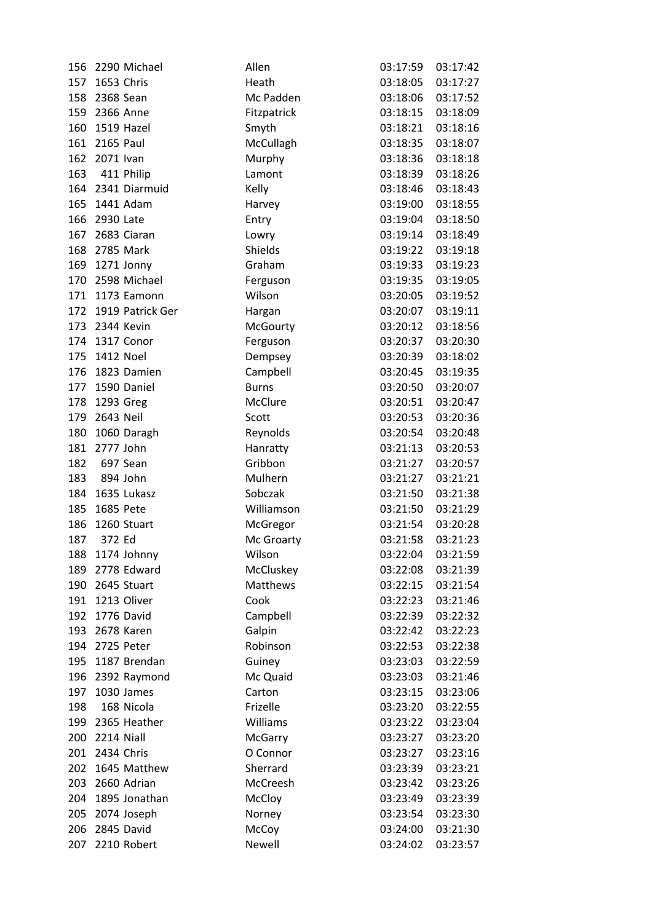| 156 | 2290 Michael         | Allen          | 03:17:59 | 03:17:42 |
|-----|----------------------|----------------|----------|----------|
| 157 | 1653 Chris           | Heath          | 03:18:05 | 03:17:27 |
|     | 158 2368 Sean        | Mc Padden      | 03:18:06 | 03:17:52 |
|     | 159 2366 Anne        | Fitzpatrick    | 03:18:15 | 03:18:09 |
| 160 | 1519 Hazel           | Smyth          | 03:18:21 | 03:18:16 |
| 161 | 2165 Paul            | McCullagh      | 03:18:35 | 03:18:07 |
| 162 | 2071 Ivan            | Murphy         | 03:18:36 | 03:18:18 |
|     | 163 411 Philip       | Lamont         | 03:18:39 | 03:18:26 |
|     | 164 2341 Diarmuid    | Kelly          | 03:18:46 | 03:18:43 |
|     | 165 1441 Adam        | Harvey         | 03:19:00 | 03:18:55 |
| 166 | 2930 Late            | Entry          | 03:19:04 | 03:18:50 |
| 167 | 2683 Ciaran          | Lowry          | 03:19:14 | 03:18:49 |
| 168 | 2785 Mark            | Shields        | 03:19:22 | 03:19:18 |
|     | 169 1271 Jonny       | Graham         | 03:19:33 | 03:19:23 |
| 170 | 2598 Michael         | Ferguson       | 03:19:35 | 03:19:05 |
|     | 171 1173 Eamonn      | Wilson         | 03:20:05 | 03:19:52 |
|     | 172 1919 Patrick Ger | Hargan         | 03:20:07 | 03:19:11 |
|     | 173 2344 Kevin       | McGourty       | 03:20:12 | 03:18:56 |
| 174 | 1317 Conor           | Ferguson       | 03:20:37 | 03:20:30 |
| 175 | 1412 Noel            | Dempsey        | 03:20:39 | 03:18:02 |
| 176 | 1823 Damien          | Campbell       | 03:20:45 | 03:19:35 |
| 177 | 1590 Daniel          | <b>Burns</b>   | 03:20:50 | 03:20:07 |
| 178 | 1293 Greg            | McClure        | 03:20:51 | 03:20:47 |
| 179 | 2643 Neil            | Scott          | 03:20:53 | 03:20:36 |
| 180 | 1060 Daragh          | Reynolds       | 03:20:54 | 03:20:48 |
|     | 181 2777 John        | Hanratty       | 03:21:13 | 03:20:53 |
| 182 | 697 Sean             | Gribbon        | 03:21:27 | 03:20:57 |
|     | 183 894 John         | Mulhern        | 03:21:27 | 03:21:21 |
|     | 184 1635 Lukasz      | Sobczak        | 03:21:50 | 03:21:38 |
| 185 | 1685 Pete            | Williamson     | 03:21:50 | 03:21:29 |
| 186 | 1260 Stuart          | McGregor       | 03:21:54 | 03:20:28 |
| 187 | 372 Ed               | Mc Groarty     | 03:21:58 | 03:21:23 |
|     | 188 1174 Johnny      | Wilson         | 03:22:04 | 03:21:59 |
| 189 | 2778 Edward          | McCluskey      | 03:22:08 | 03:21:39 |
| 190 | 2645 Stuart          | Matthews       | 03:22:15 | 03:21:54 |
| 191 | 1213 Oliver          | Cook           | 03:22:23 | 03:21:46 |
| 192 | 1776 David           | Campbell       | 03:22:39 | 03:22:32 |
|     | 193 2678 Karen       | Galpin         | 03:22:42 | 03:22:23 |
|     | 194 2725 Peter       | Robinson       | 03:22:53 | 03:22:38 |
| 195 | 1187 Brendan         | Guiney         | 03:23:03 | 03:22:59 |
| 196 | 2392 Raymond         | Mc Quaid       | 03:23:03 | 03:21:46 |
| 197 | 1030 James           | Carton         | 03:23:15 | 03:23:06 |
| 198 | 168 Nicola           | Frizelle       |          |          |
|     |                      | Williams       | 03:23:20 | 03:22:55 |
|     | 199 2365 Heather     |                | 03:23:22 | 03:23:04 |
| 200 | 2214 Niall           | <b>McGarry</b> | 03:23:27 | 03:23:20 |
| 201 | 2434 Chris           | O Connor       | 03:23:27 | 03:23:16 |
| 202 | 1645 Matthew         | Sherrard       | 03:23:39 | 03:23:21 |
| 203 | 2660 Adrian          | McCreesh       | 03:23:42 | 03:23:26 |
| 204 | 1895 Jonathan        | McCloy         | 03:23:49 | 03:23:39 |
| 205 | 2074 Joseph          | Norney         | 03:23:54 | 03:23:30 |
| 206 | 2845 David           | McCoy          | 03:24:00 | 03:21:30 |
| 207 | 2210 Robert          | Newell         | 03:24:02 | 03:23:57 |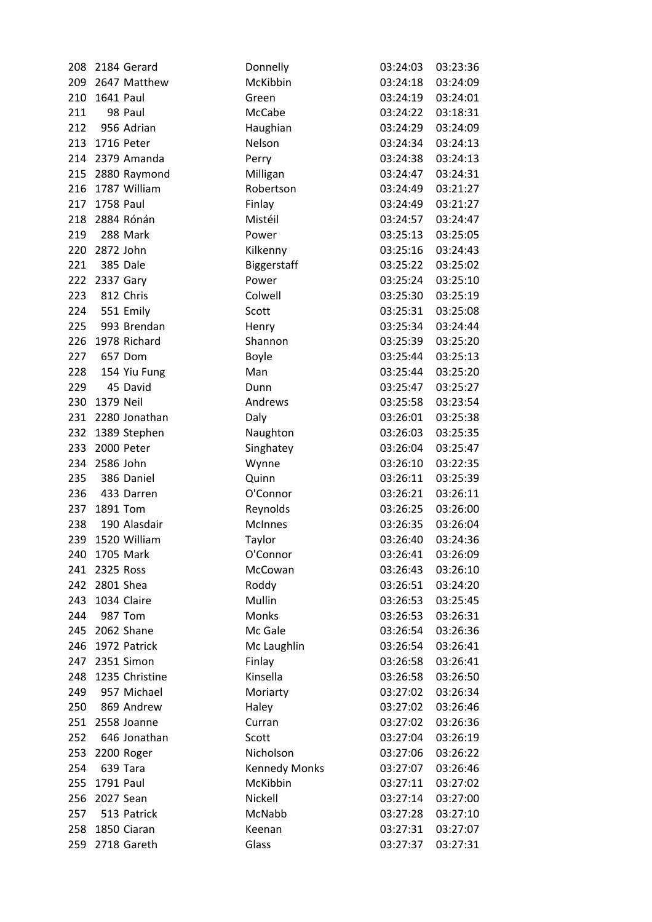| 208 |               | 2184 Gerard     | Donnelly             | 03:24:03          | 03:23:36 |
|-----|---------------|-----------------|----------------------|-------------------|----------|
| 209 |               | 2647 Matthew    | McKibbin             | 03:24:18          | 03:24:09 |
| 210 | 1641 Paul     |                 | Green                | 03:24:19          | 03:24:01 |
| 211 |               | 98 Paul         | McCabe               | 03:24:22          | 03:18:31 |
| 212 |               | 956 Adrian      | Haughian             | 03:24:29          | 03:24:09 |
| 213 |               | 1716 Peter      | Nelson               | 03:24:34          | 03:24:13 |
| 214 |               | 2379 Amanda     | Perry                | 03:24:38          | 03:24:13 |
| 215 |               | 2880 Raymond    | Milligan             | 03:24:47          | 03:24:31 |
| 216 |               | 1787 William    | Robertson            | 03:24:49          | 03:21:27 |
| 217 | 1758 Paul     |                 | Finlay               | 03:24:49          | 03:21:27 |
| 218 |               | 2884 Rónán      | Mistéil              | 03:24:57          | 03:24:47 |
| 219 |               | 288 Mark        | Power                | 03:25:13          | 03:25:05 |
| 220 | 2872 John     |                 | Kilkenny             | 03:25:16          | 03:24:43 |
| 221 |               | 385 Dale        | Biggerstaff          | 03:25:22          | 03:25:02 |
| 222 | 2337 Gary     |                 | Power                | 03:25:24          | 03:25:10 |
| 223 |               | 812 Chris       | Colwell              | 03:25:30          | 03:25:19 |
| 224 |               | 551 Emily       | Scott                | 03:25:31          | 03:25:08 |
| 225 |               | 993 Brendan     | Henry                | 03:25:34          | 03:24:44 |
| 226 |               | 1978 Richard    | Shannon              | 03:25:39          | 03:25:20 |
| 227 |               | 657 Dom         | Boyle                | 03:25:44          | 03:25:13 |
| 228 |               | 154 Yiu Fung    | Man                  | 03:25:44          | 03:25:20 |
| 229 |               | 45 David        | Dunn                 | 03:25:47          | 03:25:27 |
| 230 | 1379 Neil     |                 | Andrews              | 03:25:58          | 03:23:54 |
| 231 |               | 2280 Jonathan   | Daly                 | 03:26:01          | 03:25:38 |
| 232 |               | 1389 Stephen    | Naughton             | 03:26:03          | 03:25:35 |
| 233 |               | 2000 Peter      | Singhatey            | 03:26:04          | 03:25:47 |
| 234 | 2586 John     |                 | Wynne                | 03:26:10          | 03:22:35 |
| 235 |               | 386 Daniel      | Quinn                | 03:26:11          | 03:25:39 |
| 236 |               | 433 Darren      | O'Connor             | 03:26:21          | 03:26:11 |
| 237 | 1891 Tom      |                 | Reynolds             | 03:26:25          | 03:26:00 |
| 238 |               | 190 Alasdair    | <b>McInnes</b>       | 03:26:35          | 03:26:04 |
| 239 |               | 1520 William    | Taylor               | 03:26:40          | 03:24:36 |
|     | 240 1705 Mark |                 | O'Connor             | 03:26:41 03:26:09 |          |
| 241 | 2325 Ross     |                 | McCowan              | 03:26:43          | 03:26:10 |
| 242 | 2801 Shea     |                 | Roddy                | 03:26:51          | 03:24:20 |
| 243 |               | 1034 Claire     | Mullin               | 03:26:53          | 03:25:45 |
| 244 |               | 987 Tom         | Monks                | 03:26:53          | 03:26:31 |
| 245 |               | 2062 Shane      | Mc Gale              | 03:26:54          | 03:26:36 |
| 246 |               | 1972 Patrick    | Mc Laughlin          | 03:26:54          | 03:26:41 |
| 247 |               | 2351 Simon      | Finlay               | 03:26:58          | 03:26:41 |
| 248 |               | 1235 Christine  | Kinsella             | 03:26:58          | 03:26:50 |
| 249 |               | 957 Michael     | Moriarty             | 03:27:02          | 03:26:34 |
| 250 |               | 869 Andrew      | Haley                | 03:27:02          | 03:26:46 |
|     |               | 251 2558 Joanne | Curran               | 03:27:02          | 03:26:36 |
| 252 |               | 646 Jonathan    | Scott                | 03:27:04          | 03:26:19 |
| 253 |               | 2200 Roger      | Nicholson            | 03:27:06          | 03:26:22 |
| 254 |               | 639 Tara        | <b>Kennedy Monks</b> | 03:27:07          | 03:26:46 |
| 255 | 1791 Paul     |                 | McKibbin             | 03:27:11          | 03:27:02 |
| 256 | 2027 Sean     |                 | Nickell              | 03:27:14          | 03:27:00 |
| 257 |               | 513 Patrick     | McNabb               | 03:27:28          | 03:27:10 |
| 258 |               | 1850 Ciaran     | Keenan               | 03:27:31          | 03:27:07 |
|     |               | 259 2718 Gareth | Glass                | 03:27:37          | 03:27:31 |
|     |               |                 |                      |                   |          |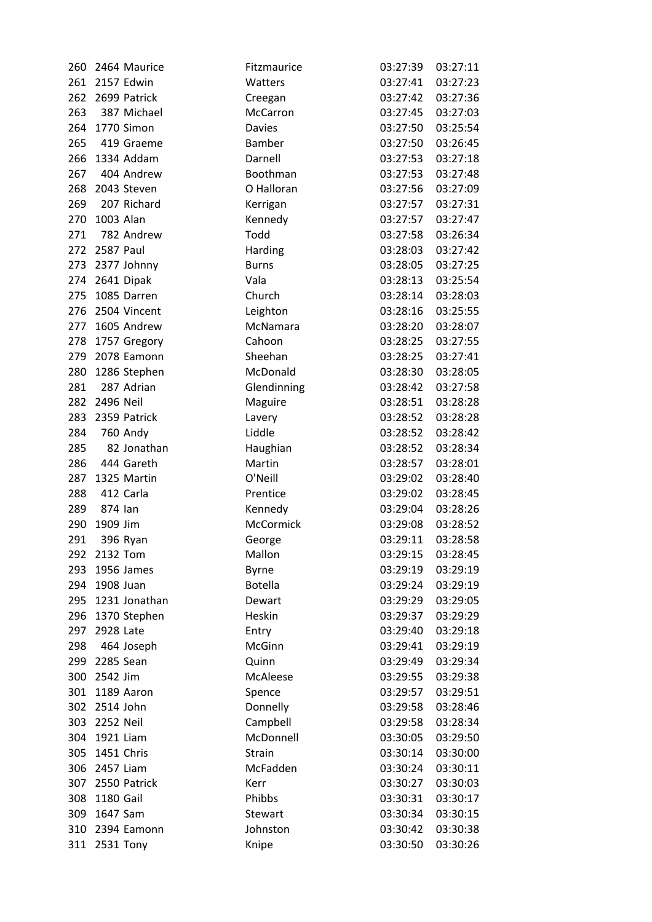| 260 |               | 2464 Maurice    | Fitzmaurice    | 03:27:39 | 03:27:11 |
|-----|---------------|-----------------|----------------|----------|----------|
| 261 |               | 2157 Edwin      | Watters        | 03:27:41 | 03:27:23 |
| 262 |               | 2699 Patrick    | Creegan        | 03:27:42 | 03:27:36 |
| 263 |               | 387 Michael     | McCarron       | 03:27:45 | 03:27:03 |
|     |               | 264 1770 Simon  | <b>Davies</b>  | 03:27:50 | 03:25:54 |
| 265 |               | 419 Graeme      | Bamber         | 03:27:50 | 03:26:45 |
| 266 |               | 1334 Addam      | Darnell        | 03:27:53 | 03:27:18 |
| 267 |               | 404 Andrew      | Boothman       | 03:27:53 | 03:27:48 |
| 268 |               | 2043 Steven     | O Halloran     | 03:27:56 | 03:27:09 |
| 269 |               | 207 Richard     | Kerrigan       | 03:27:57 | 03:27:31 |
| 270 | 1003 Alan     |                 | Kennedy        | 03:27:57 | 03:27:47 |
| 271 |               | 782 Andrew      | Todd           | 03:27:58 | 03:26:34 |
| 272 | 2587 Paul     |                 | Harding        | 03:28:03 | 03:27:42 |
| 273 |               | 2377 Johnny     | <b>Burns</b>   | 03:28:05 | 03:27:25 |
| 274 |               | 2641 Dipak      | Vala           | 03:28:13 | 03:25:54 |
| 275 |               | 1085 Darren     | Church         | 03:28:14 | 03:28:03 |
| 276 |               | 2504 Vincent    | Leighton       | 03:28:16 | 03:25:55 |
| 277 |               | 1605 Andrew     | McNamara       | 03:28:20 | 03:28:07 |
| 278 |               | 1757 Gregory    | Cahoon         | 03:28:25 | 03:27:55 |
| 279 |               | 2078 Eamonn     | Sheehan        | 03:28:25 | 03:27:41 |
| 280 |               | 1286 Stephen    | McDonald       | 03:28:30 | 03:28:05 |
| 281 |               | 287 Adrian      | Glendinning    | 03:28:42 | 03:27:58 |
|     | 282 2496 Neil |                 | Maguire        | 03:28:51 | 03:28:28 |
| 283 |               | 2359 Patrick    | Lavery         | 03:28:52 | 03:28:28 |
| 284 |               | <b>760 Andy</b> | Liddle         | 03:28:52 | 03:28:42 |
| 285 |               | 82 Jonathan     | Haughian       | 03:28:52 | 03:28:34 |
| 286 |               | 444 Gareth      | Martin         | 03:28:57 | 03:28:01 |
| 287 |               | 1325 Martin     | O'Neill        | 03:29:02 | 03:28:40 |
| 288 |               | 412 Carla       | Prentice       | 03:29:02 | 03:28:45 |
| 289 | 874 lan       |                 | Kennedy        | 03:29:04 | 03:28:26 |
| 290 | 1909 Jim      |                 | McCormick      | 03:29:08 | 03:28:52 |
| 291 |               | 396 Ryan        | George         | 03:29:11 | 03:28:58 |
|     | 292 2132 Tom  |                 | Mallon         | 03:29:15 | 03:28:45 |
| 293 |               | 1956 James      | Byrne          | 03:29:19 | 03:29:19 |
| 294 | 1908 Juan     |                 | <b>Botella</b> | 03:29:24 | 03:29:19 |
| 295 |               | 1231 Jonathan   | Dewart         | 03:29:29 | 03:29:05 |
| 296 |               | 1370 Stephen    | Heskin         | 03:29:37 | 03:29:29 |
| 297 | 2928 Late     |                 | Entry          | 03:29:40 | 03:29:18 |
| 298 |               | 464 Joseph      | McGinn         | 03:29:41 | 03:29:19 |
| 299 | 2285 Sean     |                 | Quinn          | 03:29:49 | 03:29:34 |
| 300 | 2542 Jim      |                 | McAleese       | 03:29:55 | 03:29:38 |
| 301 |               | 1189 Aaron      | Spence         | 03:29:57 | 03:29:51 |
|     | 302 2514 John |                 | Donnelly       | 03:29:58 | 03:28:46 |
|     | 303 2252 Neil |                 | Campbell       | 03:29:58 | 03:28:34 |
|     | 304 1921 Liam |                 | McDonnell      | 03:30:05 | 03:29:50 |
| 305 |               | 1451 Chris      | Strain         | 03:30:14 | 03:30:00 |
| 306 | 2457 Liam     |                 | McFadden       | 03:30:24 | 03:30:11 |
| 307 |               | 2550 Patrick    | Kerr           | 03:30:27 | 03:30:03 |
| 308 | 1180 Gail     |                 | Phibbs         | 03:30:31 | 03:30:17 |
| 309 | 1647 Sam      |                 | Stewart        | 03:30:34 | 03:30:15 |
| 310 |               | 2394 Eamonn     | Johnston       | 03:30:42 | 03:30:38 |
|     | 311 2531 Tony |                 | Knipe          | 03:30:50 | 03:30:26 |
|     |               |                 |                |          |          |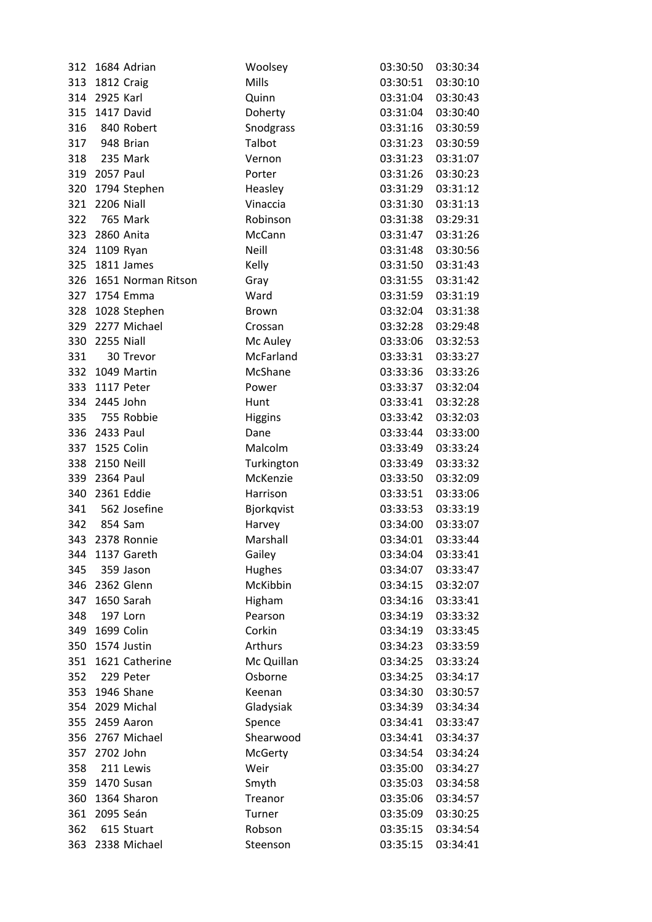| 312 | 1684 Adrian        | Woolsey        | 03:30:50          | 03:30:34 |
|-----|--------------------|----------------|-------------------|----------|
|     | 313 1812 Craig     | Mills          | 03:30:51          | 03:30:10 |
|     | 314 2925 Karl      | Quinn          | 03:31:04          | 03:30:43 |
|     | 315 1417 David     | Doherty        | 03:31:04          | 03:30:40 |
| 316 | 840 Robert         | Snodgrass      | 03:31:16          | 03:30:59 |
|     | 317 948 Brian      | Talbot         | 03:31:23          | 03:30:59 |
|     | 318 235 Mark       | Vernon         | 03:31:23          | 03:31:07 |
|     | 319 2057 Paul      | Porter         | 03:31:26          | 03:30:23 |
| 320 | 1794 Stephen       | Heasley        | 03:31:29          | 03:31:12 |
|     | 321 2206 Niall     | Vinaccia       | 03:31:30          | 03:31:13 |
| 322 | 765 Mark           | Robinson       | 03:31:38          | 03:29:31 |
| 323 | 2860 Anita         | McCann         | 03:31:47          | 03:31:26 |
|     | 324 1109 Ryan      | Neill          | 03:31:48          | 03:30:56 |
|     | 325 1811 James     | Kelly          | 03:31:50          | 03:31:43 |
| 326 | 1651 Norman Ritson | Gray           | 03:31:55          | 03:31:42 |
|     | 327 1754 Emma      | Ward           | 03:31:59          | 03:31:19 |
|     | 328 1028 Stephen   | <b>Brown</b>   | 03:32:04          | 03:31:38 |
| 329 | 2277 Michael       | Crossan        | 03:32:28          | 03:29:48 |
| 330 | 2255 Niall         | Mc Auley       | 03:33:06          | 03:32:53 |
| 331 | 30 Trevor          | McFarland      | 03:33:31          | 03:33:27 |
| 332 | 1049 Martin        | McShane        | 03:33:36          | 03:33:26 |
|     | 333 1117 Peter     | Power          | 03:33:37          | 03:32:04 |
|     | 334 2445 John      | Hunt           | 03:33:41          | 03:32:28 |
| 335 | 755 Robbie         | Higgins        | 03:33:42          | 03:32:03 |
|     | 336 2433 Paul      | Dane           | 03:33:44          | 03:33:00 |
|     | 337 1525 Colin     | Malcolm        | 03:33:49          | 03:33:24 |
| 338 | 2150 Neill         | Turkington     | 03:33:49          | 03:33:32 |
|     | 339 2364 Paul      | McKenzie       | 03:33:50          | 03:32:09 |
|     | 340 2361 Eddie     | Harrison       | 03:33:51          | 03:33:06 |
|     | 341 562 Josefine   | Bjorkqvist     | 03:33:53          | 03:33:19 |
|     | 342 854 Sam        | Harvey         | 03:34:00          | 03:33:07 |
|     | 343 2378 Ronnie    | Marshall       | 03:34:01          | 03:33:44 |
|     | 344 1137 Gareth    | Gailey         | 03:34:04 03:33:41 |          |
| 345 | 359 Jason          | Hughes         | 03:34:07          | 03:33:47 |
|     | 346 2362 Glenn     | McKibbin       | 03:34:15          | 03:32:07 |
| 347 | 1650 Sarah         | Higham         | 03:34:16          | 03:33:41 |
| 348 | 197 Lorn           | Pearson        | 03:34:19          | 03:33:32 |
|     | 349 1699 Colin     | Corkin         | 03:34:19          | 03:33:45 |
|     | 350 1574 Justin    | Arthurs        | 03:34:23          | 03:33:59 |
| 351 | 1621 Catherine     | Mc Quillan     | 03:34:25          | 03:33:24 |
| 352 | 229 Peter          | Osborne        | 03:34:25          | 03:34:17 |
|     | 353 1946 Shane     | Keenan         | 03:34:30          | 03:30:57 |
| 354 | 2029 Michal        | Gladysiak      | 03:34:39          | 03:34:34 |
|     | 355 2459 Aaron     | Spence         | 03:34:41          | 03:33:47 |
| 356 | 2767 Michael       | Shearwood      | 03:34:41          | 03:34:37 |
| 357 | 2702 John          | <b>McGerty</b> | 03:34:54          | 03:34:24 |
| 358 | 211 Lewis          | Weir           | 03:35:00          | 03:34:27 |
|     | 359 1470 Susan     | Smyth          | 03:35:03          | 03:34:58 |
| 360 | 1364 Sharon        | Treanor        | 03:35:06          | 03:34:57 |
|     | 361 2095 Seán      | Turner         | 03:35:09          | 03:30:25 |
| 362 | 615 Stuart         | Robson         | 03:35:15          | 03:34:54 |
| 363 | 2338 Michael       | Steenson       | 03:35:15          | 03:34:41 |
|     |                    |                |                   |          |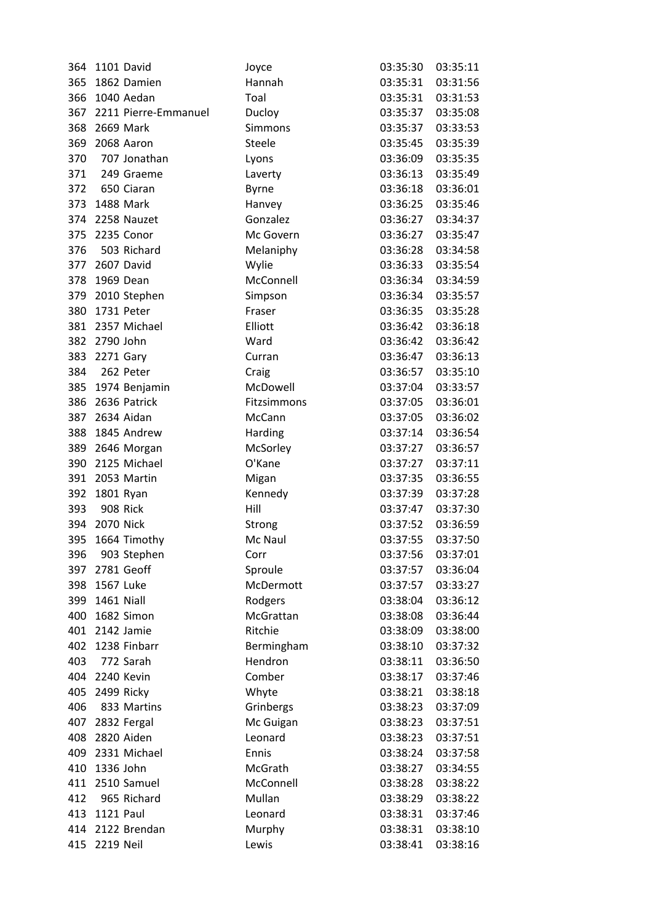| 364 |                | 1101 David               | Joyce        | 03:35:30          | 03:35:11 |
|-----|----------------|--------------------------|--------------|-------------------|----------|
| 365 |                | 1862 Damien              | Hannah       | 03:35:31          | 03:31:56 |
| 366 |                | 1040 Aedan               | Toal         | 03:35:31          | 03:31:53 |
|     |                | 367 2211 Pierre-Emmanuel | Ducloy       | 03:35:37          | 03:35:08 |
| 368 | 2669 Mark      |                          | Simmons      | 03:35:37          | 03:33:53 |
| 369 |                | 2068 Aaron               | Steele       | 03:35:45          | 03:35:39 |
| 370 |                | 707 Jonathan             | Lyons        | 03:36:09          | 03:35:35 |
| 371 |                | 249 Graeme               | Laverty      | 03:36:13          | 03:35:49 |
| 372 |                | 650 Ciaran               | <b>Byrne</b> | 03:36:18          | 03:36:01 |
|     | 373 1488 Mark  |                          | Hanvey       | 03:36:25          | 03:35:46 |
|     |                | 374 2258 Nauzet          | Gonzalez     | 03:36:27          | 03:34:37 |
| 375 |                | 2235 Conor               | Mc Govern    | 03:36:27          | 03:35:47 |
| 376 |                | 503 Richard              | Melaniphy    | 03:36:28          | 03:34:58 |
| 377 | 2607 David     |                          | Wylie        | 03:36:33          | 03:35:54 |
| 378 | 1969 Dean      |                          | McConnell    | 03:36:34          | 03:34:59 |
|     |                | 379 2010 Stephen         | Simpson      | 03:36:34          | 03:35:57 |
| 380 | 1731 Peter     |                          | Fraser       | 03:36:35          | 03:35:28 |
| 381 |                | 2357 Michael             | Elliott      | 03:36:42          | 03:36:18 |
| 382 | 2790 John      |                          | Ward         | 03:36:42          | 03:36:42 |
| 383 | 2271 Gary      |                          | Curran       | 03:36:47          | 03:36:13 |
| 384 | 262 Peter      |                          | Craig        | 03:36:57          | 03:35:10 |
|     |                | 385 1974 Benjamin        | McDowell     | 03:37:04          | 03:33:57 |
| 386 |                | 2636 Patrick             | Fitzsimmons  | 03:37:05          | 03:36:01 |
| 387 |                | 2634 Aidan               | McCann       | 03:37:05          | 03:36:02 |
| 388 |                | 1845 Andrew              | Harding      | 03:37:14          | 03:36:54 |
|     |                | 389 2646 Morgan          | McSorley     | 03:37:27          | 03:36:57 |
| 390 |                | 2125 Michael             | O'Kane       | 03:37:27          | 03:37:11 |
|     |                | 391 2053 Martin          | Migan        | 03:37:35          | 03:36:55 |
| 392 | 1801 Ryan      |                          | Kennedy      | 03:37:39          | 03:37:28 |
| 393 |                | 908 Rick                 | Hill         | 03:37:47          | 03:37:30 |
|     | 394 2070 Nick  |                          | Strong       | 03:37:52          | 03:36:59 |
|     |                | 395 1664 Timothy         | Mc Naul      | 03:37:55          | 03:37:50 |
|     |                | 396 903 Stephen          | Corr         | 03:37:56 03:37:01 |          |
| 397 |                | 2781 Geoff               | Sproule      | 03:37:57          | 03:36:04 |
| 398 | 1567 Luke      |                          | McDermott    | 03:37:57          | 03:33:27 |
| 399 | 1461 Niall     |                          | Rodgers      | 03:38:04          | 03:36:12 |
| 400 |                | 1682 Simon               | McGrattan    | 03:38:08          | 03:36:44 |
|     |                | 401 2142 Jamie           | Ritchie      | 03:38:09          | 03:38:00 |
|     |                | 402 1238 Finbarr         | Bermingham   | 03:38:10          | 03:37:32 |
| 403 |                | 772 Sarah                | Hendron      | 03:38:11          | 03:36:50 |
|     | 404 2240 Kevin |                          | Comber       | 03:38:17          | 03:37:46 |
| 405 | 2499 Ricky     |                          | Whyte        | 03:38:21          | 03:38:18 |
| 406 |                | 833 Martins              | Grinbergs    | 03:38:23          | 03:37:09 |
|     |                | 407 2832 Fergal          | Mc Guigan    | 03:38:23          | 03:37:51 |
|     |                | 408 2820 Aiden           | Leonard      | 03:38:23          | 03:37:51 |
| 409 |                | 2331 Michael             | Ennis        | 03:38:24          | 03:37:58 |
| 410 | 1336 John      |                          | McGrath      | 03:38:27          | 03:34:55 |
| 411 |                | 2510 Samuel              | McConnell    | 03:38:28          | 03:38:22 |
| 412 |                | 965 Richard              | Mullan       | 03:38:29          | 03:38:22 |
|     | 413 1121 Paul  |                          | Leonard      | 03:38:31          | 03:37:46 |
|     |                | 414 2122 Brendan         | Murphy       | 03:38:31          | 03:38:10 |
| 415 | 2219 Neil      |                          | Lewis        | 03:38:41          | 03:38:16 |
|     |                |                          |              |                   |          |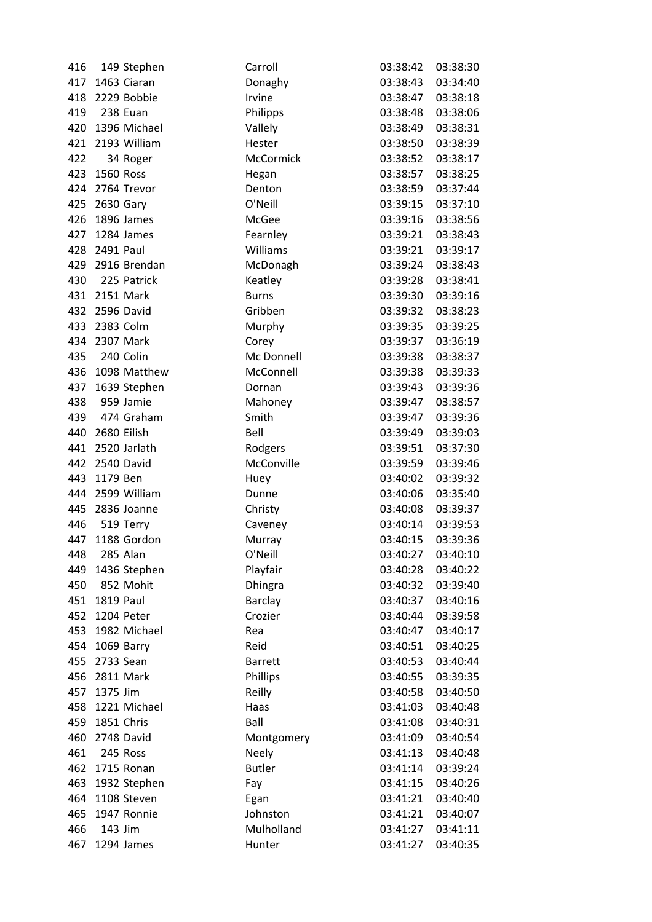| 416 |               | 149 Stephen      | Carroll          | 03:38:42 | 03:38:30 |
|-----|---------------|------------------|------------------|----------|----------|
| 417 |               | 1463 Ciaran      | Donaghy          | 03:38:43 | 03:34:40 |
| 418 |               | 2229 Bobbie      | Irvine           | 03:38:47 | 03:38:18 |
| 419 | 238 Euan      |                  | Philipps         | 03:38:48 | 03:38:06 |
|     |               | 420 1396 Michael | Vallely          | 03:38:49 | 03:38:31 |
| 421 |               | 2193 William     | Hester           | 03:38:50 | 03:38:39 |
| 422 |               | 34 Roger         | <b>McCormick</b> | 03:38:52 | 03:38:17 |
| 423 | 1560 Ross     |                  | Hegan            | 03:38:57 | 03:38:25 |
| 424 |               | 2764 Trevor      | Denton           | 03:38:59 | 03:37:44 |
|     | 425 2630 Gary |                  | O'Neill          | 03:39:15 | 03:37:10 |
| 426 |               | 1896 James       | McGee            | 03:39:16 | 03:38:56 |
| 427 |               | 1284 James       | Fearnley         | 03:39:21 | 03:38:43 |
| 428 | 2491 Paul     |                  | Williams         | 03:39:21 | 03:39:17 |
| 429 |               | 2916 Brendan     | McDonagh         | 03:39:24 | 03:38:43 |
| 430 |               | 225 Patrick      | Keatley          | 03:39:28 | 03:38:41 |
|     | 431 2151 Mark |                  | <b>Burns</b>     | 03:39:30 | 03:39:16 |
|     |               | 432 2596 David   | Gribben          | 03:39:32 | 03:38:23 |
|     | 433 2383 Colm |                  | Murphy           | 03:39:35 | 03:39:25 |
| 434 |               | 2307 Mark        | Corey            | 03:39:37 | 03:36:19 |
| 435 | 240 Colin     |                  | Mc Donnell       | 03:39:38 | 03:38:37 |
|     |               | 436 1098 Matthew | McConnell        | 03:39:38 | 03:39:33 |
| 437 |               | 1639 Stephen     | Dornan           | 03:39:43 | 03:39:36 |
| 438 |               | 959 Jamie        | Mahoney          | 03:39:47 | 03:38:57 |
| 439 |               | 474 Graham       | Smith            | 03:39:47 | 03:39:36 |
| 440 |               | 2680 Eilish      | Bell             | 03:39:49 | 03:39:03 |
| 441 |               | 2520 Jarlath     | Rodgers          | 03:39:51 | 03:37:30 |
| 442 |               | 2540 David       | McConville       | 03:39:59 | 03:39:46 |
| 443 | 1179 Ben      |                  | Huey             | 03:40:02 | 03:39:32 |
|     |               | 444 2599 William | Dunne            | 03:40:06 | 03:35:40 |
| 445 |               | 2836 Joanne      | Christy          | 03:40:08 | 03:39:37 |
| 446 |               | 519 Terry        | Caveney          | 03:40:14 | 03:39:53 |
| 447 |               | 1188 Gordon      | Murray           | 03:40:15 | 03:39:36 |
| 448 | 285 Alan      |                  | O'Neill          | 03:40:27 | 03:40:10 |
| 449 |               | 1436 Stephen     | Playfair         | 03:40:28 | 03:40:22 |
| 450 |               | 852 Mohit        | <b>Dhingra</b>   | 03:40:32 | 03:39:40 |
| 451 | 1819 Paul     |                  | <b>Barclay</b>   | 03:40:37 | 03:40:16 |
| 452 |               | 1204 Peter       | Crozier          | 03:40:44 | 03:39:58 |
| 453 |               | 1982 Michael     | Rea              | 03:40:47 | 03:40:17 |
| 454 |               | 1069 Barry       | Reid             | 03:40:51 | 03:40:25 |
| 455 | 2733 Sean     |                  | <b>Barrett</b>   | 03:40:53 | 03:40:44 |
| 456 |               | 2811 Mark        | Phillips         | 03:40:55 | 03:39:35 |
| 457 | 1375 Jim      |                  | Reilly           | 03:40:58 | 03:40:50 |
| 458 |               | 1221 Michael     | Haas             | 03:41:03 | 03:40:48 |
| 459 |               | 1851 Chris       | Ball             | 03:41:08 | 03:40:31 |
| 460 |               | 2748 David       | Montgomery       | 03:41:09 | 03:40:54 |
| 461 |               | 245 Ross         | <b>Neely</b>     | 03:41:13 | 03:40:48 |
| 462 |               | 1715 Ronan       | <b>Butler</b>    | 03:41:14 | 03:39:24 |
| 463 |               | 1932 Stephen     | Fay              | 03:41:15 | 03:40:26 |
| 464 |               | 1108 Steven      | Egan             | 03:41:21 | 03:40:40 |
| 465 |               | 1947 Ronnie      | Johnston         | 03:41:21 | 03:40:07 |
| 466 | 143 Jim       |                  | Mulholland       | 03:41:27 | 03:41:11 |
| 467 |               | 1294 James       | Hunter           | 03:41:27 | 03:40:35 |
|     |               |                  |                  |          |          |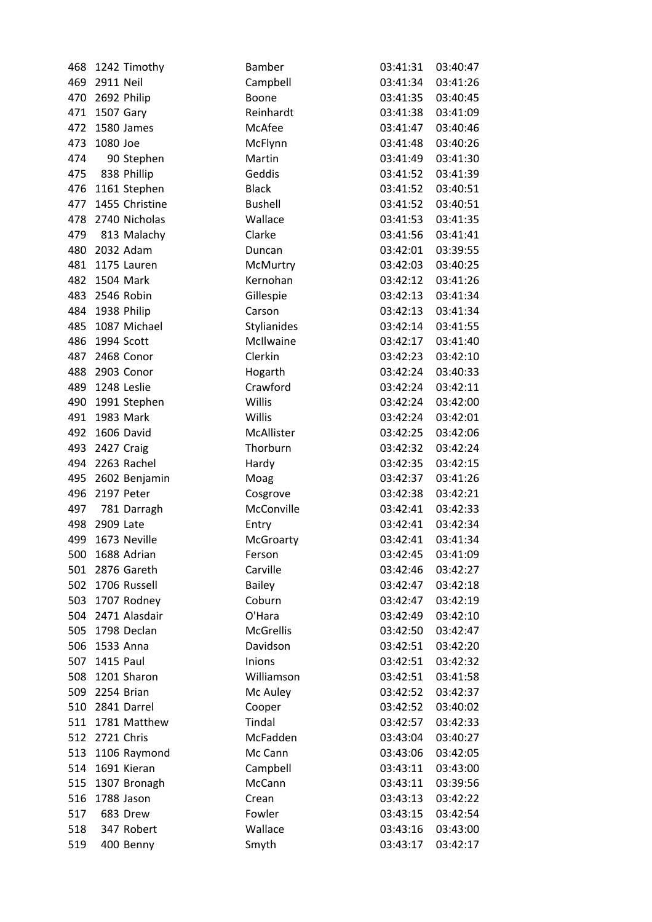| 468 |                | 1242 Timothy      | Bamber           | 03:41:31 | 03:40:47 |
|-----|----------------|-------------------|------------------|----------|----------|
|     | 469 2911 Neil  |                   | Campbell         | 03:41:34 | 03:41:26 |
| 470 |                | 2692 Philip       | Boone            | 03:41:35 | 03:40:45 |
|     | 471 1507 Gary  |                   | Reinhardt        | 03:41:38 | 03:41:09 |
| 472 |                | 1580 James        | McAfee           | 03:41:47 | 03:40:46 |
| 473 | 1080 Joe       |                   | McFlynn          | 03:41:48 | 03:40:26 |
| 474 |                | 90 Stephen        | Martin           | 03:41:49 | 03:41:30 |
| 475 |                | 838 Phillip       | Geddis           | 03:41:52 | 03:41:39 |
|     |                | 476 1161 Stephen  | <b>Black</b>     | 03:41:52 | 03:40:51 |
| 477 |                | 1455 Christine    | <b>Bushell</b>   | 03:41:52 | 03:40:51 |
|     |                | 478 2740 Nicholas | Wallace          | 03:41:53 | 03:41:35 |
| 479 |                | 813 Malachy       | Clarke           | 03:41:56 | 03:41:41 |
|     |                | 480 2032 Adam     | Duncan           | 03:42:01 | 03:39:55 |
| 481 |                | 1175 Lauren       | McMurtry         | 03:42:03 | 03:40:25 |
| 482 |                | 1504 Mark         | Kernohan         | 03:42:12 | 03:41:26 |
|     |                | 483 2546 Robin    | Gillespie        | 03:42:13 | 03:41:34 |
|     |                | 484 1938 Philip   | Carson           | 03:42:13 | 03:41:34 |
| 485 |                | 1087 Michael      | Stylianides      | 03:42:14 | 03:41:55 |
| 486 |                | 1994 Scott        | McIlwaine        | 03:42:17 | 03:41:40 |
| 487 |                | 2468 Conor        | Clerkin          | 03:42:23 | 03:42:10 |
| 488 |                | 2903 Conor        | Hogarth          | 03:42:24 | 03:40:33 |
| 489 |                | 1248 Leslie       | Crawford         | 03:42:24 | 03:42:11 |
|     |                | 490 1991 Stephen  | Willis           | 03:42:24 | 03:42:00 |
| 491 |                | 1983 Mark         | Willis           | 03:42:24 | 03:42:01 |
| 492 |                | 1606 David        | McAllister       | 03:42:25 | 03:42:06 |
| 493 | 2427 Craig     |                   | Thorburn         | 03:42:32 | 03:42:24 |
|     |                | 494 2263 Rachel   | Hardy            | 03:42:35 | 03:42:15 |
| 495 |                | 2602 Benjamin     | Moag             | 03:42:37 | 03:41:26 |
|     | 496 2197 Peter |                   | Cosgrove         | 03:42:38 | 03:42:21 |
| 497 |                | 781 Darragh       | McConville       | 03:42:41 | 03:42:33 |
| 498 | 2909 Late      |                   | Entry            | 03:42:41 | 03:42:34 |
| 499 |                | 1673 Neville      | McGroarty        | 03:42:41 | 03:41:34 |
|     |                | 500 1688 Adrian   | Ferson           | 03:42:45 | 03:41:09 |
| 501 |                | 2876 Gareth       | Carville         | 03:42:46 | 03:42:27 |
| 502 |                | 1706 Russell      | <b>Bailey</b>    | 03:42:47 | 03:42:18 |
|     |                | 503 1707 Rodney   | Coburn           | 03:42:47 | 03:42:19 |
|     |                | 504 2471 Alasdair | O'Hara           | 03:42:49 | 03:42:10 |
|     |                | 505 1798 Declan   | <b>McGrellis</b> | 03:42:50 | 03:42:47 |
|     | 506 1533 Anna  |                   | Davidson         | 03:42:51 | 03:42:20 |
| 507 | 1415 Paul      |                   | Inions           | 03:42:51 | 03:42:32 |
| 508 |                | 1201 Sharon       | Williamson       | 03:42:51 | 03:41:58 |
|     | 509 2254 Brian |                   | Mc Auley         | 03:42:52 | 03:42:37 |
|     |                | 510 2841 Darrel   | Cooper           | 03:42:52 | 03:40:02 |
| 511 |                | 1781 Matthew      | Tindal           | 03:42:57 | 03:42:33 |
|     | 512 2721 Chris |                   | McFadden         | 03:43:04 | 03:40:27 |
| 513 |                | 1106 Raymond      | Mc Cann          | 03:43:06 | 03:42:05 |
| 514 |                | 1691 Kieran       | Campbell         | 03:43:11 | 03:43:00 |
| 515 |                | 1307 Bronagh      | McCann           | 03:43:11 | 03:39:56 |
| 516 |                | 1788 Jason        | Crean            | 03:43:13 | 03:42:22 |
| 517 |                | 683 Drew          | Fowler           | 03:43:15 | 03:42:54 |
| 518 |                | 347 Robert        | Wallace          | 03:43:16 | 03:43:00 |
| 519 |                | 400 Benny         | Smyth            | 03:43:17 | 03:42:17 |
|     |                |                   |                  |          |          |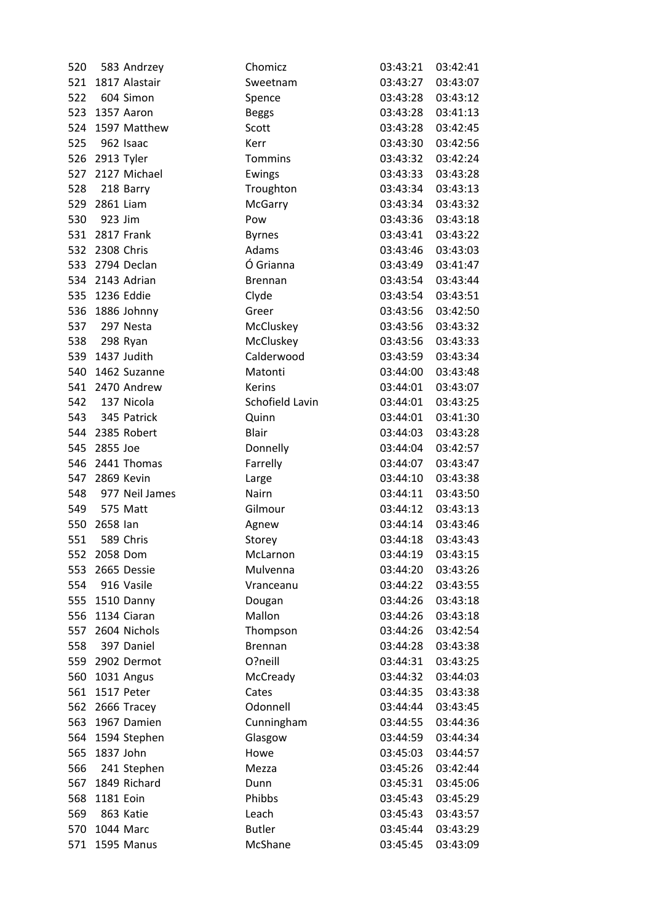| 520 |                | 583 Andrzey        | Chomicz         | 03:43:21          | 03:42:41 |
|-----|----------------|--------------------|-----------------|-------------------|----------|
|     |                | 521 1817 Alastair  | Sweetnam        | 03:43:27          | 03:43:07 |
| 522 |                | 604 Simon          | Spence          | 03:43:28          | 03:43:12 |
|     |                | 523 1357 Aaron     | <b>Beggs</b>    | 03:43:28          | 03:41:13 |
|     |                | 524 1597 Matthew   | Scott           | 03:43:28          | 03:42:45 |
| 525 |                | 962 Isaac          | Kerr            | 03:43:30          | 03:42:56 |
|     | 526 2913 Tyler |                    | <b>Tommins</b>  | 03:43:32          | 03:42:24 |
|     |                | 527 2127 Michael   | Ewings          | 03:43:33          | 03:43:28 |
| 528 |                | 218 Barry          | Troughton       | 03:43:34          | 03:43:13 |
|     | 529 2861 Liam  |                    | McGarry         | 03:43:34          | 03:43:32 |
|     | 530 923 Jim    |                    | Pow             | 03:43:36          | 03:43:18 |
|     |                | 531 2817 Frank     | <b>Byrnes</b>   | 03:43:41          | 03:43:22 |
|     | 532 2308 Chris |                    | Adams           | 03:43:46          | 03:43:03 |
|     |                | 533 2794 Declan    | Ó Grianna       | 03:43:49          | 03:41:47 |
| 534 |                | 2143 Adrian        | <b>Brennan</b>  | 03:43:54          | 03:43:44 |
|     |                | 535 1236 Eddie     | Clyde           | 03:43:54          | 03:43:51 |
|     |                | 536 1886 Johnny    | Greer           | 03:43:56          | 03:42:50 |
| 537 |                | 297 Nesta          | McCluskey       | 03:43:56          | 03:43:32 |
|     | 538 298 Ryan   |                    | McCluskey       | 03:43:56          | 03:43:33 |
|     |                | 539 1437 Judith    | Calderwood      | 03:43:59          | 03:43:34 |
|     |                | 540 1462 Suzanne   | Matonti         | 03:44:00          | 03:43:48 |
|     |                | 541 2470 Andrew    | Kerins          | 03:44:01          | 03:43:07 |
|     |                | 542 137 Nicola     | Schofield Lavin | 03:44:01          | 03:43:25 |
|     |                | 543 345 Patrick    | Quinn           | 03:44:01          | 03:41:30 |
|     |                | 544 2385 Robert    | <b>Blair</b>    | 03:44:03          | 03:43:28 |
| 545 | 2855 Joe       |                    | Donnelly        | 03:44:04          | 03:42:57 |
| 546 |                | 2441 Thomas        | Farrelly        | 03:44:07          | 03:43:47 |
|     | 547 2869 Kevin |                    | Large           | 03:44:10          | 03:43:38 |
|     |                | 548 977 Neil James | Nairn           | 03:44:11          | 03:43:50 |
|     | 549 575 Matt   |                    | Gilmour         | 03:44:12          | 03:43:13 |
|     | 550 2658 lan   |                    | Agnew           | 03:44:14          | 03:43:46 |
| 551 |                | 589 Chris          | Storey          | 03:44:18          | 03:43:43 |
|     | 552 2058 Dom   |                    | McLarnon        | 03:44:19 03:43:15 |          |
| 553 |                | 2665 Dessie        | Mulvenna        | 03:44:20          | 03:43:26 |
| 554 |                | 916 Vasile         | Vranceanu       | 03:44:22          | 03:43:55 |
|     |                | 555 1510 Danny     | Dougan          | 03:44:26          | 03:43:18 |
|     |                | 556 1134 Ciaran    | Mallon          | 03:44:26          | 03:43:18 |
|     |                | 557 2604 Nichols   | Thompson        | 03:44:26          | 03:42:54 |
| 558 |                | 397 Daniel         | <b>Brennan</b>  | 03:44:28          | 03:43:38 |
|     |                | 559 2902 Dermot    | O?neill         | 03:44:31          | 03:43:25 |
| 560 |                | 1031 Angus         | McCready        | 03:44:32          | 03:44:03 |
|     | 561 1517 Peter |                    | Cates           | 03:44:35          | 03:43:38 |
| 562 |                | 2666 Tracey        | Odonnell        | 03:44:44          | 03:43:45 |
|     |                | 563 1967 Damien    | Cunningham      | 03:44:55          | 03:44:36 |
|     |                | 564 1594 Stephen   | Glasgow         | 03:44:59          | 03:44:34 |
| 565 | 1837 John      |                    | Howe            | 03:45:03          | 03:44:57 |
| 566 |                | 241 Stephen        | Mezza           | 03:45:26          | 03:42:44 |
| 567 |                | 1849 Richard       | Dunn            | 03:45:31          | 03:45:06 |
| 568 | 1181 Eoin      |                    | Phibbs          | 03:45:43          | 03:45:29 |
| 569 |                | 863 Katie          | Leach           | 03:45:43          | 03:43:57 |
|     | 570 1044 Marc  |                    | <b>Butler</b>   | 03:45:44          | 03:43:29 |
| 571 |                | 1595 Manus         | McShane         | 03:45:45          | 03:43:09 |
|     |                |                    |                 |                   |          |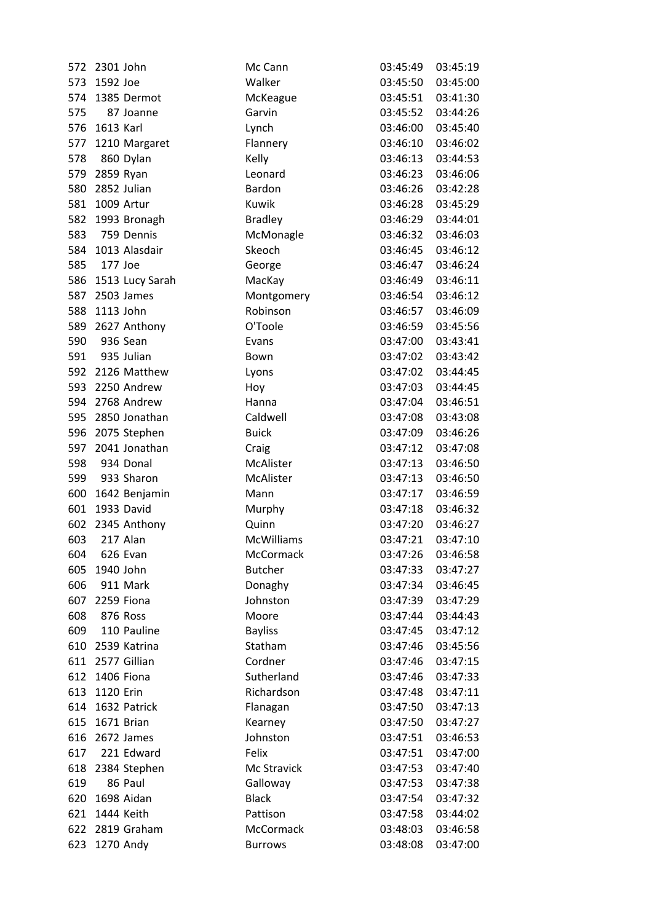| 572 | 2301 John     |                  | Mc Cann           | 03:45:49 | 03:45:19 |
|-----|---------------|------------------|-------------------|----------|----------|
| 573 | 1592 Joe      |                  | Walker            | 03:45:50 | 03:45:00 |
| 574 |               | 1385 Dermot      | McKeague          | 03:45:51 | 03:41:30 |
| 575 |               | 87 Joanne        | Garvin            | 03:45:52 | 03:44:26 |
| 576 | 1613 Karl     |                  | Lynch             | 03:46:00 | 03:45:40 |
| 577 |               | 1210 Margaret    | Flannery          | 03:46:10 | 03:46:02 |
| 578 |               | 860 Dylan        | Kelly             | 03:46:13 | 03:44:53 |
|     | 579 2859 Ryan |                  | Leonard           | 03:46:23 | 03:46:06 |
| 580 |               | 2852 Julian      | Bardon            | 03:46:26 | 03:42:28 |
| 581 |               | 1009 Artur       | Kuwik             | 03:46:28 | 03:45:29 |
| 582 |               | 1993 Bronagh     | <b>Bradley</b>    | 03:46:29 | 03:44:01 |
| 583 |               | 759 Dennis       | McMonagle         | 03:46:32 | 03:46:03 |
| 584 |               | 1013 Alasdair    | Skeoch            | 03:46:45 | 03:46:12 |
| 585 | 177 Joe       |                  | George            | 03:46:47 | 03:46:24 |
| 586 |               | 1513 Lucy Sarah  | MacKay            | 03:46:49 | 03:46:11 |
| 587 |               | 2503 James       | Montgomery        | 03:46:54 | 03:46:12 |
| 588 | 1113 John     |                  | Robinson          | 03:46:57 | 03:46:09 |
| 589 |               | 2627 Anthony     | O'Toole           | 03:46:59 | 03:45:56 |
| 590 |               | 936 Sean         | Evans             | 03:47:00 | 03:43:41 |
|     |               | 591 935 Julian   | Bown              | 03:47:02 | 03:43:42 |
|     |               | 592 2126 Matthew | Lyons             | 03:47:02 | 03:44:45 |
|     |               | 593 2250 Andrew  | Hoy               | 03:47:03 | 03:44:45 |
|     |               | 594 2768 Andrew  | Hanna             | 03:47:04 | 03:46:51 |
| 595 |               | 2850 Jonathan    | Caldwell          | 03:47:08 | 03:43:08 |
| 596 |               | 2075 Stephen     | <b>Buick</b>      | 03:47:09 | 03:46:26 |
| 597 |               | 2041 Jonathan    | Craig             | 03:47:12 | 03:47:08 |
| 598 |               | 934 Donal        | McAlister         | 03:47:13 | 03:46:50 |
|     |               | 599 933 Sharon   | McAlister         | 03:47:13 | 03:46:50 |
| 600 |               | 1642 Benjamin    | Mann              | 03:47:17 | 03:46:59 |
| 601 |               | 1933 David       | Murphy            | 03:47:18 | 03:46:32 |
| 602 |               | 2345 Anthony     | Quinn             | 03:47:20 | 03:46:27 |
| 603 |               | 217 Alan         | <b>McWilliams</b> | 03:47:21 | 03:47:10 |
| 604 | 626 Evan      |                  | McCormack         | 03:47:26 | 03:46:58 |
| 605 | 1940 John     |                  | <b>Butcher</b>    | 03:47:33 | 03:47:27 |
| 606 |               | 911 Mark         | Donaghy           | 03:47:34 | 03:46:45 |
| 607 |               | 2259 Fiona       | Johnston          | 03:47:39 | 03:47:29 |
| 608 |               | 876 Ross         | Moore             | 03:47:44 | 03:44:43 |
| 609 |               | 110 Pauline      | <b>Bayliss</b>    | 03:47:45 | 03:47:12 |
| 610 |               | 2539 Katrina     | Statham           | 03:47:46 | 03:45:56 |
| 611 |               | 2577 Gillian     | Cordner           | 03:47:46 | 03:47:15 |
| 612 |               | 1406 Fiona       | Sutherland        | 03:47:46 | 03:47:33 |
| 613 | 1120 Erin     |                  | Richardson        | 03:47:48 | 03:47:11 |
| 614 |               | 1632 Patrick     | Flanagan          | 03:47:50 | 03:47:13 |
| 615 |               | 1671 Brian       | Kearney           | 03:47:50 | 03:47:27 |
| 616 |               | 2672 James       | Johnston          | 03:47:51 | 03:46:53 |
| 617 |               | 221 Edward       | Felix             | 03:47:51 | 03:47:00 |
| 618 |               | 2384 Stephen     | Mc Stravick       | 03:47:53 | 03:47:40 |
| 619 |               | 86 Paul          | Galloway          | 03:47:53 | 03:47:38 |
| 620 |               | 1698 Aidan       | <b>Black</b>      | 03:47:54 | 03:47:32 |
| 621 |               | 1444 Keith       | Pattison          | 03:47:58 | 03:44:02 |
| 622 |               | 2819 Graham      | McCormack         | 03:48:03 | 03:46:58 |
| 623 |               | 1270 Andy        | <b>Burrows</b>    | 03:48:08 | 03:47:00 |
|     |               |                  |                   |          |          |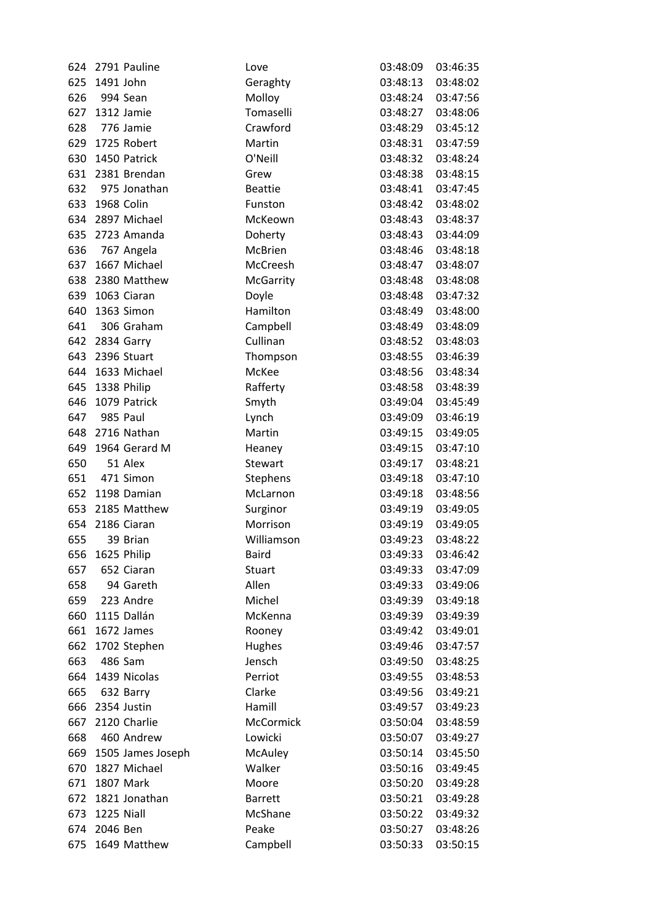|     |                | 624 2791 Pauline          | Love            | 03:48:09             | 03:46:35 |
|-----|----------------|---------------------------|-----------------|----------------------|----------|
| 625 | 1491 John      |                           | Geraghty        | 03:48:13             | 03:48:02 |
| 626 |                | 994 Sean                  | Molloy          | 03:48:24             | 03:47:56 |
|     |                | 627 1312 Jamie            | Tomaselli       | 03:48:27             | 03:48:06 |
| 628 |                | 776 Jamie                 | Crawford        | 03:48:29             | 03:45:12 |
| 629 |                | 1725 Robert               | Martin          | 03:48:31             | 03:47:59 |
| 630 |                | 1450 Patrick              | O'Neill         | 03:48:32             | 03:48:24 |
|     |                | 631 2381 Brendan          | Grew            | 03:48:38             | 03:48:15 |
| 632 |                | 975 Jonathan              | <b>Beattie</b>  | 03:48:41             | 03:47:45 |
|     | 633 1968 Colin |                           | Funston         | 03:48:42             | 03:48:02 |
|     |                | 634 2897 Michael          | McKeown         | 03:48:43             | 03:48:37 |
| 635 |                | 2723 Amanda               | Doherty         | 03:48:43             | 03:44:09 |
| 636 |                | 767 Angela                | McBrien         | 03:48:46             | 03:48:18 |
|     |                | 637 1667 Michael          | McCreesh        | 03:48:47             | 03:48:07 |
| 638 |                | 2380 Matthew              | McGarrity       | 03:48:48             | 03:48:08 |
|     |                | 639 1063 Ciaran           | Doyle           | 03:48:48             | 03:47:32 |
| 640 |                | 1363 Simon                | Hamilton        | 03:48:49             | 03:48:00 |
| 641 |                | 306 Graham                | Campbell        | 03:48:49             | 03:48:09 |
|     |                | 642 2834 Garry            | Cullinan        | 03:48:52             | 03:48:03 |
| 643 |                | 2396 Stuart               | Thompson        | 03:48:55             | 03:46:39 |
| 644 |                | 1633 Michael              | McKee           | 03:48:56             | 03:48:34 |
|     |                | 645 1338 Philip           | Rafferty        | 03:48:58             | 03:48:39 |
| 646 |                | 1079 Patrick              | Smyth           | 03:49:04             | 03:45:49 |
| 647 |                | 985 Paul                  | Lynch           | 03:49:09             | 03:46:19 |
| 648 |                | 2716 Nathan               | Martin          | 03:49:15             | 03:49:05 |
|     |                | 649 1964 Gerard M         | Heaney          | 03:49:15             | 03:47:10 |
| 650 |                | 51 Alex                   | Stewart         | 03:49:17             | 03:48:21 |
| 651 |                | 471 Simon                 | Stephens        | 03:49:18             | 03:47:10 |
|     |                | 652 1198 Damian           | McLarnon        | 03:49:18             | 03:48:56 |
|     |                | 653 2185 Matthew          | Surginor        | 03:49:19             | 03:49:05 |
| 654 |                | 2186 Ciaran               | Morrison        | 03:49:19             | 03:49:05 |
| 655 |                | 39 Brian                  | Williamson      | 03:49:23             | 03:48:22 |
|     |                | 656 1625 Philip           | Baird           | 03:49:33 03:46:42    |          |
| 657 |                | 652 Ciaran                | <b>Stuart</b>   | 03:49:33             | 03:47:09 |
| 658 |                | 94 Gareth                 | Allen           | 03:49:33             | 03:49:06 |
| 659 |                | 223 Andre                 | Michel          | 03:49:39             | 03:49:18 |
| 660 |                | 1115 Dallán               | McKenna         | 03:49:39             | 03:49:39 |
|     |                | 661 1672 James            | Rooney          | 03:49:42             | 03:49:01 |
| 662 |                | 1702 Stephen              | Hughes          | 03:49:46             | 03:47:57 |
| 663 |                | 486 Sam                   | Jensch          | 03:49:50             | 03:48:25 |
| 664 |                | 1439 Nicolas              | Perriot         | 03:49:55             | 03:48:53 |
| 665 |                | 632 Barry                 | Clarke          | 03:49:56             | 03:49:21 |
| 666 |                | 2354 Justin               | Hamill          | 03:49:57             | 03:49:23 |
| 667 |                | 2120 Charlie              | McCormick       | 03:50:04             | 03:48:59 |
|     |                | 460 Andrew                | Lowicki         |                      |          |
| 668 |                |                           |                 | 03:50:07<br>03:50:14 | 03:49:27 |
| 669 |                | 1505 James Joseph         | <b>McAuley</b>  |                      | 03:45:50 |
| 670 |                | 1827 Michael<br>1807 Mark | Walker<br>Moore | 03:50:16             | 03:49:45 |
| 671 |                |                           |                 | 03:50:20             | 03:49:28 |
| 672 |                | 1821 Jonathan             | <b>Barrett</b>  | 03:50:21             | 03:49:28 |
| 673 | 1225 Niall     |                           | McShane         | 03:50:22             | 03:49:32 |
|     | 674 2046 Ben   |                           | Peake           | 03:50:27             | 03:48:26 |
| 675 |                | 1649 Matthew              | Campbell        | 03:50:33             | 03:50:15 |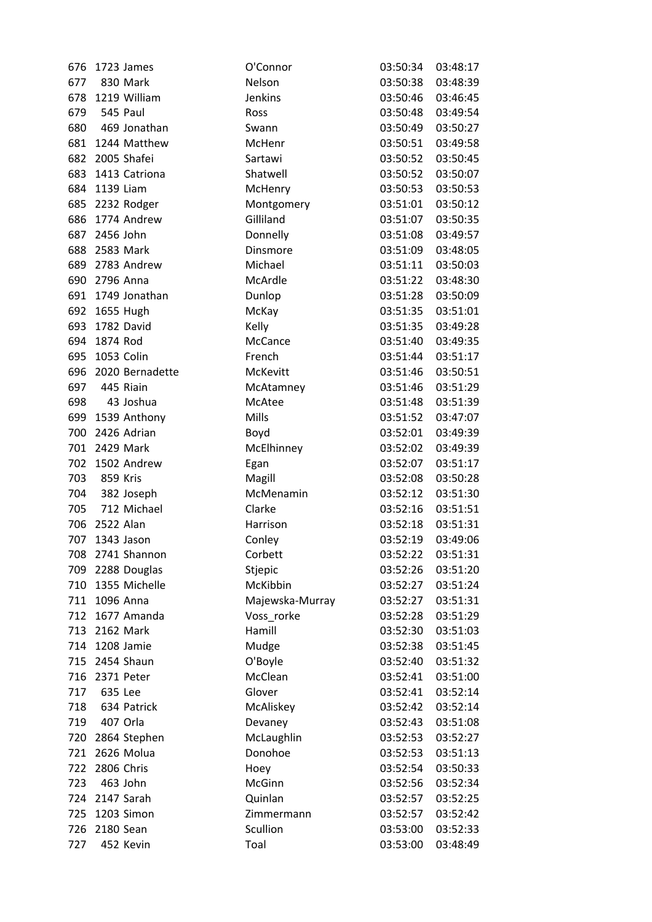| 676 |               | 1723 James       | O'Connor        | 03:50:34          | 03:48:17 |
|-----|---------------|------------------|-----------------|-------------------|----------|
| 677 |               | 830 Mark         | Nelson          | 03:50:38          | 03:48:39 |
|     |               | 678 1219 William | Jenkins         | 03:50:46          | 03:46:45 |
| 679 | 545 Paul      |                  | Ross            | 03:50:48          | 03:49:54 |
| 680 |               | 469 Jonathan     | Swann           | 03:50:49          | 03:50:27 |
| 681 |               | 1244 Matthew     | McHenr          | 03:50:51          | 03:49:58 |
| 682 |               | 2005 Shafei      | Sartawi         | 03:50:52          | 03:50:45 |
| 683 |               | 1413 Catriona    | Shatwell        | 03:50:52          | 03:50:07 |
| 684 | 1139 Liam     |                  | McHenry         | 03:50:53          | 03:50:53 |
|     |               | 685 2232 Rodger  | Montgomery      | 03:51:01          | 03:50:12 |
| 686 |               | 1774 Andrew      | Gilliland       | 03:51:07          | 03:50:35 |
| 687 | 2456 John     |                  | Donnelly        | 03:51:08          | 03:49:57 |
| 688 |               | 2583 Mark        | Dinsmore        | 03:51:09          | 03:48:05 |
| 689 |               | 2783 Andrew      | Michael         | 03:51:11          | 03:50:03 |
| 690 | 2796 Anna     |                  | McArdle         | 03:51:22          | 03:48:30 |
| 691 |               | 1749 Jonathan    | Dunlop          | 03:51:28          | 03:50:09 |
|     | 692 1655 Hugh |                  | McKay           | 03:51:35          | 03:51:01 |
| 693 |               | 1782 David       | Kelly           | 03:51:35          | 03:49:28 |
| 694 | 1874 Rod      |                  | McCance         | 03:51:40          | 03:49:35 |
| 695 |               | 1053 Colin       | French          | 03:51:44          | 03:51:17 |
| 696 |               | 2020 Bernadette  | McKevitt        | 03:51:46          | 03:50:51 |
| 697 |               | 445 Riain        | McAtamney       | 03:51:46          | 03:51:29 |
| 698 |               | 43 Joshua        | McAtee          | 03:51:48          | 03:51:39 |
| 699 |               | 1539 Anthony     | Mills           | 03:51:52          | 03:47:07 |
| 700 |               | 2426 Adrian      | Boyd            | 03:52:01          | 03:49:39 |
| 701 |               | 2429 Mark        | McElhinney      | 03:52:02          | 03:49:39 |
| 702 |               | 1502 Andrew      | Egan            | 03:52:07          | 03:51:17 |
| 703 | 859 Kris      |                  | Magill          | 03:52:08          | 03:50:28 |
|     |               | 704 382 Joseph   | McMenamin       | 03:52:12          | 03:51:30 |
| 705 |               | 712 Michael      | Clarke          | 03:52:16          | 03:51:51 |
| 706 | 2522 Alan     |                  | Harrison        | 03:52:18          | 03:51:31 |
| 707 |               | 1343 Jason       | Conley          | 03:52:19          | 03:49:06 |
| 708 |               | 2741 Shannon     | Corbett         | 03:52:22 03:51:31 |          |
| 709 |               | 2288 Douglas     | Stjepic         | 03:52:26          | 03:51:20 |
| 710 |               | 1355 Michelle    | McKibbin        | 03:52:27          | 03:51:24 |
| 711 |               | 1096 Anna        | Majewska-Murray | 03:52:27          | 03:51:31 |
| 712 |               | 1677 Amanda      | Voss_rorke      | 03:52:28          | 03:51:29 |
|     | 713 2162 Mark |                  | Hamill          | 03:52:30          | 03:51:03 |
| 714 |               | 1208 Jamie       | Mudge           | 03:52:38          | 03:51:45 |
| 715 |               | 2454 Shaun       | O'Boyle         | 03:52:40          | 03:51:32 |
| 716 |               | 2371 Peter       | McClean         | 03:52:41          | 03:51:00 |
| 717 | 635 Lee       |                  | Glover          | 03:52:41          | 03:52:14 |
| 718 |               | 634 Patrick      | McAliskey       | 03:52:42          | 03:52:14 |
| 719 |               | 407 Orla         | Devaney         | 03:52:43          | 03:51:08 |
| 720 |               | 2864 Stephen     | McLaughlin      | 03:52:53          | 03:52:27 |
| 721 |               | 2626 Molua       | Donohoe         | 03:52:53          | 03:51:13 |
| 722 |               | 2806 Chris       | Hoey            | 03:52:54          | 03:50:33 |
| 723 |               | 463 John         | McGinn          | 03:52:56          | 03:52:34 |
|     |               | 724 2147 Sarah   | Quinlan         | 03:52:57          | 03:52:25 |
| 725 |               | 1203 Simon       | Zimmermann      | 03:52:57          | 03:52:42 |
| 726 | 2180 Sean     |                  | Scullion        | 03:53:00          | 03:52:33 |
| 727 |               | 452 Kevin        | Toal            | 03:53:00          | 03:48:49 |
|     |               |                  |                 |                   |          |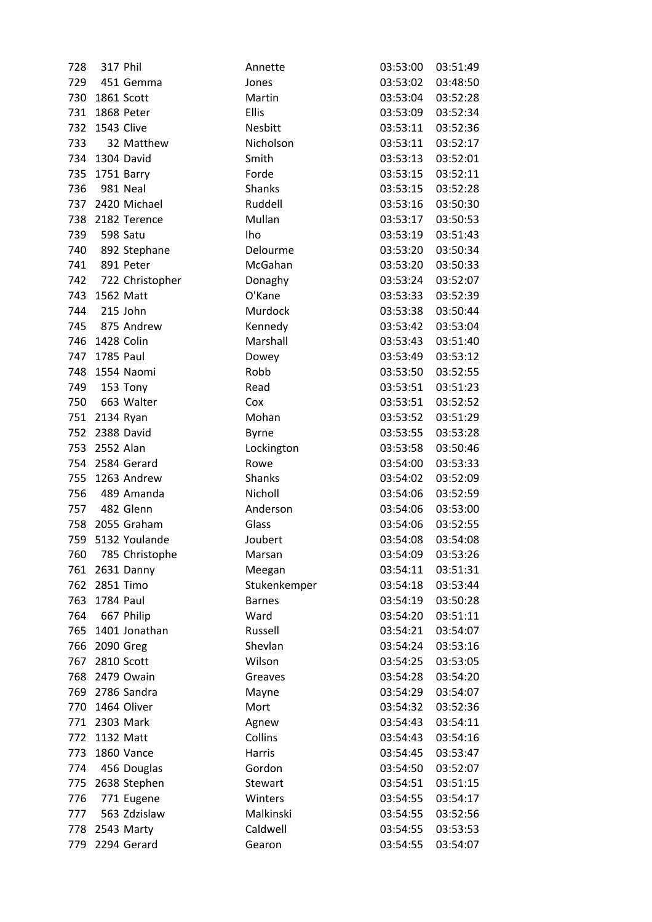| 728 | 317 Phil       |                   | Annette        | 03:53:00          | 03:51:49 |
|-----|----------------|-------------------|----------------|-------------------|----------|
|     |                | 729 451 Gemma     | Jones          | 03:53:02          | 03:48:50 |
|     | 730 1861 Scott |                   | Martin         | 03:53:04          | 03:52:28 |
|     | 731 1868 Peter |                   | Ellis          | 03:53:09          | 03:52:34 |
|     | 732 1543 Clive |                   | <b>Nesbitt</b> | 03:53:11          | 03:52:36 |
| 733 |                | 32 Matthew        | Nicholson      | 03:53:11          | 03:52:17 |
|     |                | 734 1304 David    | Smith          | 03:53:13          | 03:52:01 |
|     | 735 1751 Barry |                   | Forde          | 03:53:15          | 03:52:11 |
| 736 |                | 981 Neal          | Shanks         | 03:53:15          | 03:52:28 |
|     |                | 737 2420 Michael  | Ruddell        | 03:53:16          | 03:50:30 |
|     |                | 738 2182 Terence  | Mullan         | 03:53:17          | 03:50:53 |
| 739 |                | 598 Satu          | Iho            | 03:53:19          | 03:51:43 |
| 740 |                | 892 Stephane      | Delourme       | 03:53:20          | 03:50:34 |
| 741 |                | 891 Peter         | McGahan        | 03:53:20          | 03:50:33 |
| 742 |                | 722 Christopher   | Donaghy        | 03:53:24          | 03:52:07 |
|     | 743 1562 Matt  |                   | O'Kane         | 03:53:33          | 03:52:39 |
| 744 |                | 215 John          | Murdock        | 03:53:38          | 03:50:44 |
|     |                | 745 875 Andrew    | Kennedy        | 03:53:42          | 03:53:04 |
|     | 746 1428 Colin |                   | Marshall       | 03:53:43          | 03:51:40 |
| 747 | 1785 Paul      |                   | Dowey          | 03:53:49          | 03:53:12 |
| 748 |                | 1554 Naomi        | Robb           | 03:53:50          | 03:52:55 |
|     | 749 153 Tony   |                   | Read           | 03:53:51          | 03:51:23 |
|     |                | 750 663 Walter    | Cox            | 03:53:51          | 03:52:52 |
|     | 751 2134 Ryan  |                   | Mohan          | 03:53:52          | 03:51:29 |
| 752 |                | 2388 David        | <b>Byrne</b>   | 03:53:55          | 03:53:28 |
| 753 | 2552 Alan      |                   | Lockington     | 03:53:58          | 03:50:46 |
|     |                | 754 2584 Gerard   | Rowe           | 03:54:00          | 03:53:33 |
|     |                | 755 1263 Andrew   | Shanks         | 03:54:02          | 03:52:09 |
|     |                | 756 489 Amanda    | Nicholl        | 03:54:06          | 03:52:59 |
|     |                | 757 482 Glenn     | Anderson       | 03:54:06          | 03:53:00 |
|     |                | 758 2055 Graham   | Glass          | 03:54:06          | 03:52:55 |
|     |                | 759 5132 Youlande | Joubert        | 03:54:08          | 03:54:08 |
| 760 |                | 785 Christophe    | Marsan         | 03:54:09 03:53:26 |          |
| 761 |                | 2631 Danny        | Meegan         | 03:54:11          | 03:51:31 |
| 762 | 2851 Timo      |                   | Stukenkemper   | 03:54:18          | 03:53:44 |
| 763 | 1784 Paul      |                   | <b>Barnes</b>  | 03:54:19          | 03:50:28 |
| 764 |                | 667 Philip        | Ward           | 03:54:20          | 03:51:11 |
|     |                | 765 1401 Jonathan | Russell        | 03:54:21          | 03:54:07 |
| 766 | 2090 Greg      |                   | Shevlan        | 03:54:24          | 03:53:16 |
| 767 |                | 2810 Scott        | Wilson         | 03:54:25          | 03:53:05 |
| 768 |                | 2479 Owain        | Greaves        | 03:54:28          | 03:54:20 |
|     |                | 769 2786 Sandra   | Mayne          | 03:54:29          | 03:54:07 |
| 770 |                | 1464 Oliver       | Mort           | 03:54:32          | 03:52:36 |
|     | 771 2303 Mark  |                   | Agnew          | 03:54:43          | 03:54:11 |
| 772 | 1132 Matt      |                   | Collins        | 03:54:43          | 03:54:16 |
| 773 |                | 1860 Vance        | Harris         | 03:54:45          | 03:53:47 |
| 774 |                | 456 Douglas       | Gordon         | 03:54:50          | 03:52:07 |
| 775 |                | 2638 Stephen      | <b>Stewart</b> | 03:54:51          | 03:51:15 |
| 776 |                | 771 Eugene        | Winters        | 03:54:55          | 03:54:17 |
| 777 |                | 563 Zdzislaw      | Malkinski      | 03:54:55          | 03:52:56 |
| 778 |                | 2543 Marty        | Caldwell       | 03:54:55          | 03:53:53 |
| 779 |                | 2294 Gerard       | Gearon         | 03:54:55          | 03:54:07 |
|     |                |                   |                |                   |          |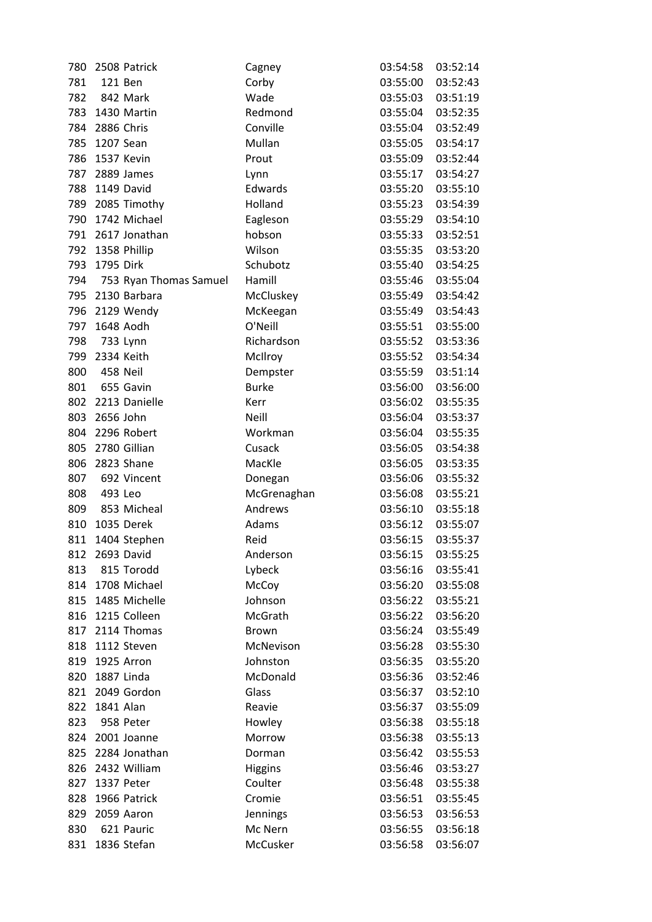| 780 |              | 2508 Patrick           | Cagney         | 03:54:58          | 03:52:14 |
|-----|--------------|------------------------|----------------|-------------------|----------|
| 781 |              | 121 Ben                | Corby          | 03:55:00          | 03:52:43 |
|     | 782 842 Mark |                        | Wade           | 03:55:03          | 03:51:19 |
|     |              | 783 1430 Martin        | Redmond        | 03:55:04          | 03:52:35 |
| 784 | 2886 Chris   |                        | Conville       | 03:55:04          | 03:52:49 |
| 785 | 1207 Sean    |                        | Mullan         | 03:55:05          | 03:54:17 |
| 786 | 1537 Kevin   |                        | Prout          | 03:55:09          | 03:52:44 |
| 787 |              | 2889 James             | Lynn           | 03:55:17          | 03:54:27 |
|     |              | 788 1149 David         | Edwards        | 03:55:20          | 03:55:10 |
|     |              | 789 2085 Timothy       | Holland        | 03:55:23          | 03:54:39 |
| 790 |              | 1742 Michael           | Eagleson       | 03:55:29          | 03:54:10 |
| 791 |              | 2617 Jonathan          | hobson         | 03:55:33          | 03:52:51 |
| 792 |              | 1358 Phillip           | Wilson         | 03:55:35          | 03:53:20 |
| 793 | 1795 Dirk    |                        | Schubotz       | 03:55:40          | 03:54:25 |
| 794 |              | 753 Ryan Thomas Samuel | Hamill         | 03:55:46          | 03:55:04 |
|     |              | 795 2130 Barbara       | McCluskey      | 03:55:49          | 03:54:42 |
|     |              | 796 2129 Wendy         | McKeegan       | 03:55:49          | 03:54:43 |
| 797 |              | 1648 Aodh              | O'Neill        | 03:55:51          | 03:55:00 |
| 798 | 733 Lynn     |                        | Richardson     | 03:55:52          | 03:53:36 |
| 799 | 2334 Keith   |                        | McIlroy        | 03:55:52          | 03:54:34 |
| 800 |              | 458 Neil               | Dempster       | 03:55:59          | 03:51:14 |
| 801 |              | 655 Gavin              | <b>Burke</b>   | 03:56:00          | 03:56:00 |
|     |              | 802 2213 Danielle      | Kerr           | 03:56:02          | 03:55:35 |
| 803 | 2656 John    |                        | Neill          | 03:56:04          | 03:53:37 |
| 804 |              | 2296 Robert            | Workman        | 03:56:04          | 03:55:35 |
| 805 |              | 2780 Gillian           | Cusack         | 03:56:05          | 03:54:38 |
| 806 |              | 2823 Shane             | MacKle         | 03:56:05          | 03:53:35 |
| 807 |              | 692 Vincent            | Donegan        | 03:56:06          | 03:55:32 |
| 808 | 493 Leo      |                        | McGrenaghan    | 03:56:08          | 03:55:21 |
| 809 |              | 853 Micheal            | Andrews        | 03:56:10          | 03:55:18 |
|     |              | 810 1035 Derek         | Adams          | 03:56:12          | 03:55:07 |
|     |              | 811 1404 Stephen       | Reid           | 03:56:15          | 03:55:37 |
|     |              | 812 2693 David         | Anderson       | 03:56:15 03:55:25 |          |
| 813 |              | 815 Torodd             | Lybeck         | 03:56:16          | 03:55:41 |
|     |              | 814 1708 Michael       | McCoy          | 03:56:20          | 03:55:08 |
| 815 |              | 1485 Michelle          | Johnson        | 03:56:22          | 03:55:21 |
|     |              | 816 1215 Colleen       | McGrath        | 03:56:22          | 03:56:20 |
|     |              | 817 2114 Thomas        | Brown          | 03:56:24          | 03:55:49 |
| 818 |              | 1112 Steven            | McNevison      | 03:56:28          | 03:55:30 |
| 819 |              | 1925 Arron             | Johnston       | 03:56:35          | 03:55:20 |
| 820 | 1887 Linda   |                        | McDonald       | 03:56:36          | 03:52:46 |
|     |              | 821 2049 Gordon        | Glass          | 03:56:37          | 03:52:10 |
| 822 | 1841 Alan    |                        | Reavie         | 03:56:37          | 03:55:09 |
| 823 |              | 958 Peter              | Howley         | 03:56:38          | 03:55:18 |
| 824 |              | 2001 Joanne            | Morrow         | 03:56:38          | 03:55:13 |
| 825 |              | 2284 Jonathan          | Dorman         | 03:56:42          | 03:55:53 |
| 826 |              | 2432 William           | <b>Higgins</b> | 03:56:46          | 03:53:27 |
| 827 | 1337 Peter   |                        | Coulter        | 03:56:48          | 03:55:38 |
| 828 |              | 1966 Patrick           | Cromie         | 03:56:51          | 03:55:45 |
| 829 |              | 2059 Aaron             | Jennings       | 03:56:53          | 03:56:53 |
| 830 |              | 621 Pauric             | Mc Nern        | 03:56:55          | 03:56:18 |
| 831 |              | 1836 Stefan            | McCusker       | 03:56:58          | 03:56:07 |
|     |              |                        |                |                   |          |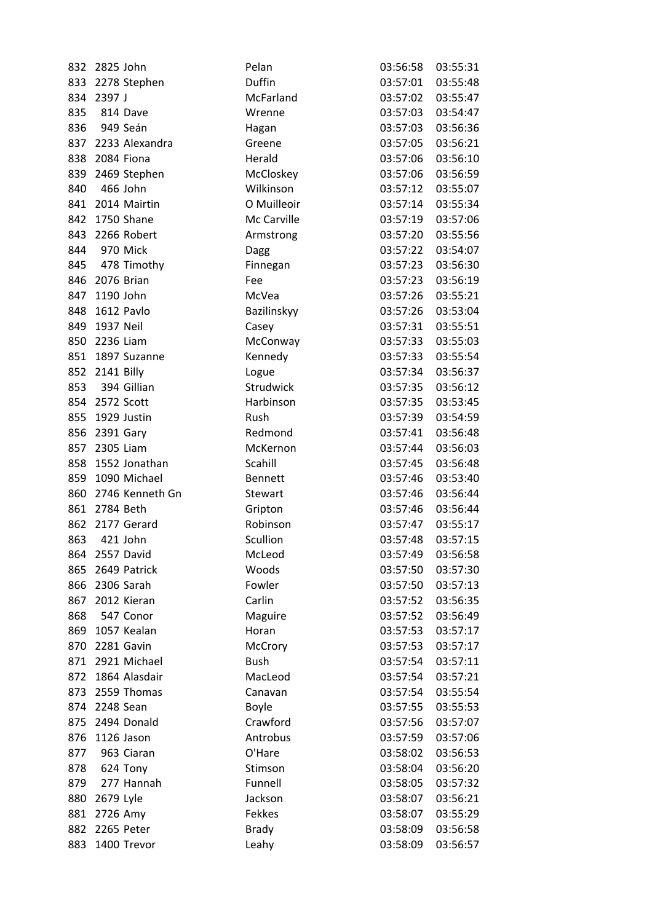| 832 | 2825 John      |                     | Pelan          | 03:56:58          | 03:55:31 |
|-----|----------------|---------------------|----------------|-------------------|----------|
|     |                | 833 2278 Stephen    | Duffin         | 03:57:01          | 03:55:48 |
| 834 | 2397 J         |                     | McFarland      | 03:57:02          | 03:55:47 |
| 835 | 814 Dave       |                     | Wrenne         | 03:57:03          | 03:54:47 |
| 836 | 949 Seán       |                     | Hagan          | 03:57:03          | 03:56:36 |
|     |                | 837 2233 Alexandra  | Greene         | 03:57:05          | 03:56:21 |
| 838 | 2084 Fiona     |                     | Herald         | 03:57:06          | 03:56:10 |
| 839 |                | 2469 Stephen        | McCloskey      | 03:57:06          | 03:56:59 |
| 840 |                | 466 John            | Wilkinson      | 03:57:12          | 03:55:07 |
|     |                | 841 2014 Mairtin    | O Muilleoir    | 03:57:14          | 03:55:34 |
|     |                | 842 1750 Shane      | Mc Carville    | 03:57:19          | 03:57:06 |
| 843 |                | 2266 Robert         | Armstrong      | 03:57:20          | 03:55:56 |
|     | 844 970 Mick   |                     | Dagg           | 03:57:22          | 03:54:07 |
|     |                | 845 478 Timothy     | Finnegan       | 03:57:23          | 03:56:30 |
|     | 846 2076 Brian |                     | Fee            | 03:57:23          | 03:56:19 |
|     | 847 1190 John  |                     | McVea          | 03:57:26          | 03:55:21 |
| 848 |                | 1612 Pavlo          | Bazilinskyy    | 03:57:26          | 03:53:04 |
| 849 | 1937 Neil      |                     | Casey          | 03:57:31          | 03:55:51 |
|     | 850 2236 Liam  |                     | McConway       | 03:57:33          | 03:55:03 |
|     |                | 851 1897 Suzanne    | Kennedy        | 03:57:33          | 03:55:54 |
|     | 852 2141 Billy |                     | Logue          | 03:57:34          | 03:56:37 |
|     |                | 853 394 Gillian     | Strudwick      | 03:57:35          | 03:56:12 |
|     | 854 2572 Scott |                     | Harbinson      | 03:57:35          | 03:53:45 |
| 855 |                | 1929 Justin         | Rush           | 03:57:39          | 03:54:59 |
| 856 | 2391 Gary      |                     | Redmond        | 03:57:41          | 03:56:48 |
| 857 | 2305 Liam      |                     | McKernon       | 03:57:44          | 03:56:03 |
| 858 |                | 1552 Jonathan       | Scahill        | 03:57:45          | 03:56:48 |
|     |                | 859 1090 Michael    | <b>Bennett</b> | 03:57:46          | 03:53:40 |
|     |                | 860 2746 Kenneth Gn | Stewart        | 03:57:46          | 03:56:44 |
|     | 861 2784 Beth  |                     | Gripton        | 03:57:46          | 03:56:44 |
| 862 |                | 2177 Gerard         | Robinson       | 03:57:47          | 03:55:17 |
| 863 | 421 John       |                     | Scullion       | 03:57:48          | 03:57:15 |
|     |                | 864 2557 David      | McLeod         | 03:57:49 03:56:58 |          |
| 865 |                | 2649 Patrick        | Woods          | 03:57:50          | 03:57:30 |
| 866 |                | 2306 Sarah          | Fowler         | 03:57:50          | 03:57:13 |
| 867 |                | 2012 Kieran         | Carlin         | 03:57:52          | 03:56:35 |
| 868 |                | 547 Conor           | Maguire        | 03:57:52          | 03:56:49 |
|     |                | 869 1057 Kealan     | Horan          | 03:57:53          | 03:57:17 |
|     |                | 870 2281 Gavin      | McCrory        | 03:57:53          | 03:57:17 |
| 871 |                | 2921 Michael        | <b>Bush</b>    | 03:57:54          | 03:57:11 |
| 872 |                | 1864 Alasdair       | MacLeod        | 03:57:54          | 03:57:21 |
| 873 |                | 2559 Thomas         | Canavan        | 03:57:54          | 03:55:54 |
| 874 | 2248 Sean      |                     | <b>Boyle</b>   | 03:57:55          | 03:55:53 |
| 875 |                | 2494 Donald         | Crawford       | 03:57:56          | 03:57:07 |
| 876 |                | 1126 Jason          | Antrobus       | 03:57:59          | 03:57:06 |
| 877 |                | 963 Ciaran          | O'Hare         | 03:58:02          | 03:56:53 |
| 878 |                | 624 Tony            | Stimson        | 03:58:04          | 03:56:20 |
| 879 |                | 277 Hannah          | Funnell        | 03:58:05          | 03:57:32 |
| 880 | 2679 Lyle      |                     | Jackson        | 03:58:07          | 03:56:21 |
| 881 | 2726 Amy       |                     | Fekkes         | 03:58:07          | 03:55:29 |
| 882 |                | 2265 Peter          | <b>Brady</b>   | 03:58:09          | 03:56:58 |
| 883 |                | 1400 Trevor         |                | 03:58:09          | 03:56:57 |
|     |                |                     | Leahy          |                   |          |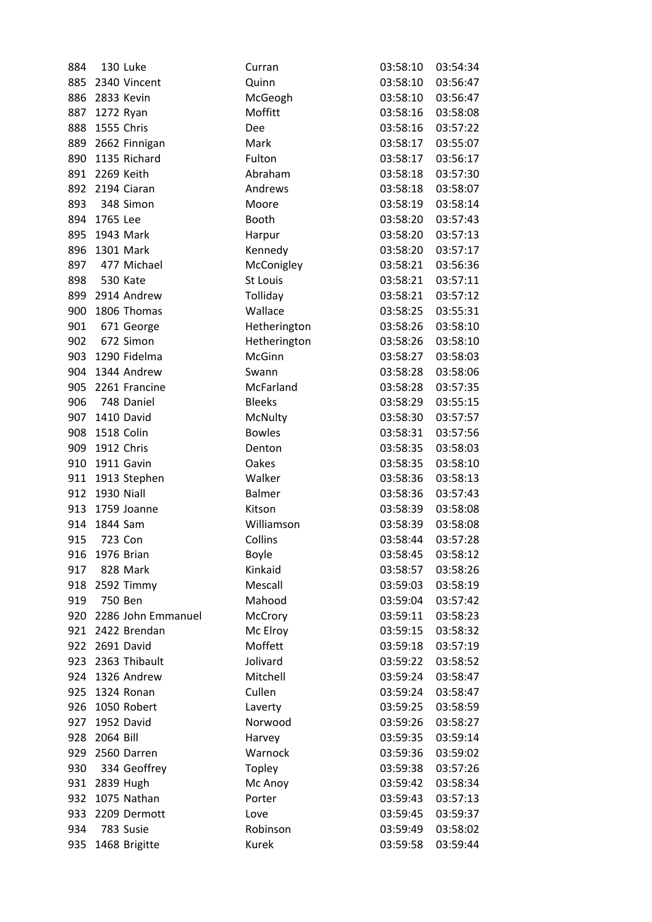| 884 |                | 130 Luke               | Curran          | 03:58:10          | 03:54:34 |
|-----|----------------|------------------------|-----------------|-------------------|----------|
|     |                | 885 2340 Vincent       | Quinn           | 03:58:10          | 03:56:47 |
| 886 | 2833 Kevin     |                        | McGeogh         | 03:58:10          | 03:56:47 |
|     | 887 1272 Ryan  |                        | Moffitt         | 03:58:16          | 03:58:08 |
|     | 888 1555 Chris |                        | Dee             | 03:58:16          | 03:57:22 |
| 889 |                | 2662 Finnigan          | Mark            | 03:58:17          | 03:55:07 |
| 890 |                | 1135 Richard           | Fulton          | 03:58:17          | 03:56:17 |
|     | 891 2269 Keith |                        | Abraham         | 03:58:18          | 03:57:30 |
| 892 |                | 2194 Ciaran            | Andrews         | 03:58:18          | 03:58:07 |
| 893 |                | 348 Simon              | Moore           | 03:58:19          | 03:58:14 |
|     | 894 1765 Lee   |                        | Booth           | 03:58:20          | 03:57:43 |
| 895 | 1943 Mark      |                        | Harpur          | 03:58:20          | 03:57:13 |
| 896 |                | 1301 Mark              | Kennedy         | 03:58:20          | 03:57:17 |
| 897 |                | 477 Michael            | McConigley      | 03:58:21          | 03:56:36 |
| 898 | 530 Kate       |                        | <b>St Louis</b> | 03:58:21          | 03:57:11 |
|     |                | 899 2914 Andrew        | Tolliday        | 03:58:21          | 03:57:12 |
| 900 |                | 1806 Thomas            | Wallace         | 03:58:25          | 03:55:31 |
| 901 |                | 671 George             | Hetherington    | 03:58:26          | 03:58:10 |
| 902 |                | 672 Simon              | Hetherington    | 03:58:26          | 03:58:10 |
|     |                | 903 1290 Fidelma       | McGinn          | 03:58:27          | 03:58:03 |
|     |                | 904 1344 Andrew        | Swann           | 03:58:28          | 03:58:06 |
|     |                | 905 2261 Francine      | McFarland       | 03:58:28          | 03:57:35 |
| 906 |                | 748 Daniel             | <b>Bleeks</b>   | 03:58:29          | 03:55:15 |
| 907 |                | 1410 David             | McNulty         | 03:58:30          | 03:57:57 |
| 908 | 1518 Colin     |                        | <b>Bowles</b>   | 03:58:31          | 03:57:56 |
|     | 909 1912 Chris |                        | Denton          | 03:58:35          | 03:58:03 |
| 910 |                | 1911 Gavin             | Oakes           | 03:58:35          | 03:58:10 |
|     |                | 911 1913 Stephen       | Walker          | 03:58:36          | 03:58:13 |
|     | 912 1930 Niall |                        | <b>Balmer</b>   | 03:58:36          | 03:57:43 |
|     |                | 913 1759 Joanne        | Kitson          | 03:58:39          | 03:58:08 |
| 914 | 1844 Sam       |                        | Williamson      | 03:58:39          | 03:58:08 |
| 915 | 723 Con        |                        | Collins         | 03:58:44          | 03:57:28 |
|     | 916 1976 Brian |                        | <b>Boyle</b>    | 03:58:45 03:58:12 |          |
| 917 |                | 828 Mark               | Kinkaid         | 03:58:57          | 03:58:26 |
|     |                | 918 2592 Timmy         | Mescall         | 03:59:03          | 03:58:19 |
| 919 | 750 Ben        |                        | Mahood          | 03:59:04          | 03:57:42 |
|     |                | 920 2286 John Emmanuel | McCrory         | 03:59:11          | 03:58:23 |
|     |                | 921 2422 Brendan       | Mc Elroy        | 03:59:15          | 03:58:32 |
|     |                | 922 2691 David         | Moffett         | 03:59:18          | 03:57:19 |
|     |                | 923 2363 Thibault      | Jolivard        | 03:59:22          | 03:58:52 |
|     |                | 924 1326 Andrew        | Mitchell        | 03:59:24          | 03:58:47 |
|     |                | 925 1324 Ronan         | Cullen          | 03:59:24          | 03:58:47 |
| 926 |                | 1050 Robert            | Laverty         | 03:59:25          | 03:58:59 |
|     |                | 927 1952 David         | Norwood         | 03:59:26          | 03:58:27 |
| 928 | 2064 Bill      |                        | Harvey          | 03:59:35          | 03:59:14 |
| 929 |                | 2560 Darren            | Warnock         | 03:59:36          | 03:59:02 |
| 930 |                | 334 Geoffrey           | Topley          | 03:59:38          | 03:57:26 |
|     | 931 2839 Hugh  |                        | Mc Anoy         | 03:59:42          | 03:58:34 |
| 932 |                | 1075 Nathan            | Porter          | 03:59:43          | 03:57:13 |
|     |                | 933 2209 Dermott       | Love            | 03:59:45          | 03:59:37 |
| 934 |                | 783 Susie              | Robinson        | 03:59:49          | 03:58:02 |
| 935 |                | 1468 Brigitte          | Kurek           | 03:59:58          | 03:59:44 |
|     |                |                        |                 |                   |          |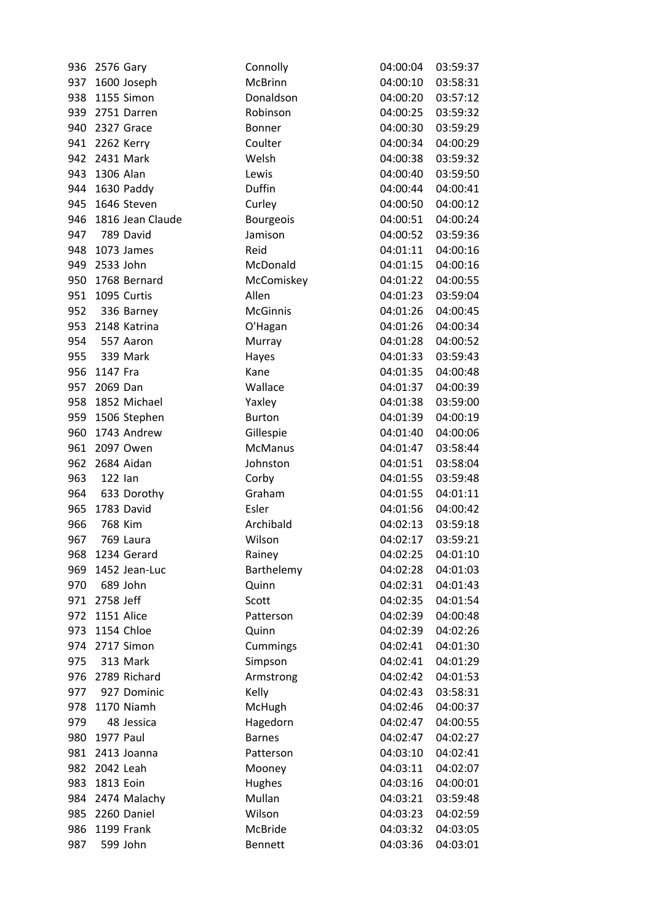|     | 936 2576 Gary  |                  | Connolly        | 04:00:04 | 03:59:37 |
|-----|----------------|------------------|-----------------|----------|----------|
| 937 |                | 1600 Joseph      | McBrinn         | 04:00:10 | 03:58:31 |
| 938 |                | 1155 Simon       | Donaldson       | 04:00:20 | 03:57:12 |
|     |                | 939 2751 Darren  | Robinson        | 04:00:25 | 03:59:32 |
|     | 940 2327 Grace |                  | <b>Bonner</b>   | 04:00:30 | 03:59:29 |
| 941 | 2262 Kerry     |                  | Coulter         | 04:00:34 | 04:00:29 |
| 942 | 2431 Mark      |                  | Welsh           | 04:00:38 | 03:59:32 |
|     | 943 1306 Alan  |                  | Lewis           | 04:00:40 | 03:59:50 |
| 944 |                | 1630 Paddy       | Duffin          | 04:00:44 | 04:00:41 |
|     |                | 945 1646 Steven  | Curley          | 04:00:50 | 04:00:12 |
| 946 |                | 1816 Jean Claude | Bourgeois       | 04:00:51 | 04:00:24 |
| 947 |                | 789 David        | Jamison         | 04:00:52 | 03:59:36 |
| 948 |                | 1073 James       | Reid            | 04:01:11 | 04:00:16 |
| 949 | 2533 John      |                  | McDonald        | 04:01:15 | 04:00:16 |
| 950 |                | 1768 Bernard     | McComiskey      | 04:01:22 | 04:00:55 |
| 951 | 1095 Curtis    |                  | Allen           | 04:01:23 | 03:59:04 |
|     |                | 952 336 Barney   | <b>McGinnis</b> | 04:01:26 | 04:00:45 |
|     |                | 953 2148 Katrina | O'Hagan         | 04:01:26 | 04:00:34 |
| 954 | 557 Aaron      |                  | Murray          | 04:01:28 | 04:00:52 |
|     | 955 339 Mark   |                  | Hayes           | 04:01:33 | 03:59:43 |
|     | 956 1147 Fra   |                  | Kane            | 04:01:35 | 04:00:48 |
| 957 | 2069 Dan       |                  | Wallace         | 04:01:37 | 04:00:39 |
| 958 |                | 1852 Michael     | Yaxley          | 04:01:38 | 03:59:00 |
| 959 |                | 1506 Stephen     | <b>Burton</b>   | 04:01:39 | 04:00:19 |
| 960 |                | 1743 Andrew      | Gillespie       | 04:01:40 | 04:00:06 |
| 961 | 2097 Owen      |                  | <b>McManus</b>  | 04:01:47 | 03:58:44 |
| 962 | 2684 Aidan     |                  | Johnston        | 04:01:51 | 03:58:04 |
| 963 | 122 lan        |                  | Corby           | 04:01:55 | 03:59:48 |
|     |                | 964 633 Dorothy  | Graham          | 04:01:55 | 04:01:11 |
| 965 | 1783 David     |                  | Esler           | 04:01:56 | 04:00:42 |
| 966 | 768 Kim        |                  | Archibald       | 04:02:13 | 03:59:18 |
| 967 | 769 Laura      |                  | Wilson          | 04:02:17 | 03:59:21 |
|     |                | 968 1234 Gerard  | Rainey          | 04:02:25 | 04:01:10 |
| 969 |                | 1452 Jean-Luc    | Barthelemy      | 04:02:28 | 04:01:03 |
| 970 |                | 689 John         | Quinn           | 04:02:31 | 04:01:43 |
| 971 | 2758 Jeff      |                  | Scott           | 04:02:35 | 04:01:54 |
| 972 | 1151 Alice     |                  | Patterson       | 04:02:39 | 04:00:48 |
| 973 | 1154 Chloe     |                  | Quinn           | 04:02:39 | 04:02:26 |
|     | 974 2717 Simon |                  | Cummings        | 04:02:41 | 04:01:30 |
| 975 |                | 313 Mark         | Simpson         | 04:02:41 | 04:01:29 |
| 976 |                | 2789 Richard     | Armstrong       | 04:02:42 | 04:01:53 |
| 977 |                | 927 Dominic      | Kelly           | 04:02:43 | 03:58:31 |
| 978 |                | 1170 Niamh       | McHugh          | 04:02:46 | 04:00:37 |
| 979 |                | 48 Jessica       | Hagedorn        | 04:02:47 | 04:00:55 |
| 980 | 1977 Paul      |                  | <b>Barnes</b>   | 04:02:47 | 04:02:27 |
| 981 |                | 2413 Joanna      | Patterson       | 04:03:10 | 04:02:41 |
| 982 | 2042 Leah      |                  | Mooney          | 04:03:11 | 04:02:07 |
| 983 | 1813 Eoin      |                  | Hughes          | 04:03:16 | 04:00:01 |
| 984 |                | 2474 Malachy     | Mullan          | 04:03:21 | 03:59:48 |
| 985 |                | 2260 Daniel      | Wilson          | 04:03:23 | 04:02:59 |
| 986 | 1199 Frank     |                  | McBride         | 04:03:32 | 04:03:05 |
| 987 | 599 John       |                  | <b>Bennett</b>  | 04:03:36 | 04:03:01 |
|     |                |                  |                 |          |          |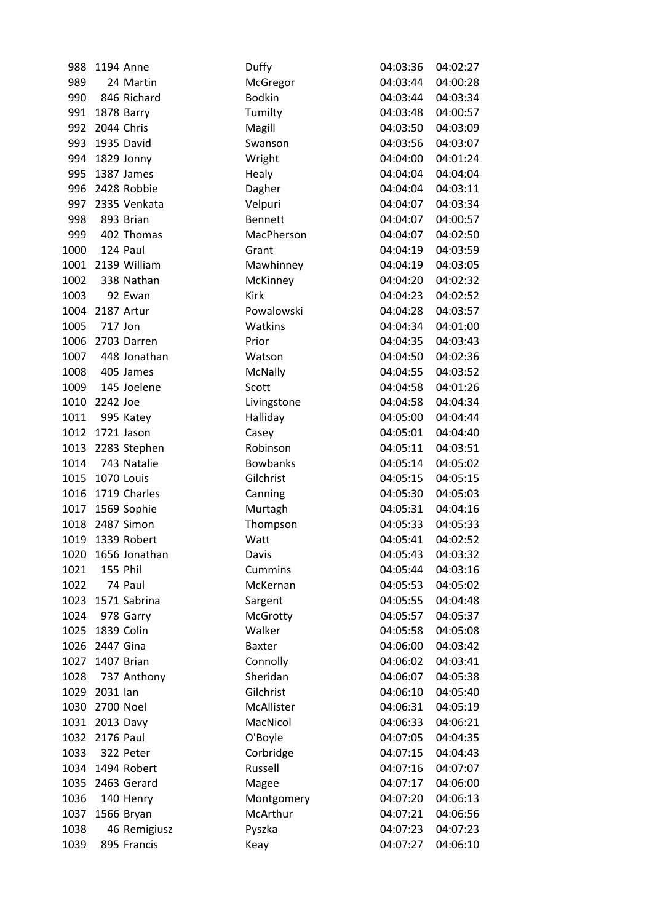| 988  | 1194 Anne          | Duffy           | 04:03:36 | 04:02:27 |
|------|--------------------|-----------------|----------|----------|
| 989  | 24 Martin          | McGregor        | 04:03:44 | 04:00:28 |
| 990  | 846 Richard        | <b>Bodkin</b>   | 04:03:44 | 04:03:34 |
| 991  | 1878 Barry         | Tumilty         | 04:03:48 | 04:00:57 |
| 992  | 2044 Chris         | Magill          | 04:03:50 | 04:03:09 |
| 993  | 1935 David         | Swanson         | 04:03:56 | 04:03:07 |
| 994  | 1829 Jonny         | Wright          | 04:04:00 | 04:01:24 |
| 995  | 1387 James         | Healy           | 04:04:04 | 04:04:04 |
| 996  | 2428 Robbie        | Dagher          | 04:04:04 | 04:03:11 |
| 997  | 2335 Venkata       | Velpuri         | 04:04:07 | 04:03:34 |
| 998  | 893 Brian          | <b>Bennett</b>  | 04:04:07 | 04:00:57 |
| 999  | 402 Thomas         | MacPherson      | 04:04:07 | 04:02:50 |
| 1000 | 124 Paul           | Grant           | 04:04:19 | 04:03:59 |
| 1001 | 2139 William       | Mawhinney       | 04:04:19 | 04:03:05 |
| 1002 | 338 Nathan         | McKinney        | 04:04:20 | 04:02:32 |
| 1003 | 92 Ewan            | Kirk            | 04:04:23 | 04:02:52 |
|      | 1004 2187 Artur    | Powalowski      | 04:04:28 | 04:03:57 |
| 1005 | 717 Jon            | Watkins         | 04:04:34 | 04:01:00 |
| 1006 | 2703 Darren        | Prior           | 04:04:35 | 04:03:43 |
| 1007 | 448 Jonathan       | Watson          | 04:04:50 | 04:02:36 |
| 1008 | 405 James          | McNally         | 04:04:55 | 04:03:52 |
| 1009 | 145 Joelene        | Scott           | 04:04:58 | 04:01:26 |
| 1010 | 2242 Joe           | Livingstone     | 04:04:58 | 04:04:34 |
| 1011 | 995 Katey          | Halliday        | 04:05:00 | 04:04:44 |
| 1012 | 1721 Jason         | Casey           | 04:05:01 | 04:04:40 |
| 1013 | 2283 Stephen       | Robinson        | 04:05:11 | 04:03:51 |
|      | 1014 743 Natalie   | <b>Bowbanks</b> | 04:05:14 | 04:05:02 |
| 1015 | 1070 Louis         | Gilchrist       | 04:05:15 | 04:05:15 |
| 1016 | 1719 Charles       | Canning         | 04:05:30 | 04:05:03 |
|      | 1017 1569 Sophie   | Murtagh         | 04:05:31 | 04:04:16 |
| 1018 | 2487 Simon         | Thompson        | 04:05:33 | 04:05:33 |
|      | 1019 1339 Robert   | Watt            | 04:05:41 | 04:02:52 |
|      | 1020 1656 Jonathan | Davis           | 04:05:43 | 04:03:32 |
| 1021 | 155 Phil           | <b>Cummins</b>  | 04:05:44 | 04:03:16 |
| 1022 | 74 Paul            | McKernan        | 04:05:53 | 04:05:02 |
| 1023 | 1571 Sabrina       | Sargent         | 04:05:55 | 04:04:48 |
| 1024 | 978 Garry          | McGrotty        | 04:05:57 | 04:05:37 |
| 1025 | 1839 Colin         | Walker          | 04:05:58 | 04:05:08 |
|      | 1026 2447 Gina     | <b>Baxter</b>   | 04:06:00 | 04:03:42 |
|      | 1027 1407 Brian    | Connolly        | 04:06:02 | 04:03:41 |
| 1028 | 737 Anthony        | Sheridan        | 04:06:07 | 04:05:38 |
| 1029 | 2031 lan           | Gilchrist       | 04:06:10 | 04:05:40 |
| 1030 | 2700 Noel          | McAllister      | 04:06:31 | 04:05:19 |
|      | 1031 2013 Davy     | MacNicol        | 04:06:33 | 04:06:21 |
|      | 1032 2176 Paul     | O'Boyle         | 04:07:05 | 04:04:35 |
| 1033 | 322 Peter          | Corbridge       | 04:07:15 | 04:04:43 |
| 1034 | 1494 Robert        | Russell         | 04:07:16 | 04:07:07 |
| 1035 | 2463 Gerard        | Magee           | 04:07:17 | 04:06:00 |
| 1036 | 140 Henry          | Montgomery      | 04:07:20 | 04:06:13 |
| 1037 | 1566 Bryan         | McArthur        | 04:07:21 | 04:06:56 |
| 1038 | 46 Remigiusz       | Pyszka          | 04:07:23 | 04:07:23 |
| 1039 | 895 Francis        | Keay            | 04:07:27 | 04:06:10 |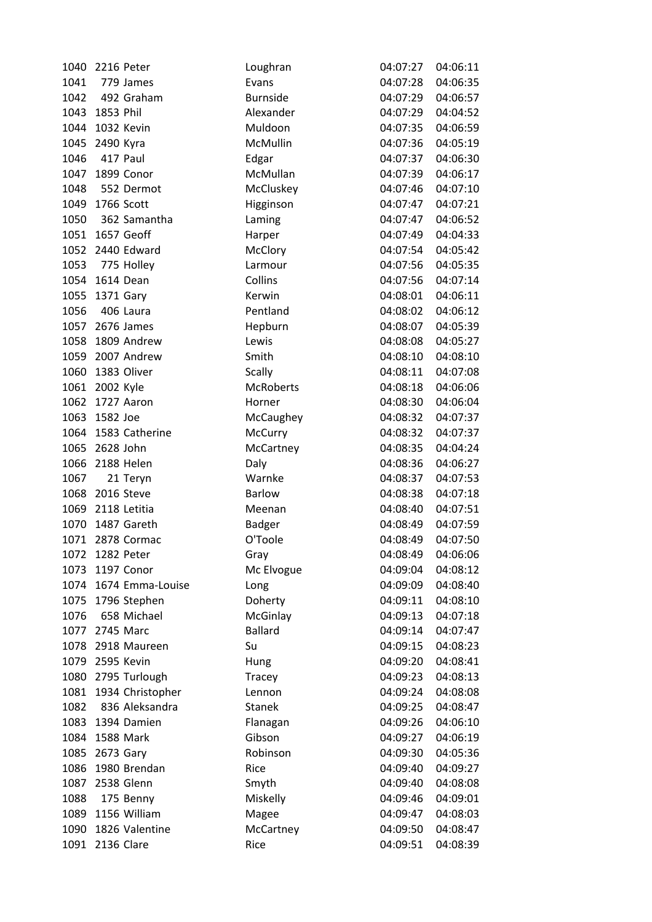| 1040         | 2216 Peter      |                       | Loughran         | 04:07:27             | 04:06:11 |
|--------------|-----------------|-----------------------|------------------|----------------------|----------|
| 1041         |                 | 779 James             | Evans            | 04:07:28             | 04:06:35 |
| 1042         |                 | 492 Graham            | <b>Burnside</b>  | 04:07:29             | 04:06:57 |
|              | 1043 1853 Phil  |                       | Alexander        | 04:07:29             | 04:04:52 |
|              | 1044 1032 Kevin |                       | Muldoon          | 04:07:35             | 04:06:59 |
| 1045         | 2490 Kyra       |                       | McMullin         | 04:07:36             | 04:05:19 |
| 1046         |                 | 417 Paul              | Edgar            | 04:07:37             | 04:06:30 |
| 1047         |                 | 1899 Conor            | McMullan         | 04:07:39             | 04:06:17 |
| 1048         |                 | 552 Dermot            | McCluskey        | 04:07:46             | 04:07:10 |
|              | 1049 1766 Scott |                       | Higginson        | 04:07:47             | 04:07:21 |
| 1050         |                 | 362 Samantha          | Laming           | 04:07:47             | 04:06:52 |
|              |                 | 1051 1657 Geoff       | Harper           | 04:07:49             | 04:04:33 |
|              |                 | 1052 2440 Edward      | McClory          | 04:07:54             | 04:05:42 |
| 1053         |                 | 775 Holley            | Larmour          | 04:07:56             | 04:05:35 |
|              | 1054 1614 Dean  |                       | Collins          | 04:07:56             | 04:07:14 |
| 1055         | 1371 Gary       |                       | Kerwin           | 04:08:01             | 04:06:11 |
| 1056         |                 | 406 Laura             | Pentland         | 04:08:02             | 04:06:12 |
|              |                 | 1057 2676 James       | Hepburn          | 04:08:07             | 04:05:39 |
|              |                 | 1058 1809 Andrew      | Lewis            | 04:08:08             | 04:05:27 |
|              |                 | 1059 2007 Andrew      | Smith            | 04:08:10             | 04:08:10 |
|              |                 | 1060 1383 Oliver      | <b>Scally</b>    | 04:08:11             | 04:07:08 |
|              | 1061 2002 Kyle  |                       | <b>McRoberts</b> | 04:08:18             | 04:06:06 |
|              |                 | 1062 1727 Aaron       | Horner           | 04:08:30             | 04:06:04 |
|              | 1063 1582 Joe   |                       | McCaughey        | 04:08:32             | 04:07:37 |
| 1064         |                 | 1583 Catherine        | McCurry          | 04:08:32             | 04:07:37 |
|              | 1065 2628 John  |                       | McCartney        | 04:08:35             | 04:04:24 |
|              |                 | 1066 2188 Helen       | Daly             | 04:08:36             | 04:06:27 |
| 1067         |                 | 21 Teryn              | Warnke           | 04:08:37             | 04:07:53 |
|              | 1068 2016 Steve |                       | <b>Barlow</b>    | 04:08:38             | 04:07:18 |
|              |                 | 1069 2118 Letitia     | Meenan           | 04:08:40             | 04:07:51 |
| 1070         |                 | 1487 Gareth           | Badger           | 04:08:49             | 04:07:59 |
|              |                 | 1071 2878 Cormac      | O'Toole          | 04:08:49             | 04:07:50 |
|              | 1072 1282 Peter |                       | Gray             | 04:08:49             | 04:06:06 |
|              |                 | 1197 Conor            |                  |                      |          |
| 1073<br>1074 |                 |                       | Mc Elvogue       | 04:09:04<br>04:09:09 | 04:08:12 |
|              |                 | 1674 Emma-Louise      | Long             |                      | 04:08:40 |
| 1075         |                 | 1796 Stephen          | Doherty          | 04:09:11             | 04:08:10 |
| 1076         |                 | 658 Michael           | McGinlay         | 04:09:13             | 04:07:18 |
|              | 1077 2745 Marc  |                       | <b>Ballard</b>   | 04:09:14             | 04:07:47 |
|              |                 | 1078 2918 Maureen     | Su               | 04:09:15             | 04:08:23 |
|              | 1079 2595 Kevin |                       | Hung             | 04:09:20             | 04:08:41 |
|              |                 | 1080 2795 Turlough    | Tracey           | 04:09:23             | 04:08:13 |
|              |                 | 1081 1934 Christopher | Lennon           | 04:09:24             | 04:08:08 |
| 1082         |                 | 836 Aleksandra        | <b>Stanek</b>    | 04:09:25             | 04:08:47 |
|              |                 | 1083 1394 Damien      | Flanagan         | 04:09:26             | 04:06:10 |
|              | 1084 1588 Mark  |                       | Gibson           | 04:09:27             | 04:06:19 |
| 1085         | 2673 Gary       |                       | Robinson         | 04:09:30             | 04:05:36 |
| 1086         |                 | 1980 Brendan          | Rice             | 04:09:40             | 04:09:27 |
| 1087         |                 | 2538 Glenn            | Smyth            | 04:09:40             | 04:08:08 |
| 1088         |                 | 175 Benny             | Miskelly         | 04:09:46             | 04:09:01 |
|              |                 | 1089 1156 William     | Magee            | 04:09:47             | 04:08:03 |
| 1090         |                 | 1826 Valentine        | McCartney        | 04:09:50             | 04:08:47 |
| 1091         | 2136 Clare      |                       | Rice             | 04:09:51             | 04:08:39 |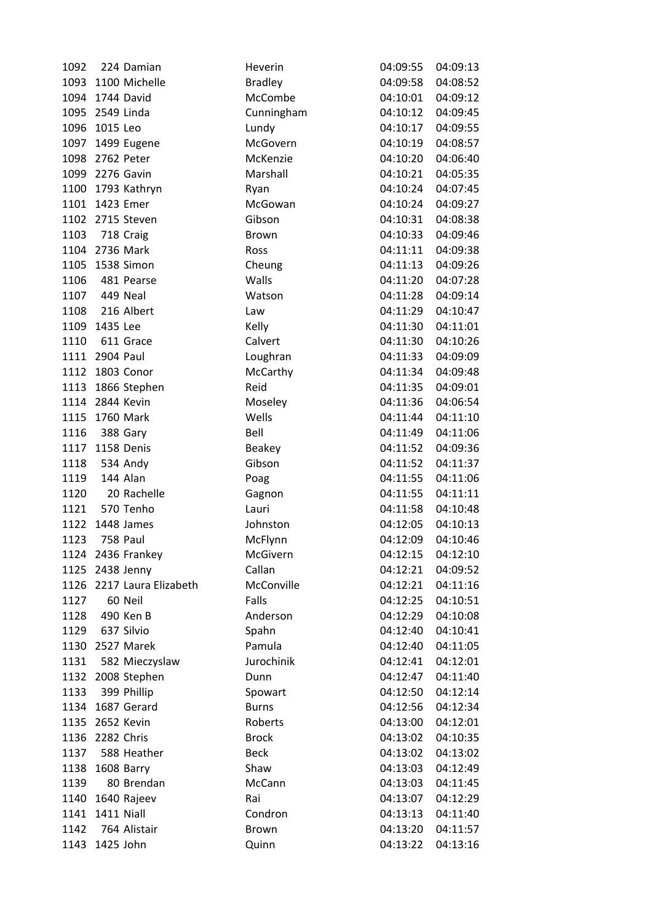| 1092 |                 | 224 Damian                | Heverin        | 04:09:55          | 04:09:13 |
|------|-----------------|---------------------------|----------------|-------------------|----------|
|      |                 | 1093 1100 Michelle        | <b>Bradley</b> | 04:09:58          | 04:08:52 |
| 1094 |                 | 1744 David                | McCombe        | 04:10:01          | 04:09:12 |
|      | 1095 2549 Linda |                           | Cunningham     | 04:10:12          | 04:09:45 |
|      | 1096 1015 Leo   |                           | Lundy          | 04:10:17          | 04:09:55 |
|      |                 | 1097 1499 Eugene          | McGovern       | 04:10:19          | 04:08:57 |
|      | 1098 2762 Peter |                           | McKenzie       | 04:10:20          | 04:06:40 |
|      |                 | 1099 2276 Gavin           | Marshall       | 04:10:21          | 04:05:35 |
|      |                 | 1100 1793 Kathryn         | Ryan           | 04:10:24          | 04:07:45 |
|      | 1101 1423 Emer  |                           | McGowan        | 04:10:24          | 04:09:27 |
|      |                 | 1102 2715 Steven          | Gibson         | 04:10:31          | 04:08:38 |
| 1103 | 718 Craig       |                           | <b>Brown</b>   | 04:10:33          | 04:09:46 |
|      | 1104 2736 Mark  |                           | Ross           | 04:11:11          | 04:09:38 |
|      |                 | 1105 1538 Simon           | Cheung         | 04:11:13          | 04:09:26 |
| 1106 |                 | 481 Pearse                | Walls          | 04:11:20          | 04:07:28 |
|      | 1107 449 Neal   |                           | Watson         | 04:11:28          | 04:09:14 |
|      |                 | 1108 216 Albert           | Law            | 04:11:29          | 04:10:47 |
|      | 1109 1435 Lee   |                           | Kelly          | 04:11:30          | 04:11:01 |
| 1110 |                 | 611 Grace                 | Calvert        | 04:11:30          | 04:10:26 |
|      | 1111 2904 Paul  |                           | Loughran       | 04:11:33          | 04:09:09 |
|      |                 | 1112 1803 Conor           | McCarthy       | 04:11:34          | 04:09:48 |
|      |                 | 1113 1866 Stephen         | Reid           | 04:11:35          | 04:09:01 |
|      |                 | 1114 2844 Kevin           | Moseley        | 04:11:36          | 04:06:54 |
|      | 1115 1760 Mark  |                           | Wells          | 04:11:44          | 04:11:10 |
| 1116 |                 | 388 Gary                  | Bell           | 04:11:49          | 04:11:06 |
|      |                 | 1117 1158 Denis           | Beakey         | 04:11:52          | 04:09:36 |
| 1118 | 534 Andy        |                           | Gibson         | 04:11:52          | 04:11:37 |
| 1119 | 144 Alan        |                           | Poag           | 04:11:55          | 04:11:06 |
| 1120 |                 | 20 Rachelle               | Gagnon         | 04:11:55          | 04:11:11 |
| 1121 |                 | 570 Tenho                 | Lauri          | 04:11:58          | 04:10:48 |
| 1122 |                 | 1448 James                | Johnston       | 04:12:05          | 04:10:13 |
| 1123 | 758 Paul        |                           | McFlynn        | 04:12:09          | 04:10:46 |
|      |                 | 1124 2436 Frankey         | McGivern       | 04:12:15 04:12:10 |          |
|      |                 | 1125 2438 Jenny           | Callan         | 04:12:21          | 04:09:52 |
|      |                 | 1126 2217 Laura Elizabeth | McConville     | 04:12:21          | 04:11:16 |
| 1127 |                 | 60 Neil                   | Falls          | 04:12:25          | 04:10:51 |
| 1128 |                 | 490 Ken B                 | Anderson       | 04:12:29          | 04:10:08 |
|      | 1129 637 Silvio |                           | Spahn          | 04:12:40          | 04:10:41 |
|      |                 | 1130 2527 Marek           | Pamula         | 04:12:40          | 04:11:05 |
| 1131 |                 | 582 Mieczyslaw            | Jurochinik     | 04:12:41          | 04:12:01 |
|      |                 | 1132 2008 Stephen         | Dunn           | 04:12:47          | 04:11:40 |
| 1133 |                 | 399 Phillip               | Spowart        | 04:12:50          | 04:12:14 |
| 1134 |                 | 1687 Gerard               | <b>Burns</b>   | 04:12:56          | 04:12:34 |
|      |                 | 1135 2652 Kevin           | Roberts        | 04:13:00          | 04:12:01 |
| 1136 | 2282 Chris      |                           | <b>Brock</b>   | 04:13:02          | 04:10:35 |
| 1137 |                 | 588 Heather               | <b>Beck</b>    | 04:13:02          | 04:13:02 |
| 1138 |                 | 1608 Barry                | Shaw           | 04:13:03          | 04:12:49 |
| 1139 |                 | 80 Brendan                | McCann         | 04:13:03          | 04:11:45 |
| 1140 |                 | 1640 Rajeev               | Rai            | 04:13:07          | 04:12:29 |
|      | 1141 1411 Niall |                           | Condron        | 04:13:13          | 04:11:40 |
| 1142 |                 | 764 Alistair              | Brown          | 04:13:20          | 04:11:57 |
| 1143 | 1425 John       |                           | Quinn          | 04:13:22          | 04:13:16 |
|      |                 |                           |                |                   |          |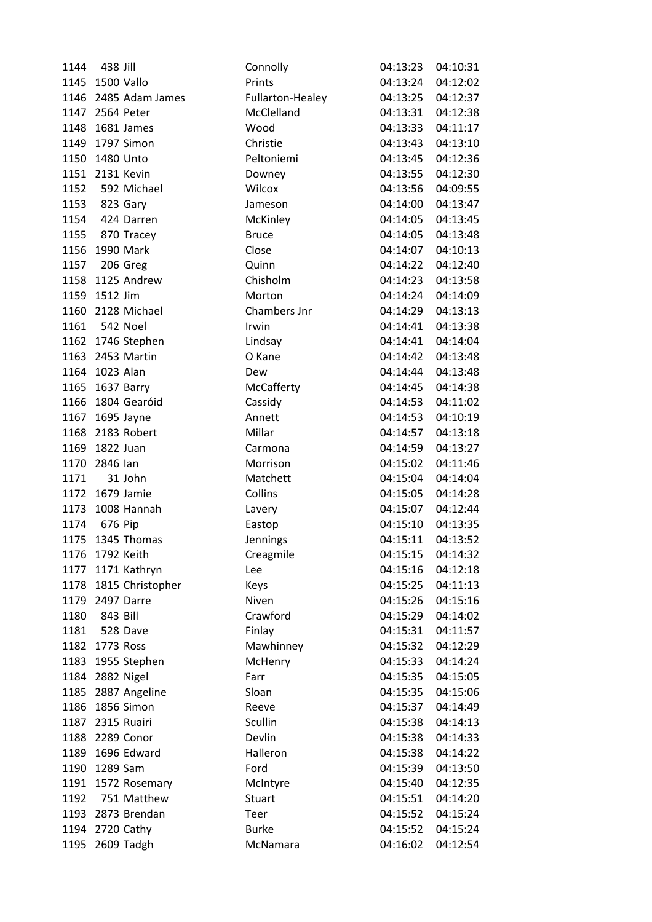| 1144 | 438 Jill              | Connolly         | 04:13:23          | 04:10:31 |
|------|-----------------------|------------------|-------------------|----------|
|      | 1145 1500 Vallo       | Prints           | 04:13:24          | 04:12:02 |
| 1146 | 2485 Adam James       | Fullarton-Healey | 04:13:25          | 04:12:37 |
|      | 1147 2564 Peter       | McClelland       | 04:13:31          | 04:12:38 |
|      | 1148 1681 James       | Wood             | 04:13:33          | 04:11:17 |
| 1149 | 1797 Simon            | Christie         | 04:13:43          | 04:13:10 |
|      | 1150 1480 Unto        | Peltoniemi       | 04:13:45          | 04:12:36 |
|      | 1151 2131 Kevin       | Downey           | 04:13:55          | 04:12:30 |
| 1152 | 592 Michael           | Wilcox           | 04:13:56          | 04:09:55 |
|      | 1153 823 Gary         | Jameson          | 04:14:00          | 04:13:47 |
|      | 1154 424 Darren       | McKinley         | 04:14:05          | 04:13:45 |
|      | 1155 870 Tracey       | <b>Bruce</b>     | 04:14:05          | 04:13:48 |
|      | 1156 1990 Mark        | Close            | 04:14:07          | 04:10:13 |
|      | 1157 206 Greg         | Quinn            | 04:14:22          | 04:12:40 |
|      | 1158 1125 Andrew      | Chisholm         | 04:14:23          | 04:13:58 |
|      | 1159 1512 Jim         | Morton           | 04:14:24          | 04:14:09 |
|      | 1160 2128 Michael     | Chambers Jnr     | 04:14:29          | 04:13:13 |
|      | 1161 542 Noel         | Irwin            | 04:14:41          | 04:13:38 |
|      | 1162 1746 Stephen     | Lindsay          | 04:14:41          | 04:14:04 |
|      | 1163 2453 Martin      | O Kane           | 04:14:42          | 04:13:48 |
|      | 1164 1023 Alan        | Dew              | 04:14:44          | 04:13:48 |
|      | 1165 1637 Barry       | McCafferty       | 04:14:45          | 04:14:38 |
|      | 1166 1804 Gearóid     | Cassidy          | 04:14:53          | 04:11:02 |
|      | 1167 1695 Jayne       | Annett           | 04:14:53          | 04:10:19 |
|      | 1168 2183 Robert      | Millar           | 04:14:57          | 04:13:18 |
|      | 1169 1822 Juan        | Carmona          | 04:14:59          | 04:13:27 |
|      | 1170 2846 lan         | Morrison         | 04:15:02          | 04:11:46 |
| 1171 | 31 John               | Matchett         | 04:15:04          | 04:14:04 |
|      | 1172 1679 Jamie       | Collins          | 04:15:05          | 04:14:28 |
|      | 1173 1008 Hannah      | Lavery           | 04:15:07          | 04:12:44 |
| 1174 | 676 Pip               | Eastop           | 04:15:10          | 04:13:35 |
| 1175 | 1345 Thomas           | Jennings         | 04:15:11          | 04:13:52 |
|      | 1176 1792 Keith       | Creagmile        | 04:15:15 04:14:32 |          |
|      | 1177 1171 Kathryn     | Lee              | 04:15:16          | 04:12:18 |
|      | 1178 1815 Christopher | Keys             | 04:15:25          | 04:11:13 |
|      | 1179 2497 Darre       | Niven            | 04:15:26          | 04:15:16 |
| 1180 | 843 Bill              | Crawford         | 04:15:29          | 04:14:02 |
|      | 1181 528 Dave         | Finlay           | 04:15:31          | 04:11:57 |
|      | 1182 1773 Ross        | Mawhinney        | 04:15:32          | 04:12:29 |
|      | 1183 1955 Stephen     | McHenry          | 04:15:33          | 04:14:24 |
|      | 1184 2882 Nigel       | Farr             | 04:15:35          | 04:15:05 |
|      | 1185 2887 Angeline    | Sloan            | 04:15:35          | 04:15:06 |
| 1186 | 1856 Simon            | Reeve            | 04:15:37          | 04:14:49 |
|      | 1187 2315 Ruairi      | Scullin          | 04:15:38          | 04:14:13 |
|      | 1188 2289 Conor       | Devlin           | 04:15:38          | 04:14:33 |
| 1189 | 1696 Edward           | Halleron         | 04:15:38          | 04:14:22 |
| 1190 | 1289 Sam              | Ford             | 04:15:39          | 04:13:50 |
|      | 1191 1572 Rosemary    | McIntyre         | 04:15:40          | 04:12:35 |
| 1192 | 751 Matthew           | Stuart           | 04:15:51          | 04:14:20 |
|      | 1193 2873 Brendan     | Teer             | 04:15:52          | 04:15:24 |
|      | 1194 2720 Cathy       | <b>Burke</b>     | 04:15:52          | 04:15:24 |
| 1195 | 2609 Tadgh            | McNamara         | 04:16:02          | 04:12:54 |
|      |                       |                  |                   |          |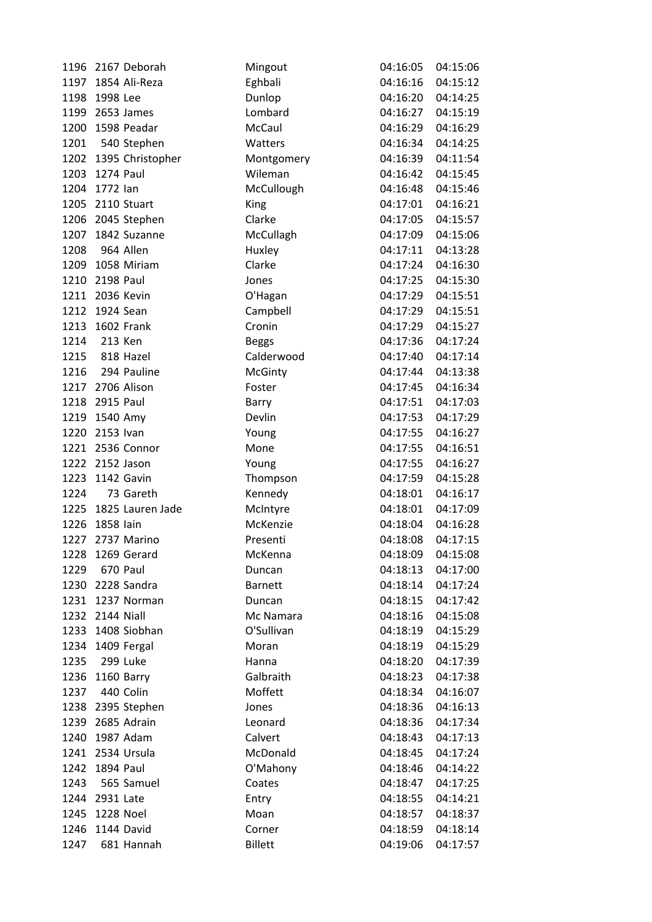| 1196 | 2167 Deborah      | Mingout        | 04:16:05 | 04:15:06 |
|------|-------------------|----------------|----------|----------|
| 1197 | 1854 Ali-Reza     | Eghbali        | 04:16:16 | 04:15:12 |
| 1198 | 1998 Lee          | Dunlop         | 04:16:20 | 04:14:25 |
|      | 1199 2653 James   | Lombard        | 04:16:27 | 04:15:19 |
| 1200 | 1598 Peadar       | McCaul         | 04:16:29 | 04:16:29 |
| 1201 | 540 Stephen       | Watters        | 04:16:34 | 04:14:25 |
| 1202 | 1395 Christopher  | Montgomery     | 04:16:39 | 04:11:54 |
| 1203 | 1274 Paul         | Wileman        | 04:16:42 | 04:15:45 |
| 1204 | 1772 lan          | McCullough     | 04:16:48 | 04:15:46 |
| 1205 | 2110 Stuart       | King           | 04:17:01 | 04:16:21 |
|      | 1206 2045 Stephen | Clarke         | 04:17:05 | 04:15:57 |
| 1207 | 1842 Suzanne      | McCullagh      | 04:17:09 | 04:15:06 |
| 1208 | 964 Allen         | Huxley         | 04:17:11 | 04:13:28 |
| 1209 | 1058 Miriam       | Clarke         | 04:17:24 | 04:16:30 |
| 1210 | <b>2198 Paul</b>  | Jones          | 04:17:25 | 04:15:30 |
|      | 1211 2036 Kevin   | O'Hagan        | 04:17:29 | 04:15:51 |
| 1212 | 1924 Sean         | Campbell       | 04:17:29 | 04:15:51 |
| 1213 | 1602 Frank        | Cronin         | 04:17:29 | 04:15:27 |
| 1214 | 213 Ken           | <b>Beggs</b>   | 04:17:36 | 04:17:24 |
| 1215 | 818 Hazel         | Calderwood     | 04:17:40 | 04:17:14 |
| 1216 | 294 Pauline       | <b>McGinty</b> | 04:17:44 | 04:13:38 |
|      | 1217 2706 Alison  | Foster         | 04:17:45 | 04:16:34 |
| 1218 | 2915 Paul         | Barry          | 04:17:51 | 04:17:03 |
| 1219 | 1540 Amy          | Devlin         | 04:17:53 | 04:17:29 |
| 1220 | 2153 Ivan         | Young          | 04:17:55 | 04:16:27 |
| 1221 | 2536 Connor       | Mone           | 04:17:55 | 04:16:51 |
| 1222 | 2152 Jason        | Young          | 04:17:55 | 04:16:27 |
| 1223 | 1142 Gavin        | Thompson       | 04:17:59 | 04:15:28 |
| 1224 | 73 Gareth         | Kennedy        | 04:18:01 | 04:16:17 |
| 1225 | 1825 Lauren Jade  | McIntyre       | 04:18:01 | 04:17:09 |
| 1226 | 1858 lain         | McKenzie       | 04:18:04 | 04:16:28 |
| 1227 | 2737 Marino       | Presenti       | 04:18:08 | 04:17:15 |
|      | 1228 1269 Gerard  | McKenna        | 04:18:09 | 04:15:08 |
| 1229 | 670 Paul          | Duncan         | 04:18:13 | 04:17:00 |
|      | 1230 2228 Sandra  | <b>Barnett</b> | 04:18:14 | 04:17:24 |
| 1231 | 1237 Norman       | Duncan         | 04:18:15 | 04:17:42 |
| 1232 | 2144 Niall        | Mc Namara      | 04:18:16 | 04:15:08 |
|      | 1233 1408 Siobhan | O'Sullivan     | 04:18:19 | 04:15:29 |
| 1234 | 1409 Fergal       | Moran          | 04:18:19 | 04:15:29 |
| 1235 | 299 Luke          | Hanna          | 04:18:20 | 04:17:39 |
| 1236 | 1160 Barry        | Galbraith      | 04:18:23 | 04:17:38 |
| 1237 | 440 Colin         | Moffett        | 04:18:34 | 04:16:07 |
|      | 1238 2395 Stephen | Jones          | 04:18:36 | 04:16:13 |
|      | 1239 2685 Adrain  | Leonard        | 04:18:36 | 04:17:34 |
| 1240 | 1987 Adam         | Calvert        | 04:18:43 | 04:17:13 |
| 1241 | 2534 Ursula       | McDonald       | 04:18:45 | 04:17:24 |
| 1242 | 1894 Paul         | O'Mahony       | 04:18:46 | 04:14:22 |
| 1243 | 565 Samuel        | Coates         | 04:18:47 | 04:17:25 |
| 1244 | 2931 Late         | Entry          | 04:18:55 | 04:14:21 |
| 1245 | 1228 Noel         | Moan           | 04:18:57 | 04:18:37 |
| 1246 | 1144 David        | Corner         | 04:18:59 | 04:18:14 |
| 1247 | 681 Hannah        | <b>Billett</b> | 04:19:06 | 04:17:57 |
|      |                   |                |          |          |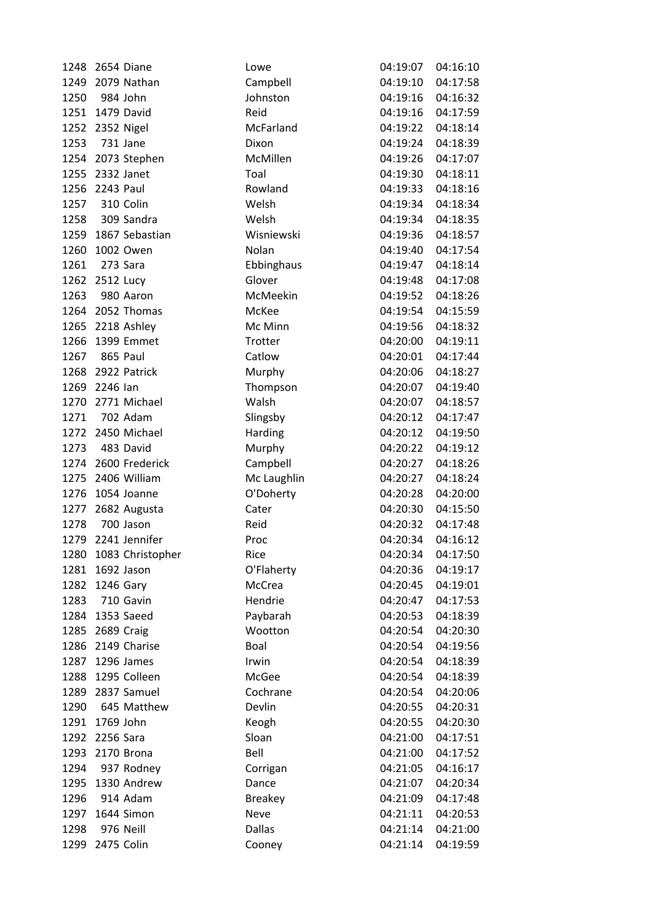| 1248 | 2654 Diane          | Lowe           | 04:19:07          | 04:16:10 |
|------|---------------------|----------------|-------------------|----------|
| 1249 | 2079 Nathan         | Campbell       | 04:19:10          | 04:17:58 |
| 1250 | 984 John            | Johnston       | 04:19:16          | 04:16:32 |
|      | 1251 1479 David     | Reid           | 04:19:16          | 04:17:59 |
|      | 1252 2352 Nigel     | McFarland      | 04:19:22          | 04:18:14 |
| 1253 | 731 Jane            | Dixon          | 04:19:24          | 04:18:39 |
|      | 1254 2073 Stephen   | McMillen       | 04:19:26          | 04:17:07 |
| 1255 | 2332 Janet          | Toal           | 04:19:30          | 04:18:11 |
|      | 1256 2243 Paul      | Rowland        | 04:19:33          | 04:18:16 |
|      | 1257 310 Colin      | Welsh          | 04:19:34          | 04:18:34 |
| 1258 | 309 Sandra          | Welsh          | 04:19:34          | 04:18:35 |
| 1259 | 1867 Sebastian      | Wisniewski     | 04:19:36          | 04:18:57 |
| 1260 | 1002 Owen           | Nolan          | 04:19:40          | 04:17:54 |
| 1261 | 273 Sara            | Ebbinghaus     | 04:19:47          | 04:18:14 |
| 1262 | 2512 Lucy           | Glover         | 04:19:48          | 04:17:08 |
| 1263 | 980 Aaron           | McMeekin       | 04:19:52          | 04:18:26 |
|      | 1264 2052 Thomas    | McKee          | 04:19:54          | 04:15:59 |
|      | 1265 2218 Ashley    | Mc Minn        | 04:19:56          | 04:18:32 |
| 1266 | 1399 Emmet          | Trotter        | 04:20:00          | 04:19:11 |
| 1267 | 865 Paul            | Catlow         | 04:20:01          | 04:17:44 |
|      | 1268 2922 Patrick   | Murphy         | 04:20:06          | 04:18:27 |
|      | 1269 2246 lan       | Thompson       | 04:20:07          | 04:19:40 |
| 1270 | 2771 Michael        | Walsh          | 04:20:07          | 04:18:57 |
| 1271 | 702 Adam            | Slingsby       | 04:20:12          | 04:17:47 |
| 1272 | 2450 Michael        | Harding        | 04:20:12          | 04:19:50 |
| 1273 | 483 David           | Murphy         | 04:20:22          | 04:19:12 |
|      | 1274 2600 Frederick | Campbell       | 04:20:27          | 04:18:26 |
| 1275 | 2406 William        | Mc Laughlin    | 04:20:27          | 04:18:24 |
|      | 1276 1054 Joanne    | O'Doherty      | 04:20:28          | 04:20:00 |
|      | 1277 2682 Augusta   | Cater          | 04:20:30          | 04:15:50 |
| 1278 | 700 Jason           | Reid           | 04:20:32          | 04:17:48 |
|      | 1279 2241 Jennifer  | Proc           | 04:20:34          | 04:16:12 |
| 1280 | 1083 Christopher    | Rice           | 04:20:34 04:17:50 |          |
| 1281 | 1692 Jason          | O'Flaherty     | 04:20:36          | 04:19:17 |
| 1282 | 1246 Gary           | McCrea         | 04:20:45          | 04:19:01 |
| 1283 | 710 Gavin           | Hendrie        | 04:20:47          | 04:17:53 |
| 1284 | 1353 Saeed          | Paybarah       | 04:20:53          | 04:18:39 |
|      | 1285 2689 Craig     | Wootton        | 04:20:54          | 04:20:30 |
|      | 1286 2149 Charise   | Boal           | 04:20:54          | 04:19:56 |
| 1287 | 1296 James          | Irwin          | 04:20:54          | 04:18:39 |
| 1288 | 1295 Colleen        | McGee          | 04:20:54          | 04:18:39 |
| 1289 | 2837 Samuel         | Cochrane       | 04:20:54          | 04:20:06 |
| 1290 | 645 Matthew         | Devlin         | 04:20:55          | 04:20:31 |
|      | 1291 1769 John      | Keogh          | 04:20:55          | 04:20:30 |
|      | 1292 2256 Sara      | Sloan          | 04:21:00          | 04:17:51 |
| 1293 | 2170 Brona          | Bell           | 04:21:00          | 04:17:52 |
| 1294 | 937 Rodney          | Corrigan       | 04:21:05          | 04:16:17 |
| 1295 | 1330 Andrew         | Dance          | 04:21:07          | 04:20:34 |
| 1296 | 914 Adam            | <b>Breakey</b> | 04:21:09          | 04:17:48 |
| 1297 | 1644 Simon          | Neve           | 04:21:11          | 04:20:53 |
| 1298 | 976 Neill           | <b>Dallas</b>  | 04:21:14          | 04:21:00 |
| 1299 | 2475 Colin          | Cooney         | 04:21:14          | 04:19:59 |
|      |                     |                |                   |          |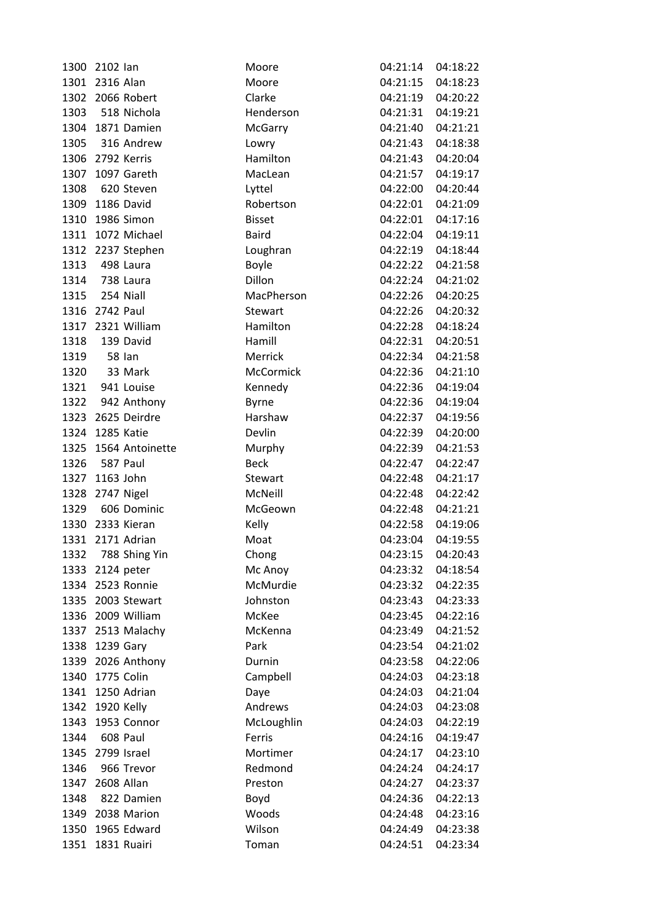| 1300 | 2102 lan             | Moore            | 04:21:14 | 04:18:22          |
|------|----------------------|------------------|----------|-------------------|
| 1301 | 2316 Alan            | Moore            | 04:21:15 | 04:18:23          |
|      | 1302 2066 Robert     | Clarke           | 04:21:19 | 04:20:22          |
|      | 1303 518 Nichola     | Henderson        | 04:21:31 | 04:19:21          |
|      | 1304 1871 Damien     | McGarry          | 04:21:40 | 04:21:21          |
| 1305 | 316 Andrew           | Lowry            | 04:21:43 | 04:18:38          |
|      | 1306 2792 Kerris     | Hamilton         | 04:21:43 | 04:20:04          |
| 1307 | 1097 Gareth          | MacLean          | 04:21:57 | 04:19:17          |
| 1308 | 620 Steven           | Lyttel           | 04:22:00 | 04:20:44          |
|      | 1309 1186 David      | Robertson        | 04:22:01 | 04:21:09          |
| 1310 | 1986 Simon           | <b>Bisset</b>    | 04:22:01 | 04:17:16          |
| 1311 | 1072 Michael         | <b>Baird</b>     | 04:22:04 | 04:19:11          |
|      | 1312 2237 Stephen    | Loughran         | 04:22:19 | 04:18:44          |
| 1313 | 498 Laura            | <b>Boyle</b>     | 04:22:22 | 04:21:58          |
| 1314 | 738 Laura            | Dillon           | 04:22:24 | 04:21:02          |
| 1315 | 254 Niall            | MacPherson       | 04:22:26 | 04:20:25          |
| 1316 | 2742 Paul            | <b>Stewart</b>   | 04:22:26 | 04:20:32          |
|      | 1317 2321 William    | Hamilton         | 04:22:28 | 04:18:24          |
| 1318 | 139 David            | Hamill           | 04:22:31 | 04:20:51          |
| 1319 | <b>58 lan</b>        | Merrick          | 04:22:34 | 04:21:58          |
| 1320 | 33 Mark              | <b>McCormick</b> | 04:22:36 | 04:21:10          |
|      | 1321 941 Louise      | Kennedy          | 04:22:36 | 04:19:04          |
|      | 1322 942 Anthony     | <b>Byrne</b>     | 04:22:36 | 04:19:04          |
|      | 1323 2625 Deirdre    | Harshaw          | 04:22:37 | 04:19:56          |
| 1324 | 1285 Katie           | Devlin           | 04:22:39 | 04:20:00          |
|      | 1325 1564 Antoinette | Murphy           | 04:22:39 | 04:21:53          |
| 1326 | 587 Paul             | <b>Beck</b>      | 04:22:47 | 04:22:47          |
|      | 1327 1163 John       | Stewart          | 04:22:48 | 04:21:17          |
|      | 1328 2747 Nigel      | McNeill          | 04:22:48 | 04:22:42          |
| 1329 | 606 Dominic          | McGeown          | 04:22:48 | 04:21:21          |
| 1330 | 2333 Kieran          | Kelly            | 04:22:58 | 04:19:06          |
|      | 1331 2171 Adrian     | Moat             | 04:23:04 | 04:19:55          |
| 1332 | 788 Shing Yin        | Chong            |          | 04:23:15 04:20:43 |
| 1333 | 2124 peter           | Mc Anoy          | 04:23:32 | 04:18:54          |
|      | 1334 2523 Ronnie     | McMurdie         | 04:23:32 | 04:22:35          |
| 1335 | 2003 Stewart         | Johnston         | 04:23:43 | 04:23:33          |
| 1336 | 2009 William         | McKee            | 04:23:45 | 04:22:16          |
|      | 1337 2513 Malachy    | McKenna          | 04:23:49 | 04:21:52          |
|      | 1338 1239 Gary       | Park             | 04:23:54 | 04:21:02          |
|      | 1339 2026 Anthony    | Durnin           | 04:23:58 | 04:22:06          |
| 1340 | 1775 Colin           | Campbell         | 04:24:03 | 04:23:18          |
|      | 1341 1250 Adrian     | Daye             | 04:24:03 | 04:21:04          |
| 1342 | 1920 Kelly           | Andrews          | 04:24:03 | 04:23:08          |
| 1343 | 1953 Connor          | McLoughlin       | 04:24:03 | 04:22:19          |
| 1344 | 608 Paul             | Ferris           | 04:24:16 | 04:19:47          |
| 1345 | 2799 Israel          | Mortimer         | 04:24:17 | 04:23:10          |
| 1346 | 966 Trevor           | Redmond          | 04:24:24 | 04:24:17          |
|      | 1347 2608 Allan      | Preston          | 04:24:27 | 04:23:37          |
| 1348 | 822 Damien           | Boyd             | 04:24:36 | 04:22:13          |
|      | 1349 2038 Marion     | Woods            | 04:24:48 | 04:23:16          |
| 1350 | 1965 Edward          | Wilson           | 04:24:49 | 04:23:38          |
| 1351 | 1831 Ruairi          | Toman            | 04:24:51 | 04:23:34          |
|      |                      |                  |          |                   |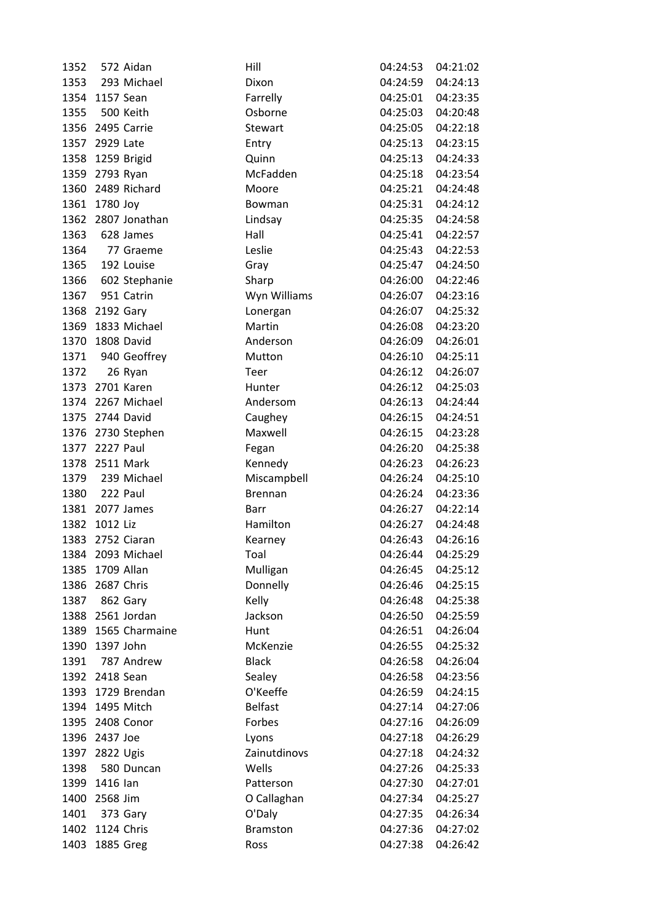| 1352 |                 | 572 Aidan           | Hill            | 04:24:53          | 04:21:02 |
|------|-----------------|---------------------|-----------------|-------------------|----------|
| 1353 |                 | 293 Michael         | Dixon           | 04:24:59          | 04:24:13 |
|      | 1354 1157 Sean  |                     | Farrelly        | 04:25:01          | 04:23:35 |
| 1355 | 500 Keith       |                     | Osborne         | 04:25:03          | 04:20:48 |
|      |                 | 1356 2495 Carrie    | Stewart         | 04:25:05          | 04:22:18 |
| 1357 | 2929 Late       |                     | Entry           | 04:25:13          | 04:23:15 |
|      |                 | 1358 1259 Brigid    | Quinn           | 04:25:13          | 04:24:33 |
|      | 1359 2793 Ryan  |                     | McFadden        | 04:25:18          | 04:23:54 |
|      |                 | 1360 2489 Richard   | Moore           | 04:25:21          | 04:24:48 |
|      | 1361 1780 Joy   |                     | Bowman          | 04:25:31          | 04:24:12 |
|      |                 | 1362 2807 Jonathan  | Lindsay         | 04:25:35          | 04:24:58 |
| 1363 |                 | 628 James           | Hall            | 04:25:41          | 04:22:57 |
| 1364 |                 | 77 Graeme           | Leslie          | 04:25:43          | 04:22:53 |
| 1365 |                 | 192 Louise          | Gray            | 04:25:47          | 04:24:50 |
| 1366 |                 | 602 Stephanie       | Sharp           | 04:26:00          | 04:22:46 |
| 1367 |                 | 951 Catrin          | Wyn Williams    | 04:26:07          | 04:23:16 |
|      | 1368 2192 Gary  |                     | Lonergan        | 04:26:07          | 04:25:32 |
|      |                 | 1369 1833 Michael   | Martin          | 04:26:08          | 04:23:20 |
|      | 1370 1808 David |                     | Anderson        | 04:26:09          | 04:26:01 |
|      |                 | 1371 940 Geoffrey   | Mutton          | 04:26:10          | 04:25:11 |
| 1372 |                 | 26 Ryan             | Teer            | 04:26:12          | 04:26:07 |
|      |                 | 1373 2701 Karen     | Hunter          | 04:26:12          | 04:25:03 |
|      |                 | 1374 2267 Michael   | Andersom        | 04:26:13          | 04:24:44 |
|      | 1375 2744 David |                     | Caughey         | 04:26:15          | 04:24:51 |
|      |                 | 1376 2730 Stephen   | Maxwell         | 04:26:15          | 04:23:28 |
|      | 1377 2227 Paul  |                     | Fegan           | 04:26:20          | 04:25:38 |
|      | 1378 2511 Mark  |                     | Kennedy         | 04:26:23          | 04:26:23 |
| 1379 |                 | 239 Michael         | Miscampbell     | 04:26:24          | 04:25:10 |
|      | 1380 222 Paul   |                     | <b>Brennan</b>  | 04:26:24          | 04:23:36 |
|      |                 | 1381 2077 James     | <b>Barr</b>     | 04:26:27          | 04:22:14 |
|      | 1382 1012 Liz   |                     | Hamilton        | 04:26:27          | 04:24:48 |
|      |                 | 1383 2752 Ciaran    | Kearney         | 04:26:43          | 04:26:16 |
|      |                 | 1384 2093 Michael   | Toal            | 04:26:44 04:25:29 |          |
| 1385 | 1709 Allan      |                     | Mulligan        | 04:26:45          | 04:25:12 |
| 1386 | 2687 Chris      |                     | Donnelly        | 04:26:46          | 04:25:15 |
| 1387 | 862 Gary        |                     | Kelly           | 04:26:48          | 04:25:38 |
|      |                 | 1388 2561 Jordan    | Jackson         | 04:26:50          | 04:25:59 |
|      |                 | 1389 1565 Charmaine | Hunt            | 04:26:51          | 04:26:04 |
|      | 1390 1397 John  |                     | McKenzie        | 04:26:55          | 04:25:32 |
| 1391 |                 | 787 Andrew          | <b>Black</b>    | 04:26:58          | 04:26:04 |
|      | 1392 2418 Sean  |                     | Sealey          | 04:26:58          | 04:23:56 |
|      |                 | 1393 1729 Brendan   | O'Keeffe        | 04:26:59          | 04:24:15 |
|      |                 | 1394 1495 Mitch     | <b>Belfast</b>  | 04:27:14          | 04:27:06 |
|      |                 | 1395 2408 Conor     | Forbes          | 04:27:16          | 04:26:09 |
|      | 1396 2437 Joe   |                     | Lyons           | 04:27:18          | 04:26:29 |
| 1397 | 2822 Ugis       |                     | Zainutdinovs    | 04:27:18          | 04:24:32 |
| 1398 |                 | 580 Duncan          | Wells           | 04:27:26          | 04:25:33 |
| 1399 | 1416 lan        |                     | Patterson       | 04:27:30          | 04:27:01 |
|      | 1400 2568 Jim   |                     | O Callaghan     | 04:27:34          | 04:25:27 |
| 1401 |                 | 373 Gary            | O'Daly          | 04:27:35          | 04:26:34 |
|      | 1402 1124 Chris |                     | <b>Bramston</b> | 04:27:36          | 04:27:02 |
| 1403 | 1885 Greg       |                     | Ross            | 04:27:38          | 04:26:42 |
|      |                 |                     |                 |                   |          |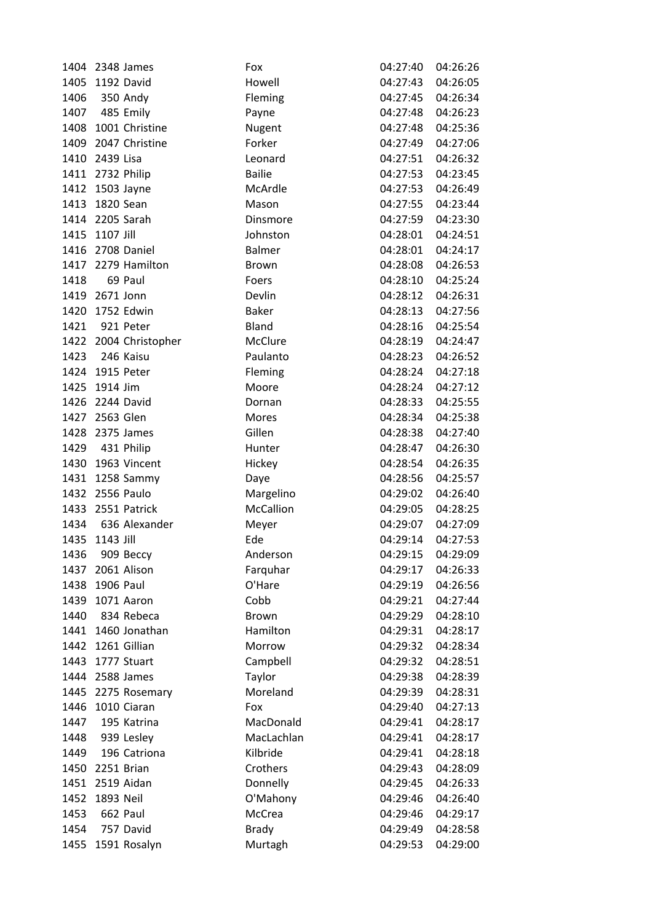|      | 1404 2348 James       | Fox              | 04:27:40          | 04:26:26 |
|------|-----------------------|------------------|-------------------|----------|
|      | 1405 1192 David       | Howell           | 04:27:43          | 04:26:05 |
| 1406 | 350 Andy              | Fleming          | 04:27:45          | 04:26:34 |
|      | 1407 485 Emily        | Payne            | 04:27:48          | 04:26:23 |
|      | 1408 1001 Christine   | Nugent           | 04:27:48          | 04:25:36 |
|      | 1409 2047 Christine   | Forker           | 04:27:49          | 04:27:06 |
|      | 1410 2439 Lisa        | Leonard          | 04:27:51          | 04:26:32 |
|      | 1411 2732 Philip      | <b>Bailie</b>    | 04:27:53          | 04:23:45 |
|      | 1412 1503 Jayne       | McArdle          | 04:27:53          | 04:26:49 |
|      | 1413 1820 Sean        | Mason            | 04:27:55          | 04:23:44 |
|      | 1414 2205 Sarah       | Dinsmore         | 04:27:59          | 04:23:30 |
|      | 1415 1107 Jill        | Johnston         | 04:28:01          | 04:24:51 |
|      | 1416 2708 Daniel      | <b>Balmer</b>    | 04:28:01          | 04:24:17 |
|      | 1417 2279 Hamilton    | Brown            | 04:28:08          | 04:26:53 |
| 1418 | 69 Paul               | Foers            | 04:28:10          | 04:25:24 |
|      | 1419 2671 Jonn        | Devlin           | 04:28:12          | 04:26:31 |
|      | 1420 1752 Edwin       | <b>Baker</b>     | 04:28:13          | 04:27:56 |
| 1421 | 921 Peter             | Bland            | 04:28:16          | 04:25:54 |
|      | 1422 2004 Christopher | McClure          | 04:28:19          | 04:24:47 |
|      | 1423 246 Kaisu        | Paulanto         | 04:28:23          | 04:26:52 |
|      | 1424 1915 Peter       | Fleming          | 04:28:24          | 04:27:18 |
|      | 1425 1914 Jim         | Moore            | 04:28:24          | 04:27:12 |
|      | 1426 2244 David       | Dornan           | 04:28:33          | 04:25:55 |
|      | 1427 2563 Glen        | Mores            | 04:28:34          | 04:25:38 |
|      | 1428 2375 James       | Gillen           | 04:28:38          | 04:27:40 |
|      | 1429 431 Philip       | Hunter           | 04:28:47          | 04:26:30 |
|      | 1430 1963 Vincent     | Hickey           | 04:28:54          | 04:26:35 |
|      | 1431 1258 Sammy       | Daye             | 04:28:56          | 04:25:57 |
|      | 1432 2556 Paulo       | Margelino        | 04:29:02          | 04:26:40 |
|      | 1433 2551 Patrick     | <b>McCallion</b> | 04:29:05          | 04:28:25 |
|      | 1434 636 Alexander    | Meyer            | 04:29:07          | 04:27:09 |
|      | 1435 1143 Jill        | Ede              | 04:29:14          | 04:27:53 |
| 1436 | 909 Beccy             | Anderson         | 04:29:15 04:29:09 |          |
| 1437 | 2061 Alison           | Farquhar         | 04:29:17          | 04:26:33 |
| 1438 | 1906 Paul             | O'Hare           | 04:29:19          | 04:26:56 |
|      | 1439 1071 Aaron       | Cobb             | 04:29:21          | 04:27:44 |
| 1440 | 834 Rebeca            | <b>Brown</b>     | 04:29:29          | 04:28:10 |
|      | 1441 1460 Jonathan    | Hamilton         | 04:29:31          | 04:28:17 |
|      | 1442 1261 Gillian     | Morrow           | 04:29:32          | 04:28:34 |
|      | 1443 1777 Stuart      | Campbell         | 04:29:32          | 04:28:51 |
|      | 1444 2588 James       | Taylor           | 04:29:38          | 04:28:39 |
|      | 1445 2275 Rosemary    | Moreland         | 04:29:39          | 04:28:31 |
|      | 1446 1010 Ciaran      | Fox              | 04:29:40          | 04:27:13 |
| 1447 | 195 Katrina           | MacDonald        | 04:29:41          | 04:28:17 |
| 1448 | 939 Lesley            | MacLachlan       | 04:29:41          | 04:28:17 |
| 1449 | 196 Catriona          | Kilbride         | 04:29:41          | 04:28:18 |
| 1450 | 2251 Brian            | Crothers         | 04:29:43          | 04:28:09 |
|      | 1451 2519 Aidan       | Donnelly         | 04:29:45          | 04:26:33 |
|      | 1452 1893 Neil        | O'Mahony         | 04:29:46          | 04:26:40 |
| 1453 | 662 Paul              | McCrea           | 04:29:46          | 04:29:17 |
| 1454 | 757 David             | <b>Brady</b>     | 04:29:49          | 04:28:58 |
|      | 1455 1591 Rosalyn     | Murtagh          | 04:29:53          | 04:29:00 |
|      |                       |                  |                   |          |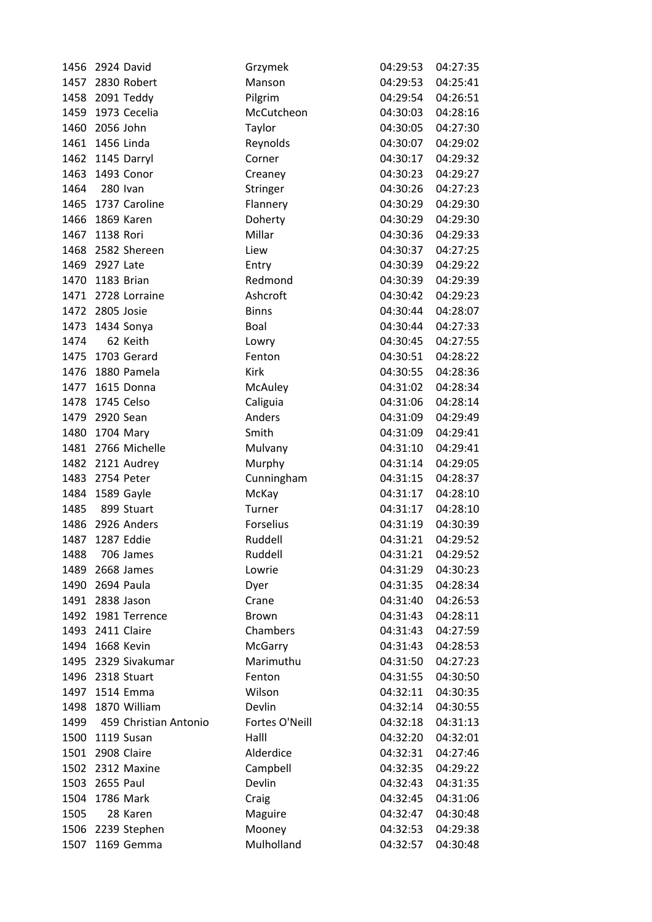| 1456 | 2924 David            | Grzymek        | 04:29:53 | 04:27:35 |
|------|-----------------------|----------------|----------|----------|
| 1457 | 2830 Robert           | Manson         | 04:29:53 | 04:25:41 |
|      | 1458 2091 Teddy       | Pilgrim        | 04:29:54 | 04:26:51 |
|      | 1459 1973 Cecelia     | McCutcheon     | 04:30:03 | 04:28:16 |
| 1460 | 2056 John             | Taylor         | 04:30:05 | 04:27:30 |
| 1461 | 1456 Linda            | Reynolds       | 04:30:07 | 04:29:02 |
| 1462 | 1145 Darryl           | Corner         | 04:30:17 | 04:29:32 |
| 1463 | 1493 Conor            | Creaney        | 04:30:23 | 04:29:27 |
| 1464 | <b>280 Ivan</b>       | Stringer       | 04:30:26 | 04:27:23 |
| 1465 | 1737 Caroline         | Flannery       | 04:30:29 | 04:29:30 |
| 1466 | 1869 Karen            | Doherty        | 04:30:29 | 04:29:30 |
| 1467 | 1138 Rori             | Millar         | 04:30:36 | 04:29:33 |
| 1468 | 2582 Shereen          | Liew           | 04:30:37 | 04:27:25 |
| 1469 | 2927 Late             | Entry          | 04:30:39 | 04:29:22 |
| 1470 | 1183 Brian            | Redmond        | 04:30:39 | 04:29:39 |
|      | 1471 2728 Lorraine    | Ashcroft       | 04:30:42 | 04:29:23 |
|      | 1472 2805 Josie       | <b>Binns</b>   | 04:30:44 | 04:28:07 |
| 1473 | 1434 Sonya            | Boal           | 04:30:44 | 04:27:33 |
| 1474 | 62 Keith              | Lowry          | 04:30:45 | 04:27:55 |
| 1475 | 1703 Gerard           | Fenton         | 04:30:51 | 04:28:22 |
| 1476 | 1880 Pamela           | Kirk           | 04:30:55 | 04:28:36 |
| 1477 | 1615 Donna            | McAuley        | 04:31:02 | 04:28:34 |
| 1478 | 1745 Celso            | Caliguia       | 04:31:06 | 04:28:14 |
| 1479 | 2920 Sean             | Anders         | 04:31:09 | 04:29:49 |
| 1480 | 1704 Mary             | Smith          | 04:31:09 | 04:29:41 |
|      | 1481 2766 Michelle    | Mulvany        | 04:31:10 | 04:29:41 |
| 1482 | 2121 Audrey           | Murphy         | 04:31:14 | 04:29:05 |
| 1483 | 2754 Peter            | Cunningham     | 04:31:15 | 04:28:37 |
| 1484 | 1589 Gayle            | McKay          | 04:31:17 | 04:28:10 |
| 1485 | 899 Stuart            | Turner         | 04:31:17 | 04:28:10 |
| 1486 | 2926 Anders           | Forselius      | 04:31:19 | 04:30:39 |
| 1487 | 1287 Eddie            | Ruddell        | 04:31:21 | 04:29:52 |
| 1488 | 706 James             | Ruddell        | 04:31:21 | 04:29:52 |
| 1489 | 2668 James            | Lowrie         | 04:31:29 | 04:30:23 |
| 1490 | 2694 Paula            | Dyer           | 04:31:35 | 04:28:34 |
| 1491 | 2838 Jason            | Crane          | 04:31:40 | 04:26:53 |
| 1492 | 1981 Terrence         | <b>Brown</b>   | 04:31:43 | 04:28:11 |
|      | 1493 2411 Claire      | Chambers       | 04:31:43 | 04:27:59 |
| 1494 | 1668 Kevin            | McGarry        | 04:31:43 | 04:28:53 |
| 1495 | 2329 Sivakumar        | Marimuthu      | 04:31:50 | 04:27:23 |
| 1496 | 2318 Stuart           | Fenton         | 04:31:55 | 04:30:50 |
|      | 1497 1514 Emma        | Wilson         | 04:32:11 | 04:30:35 |
| 1498 | 1870 William          | Devlin         | 04:32:14 | 04:30:55 |
| 1499 | 459 Christian Antonio | Fortes O'Neill | 04:32:18 | 04:31:13 |
| 1500 | 1119 Susan            | Halll          | 04:32:20 | 04:32:01 |
| 1501 | 2908 Claire           | Alderdice      | 04:32:31 | 04:27:46 |
| 1502 | 2312 Maxine           | Campbell       | 04:32:35 | 04:29:22 |
| 1503 | 2655 Paul             | Devlin         | 04:32:43 | 04:31:35 |
| 1504 | 1786 Mark             | Craig          | 04:32:45 | 04:31:06 |
| 1505 | 28 Karen              | Maguire        | 04:32:47 | 04:30:48 |
| 1506 | 2239 Stephen          | Mooney         | 04:32:53 | 04:29:38 |
| 1507 | 1169 Gemma            | Mulholland     | 04:32:57 | 04:30:48 |
|      |                       |                |          |          |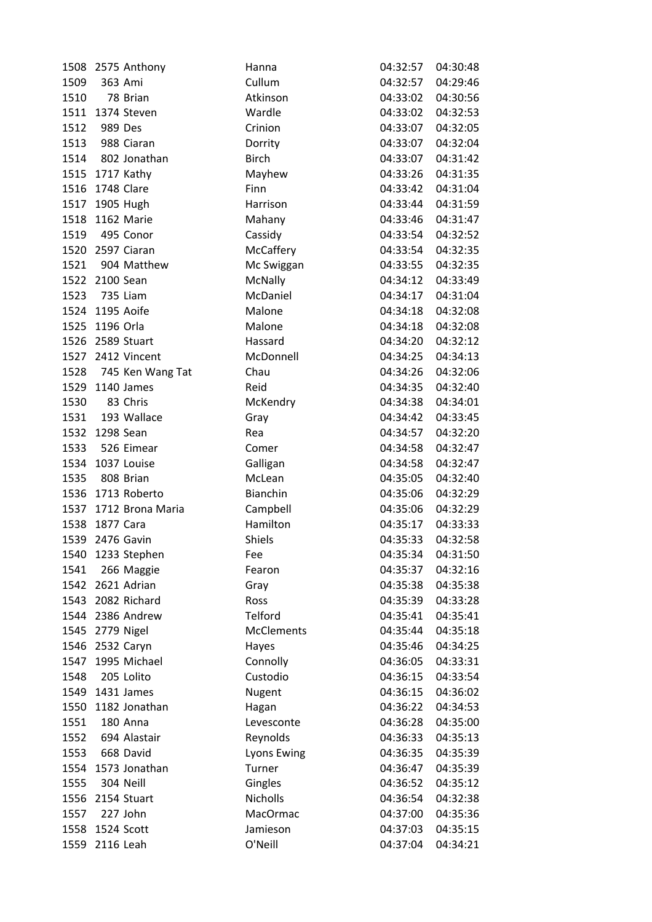|      | 1508 2575 Anthony     | Hanna              | 04:32:57          | 04:30:48 |
|------|-----------------------|--------------------|-------------------|----------|
| 1509 | 363 Ami               | Cullum             | 04:32:57          | 04:29:46 |
| 1510 | 78 Brian              | Atkinson           | 04:33:02          | 04:30:56 |
|      | 1511 1374 Steven      | Wardle             | 04:33:02          | 04:32:53 |
| 1512 | 989 Des               | Crinion            | 04:33:07          | 04:32:05 |
| 1513 | 988 Ciaran            | Dorrity            | 04:33:07          | 04:32:04 |
|      | 1514 802 Jonathan     | <b>Birch</b>       | 04:33:07          | 04:31:42 |
|      | 1515 1717 Kathy       | Mayhew             | 04:33:26          | 04:31:35 |
|      | 1516 1748 Clare       | Finn               | 04:33:42          | 04:31:04 |
|      | 1517 1905 Hugh        | Harrison           | 04:33:44          | 04:31:59 |
|      | 1518 1162 Marie       | Mahany             | 04:33:46          | 04:31:47 |
|      | 1519 495 Conor        | Cassidy            | 04:33:54          | 04:32:52 |
|      | 1520 2597 Ciaran      | McCaffery          | 04:33:54          | 04:32:35 |
|      | 1521 904 Matthew      | Mc Swiggan         | 04:33:55          | 04:32:35 |
|      | 1522 2100 Sean        | McNally            | 04:34:12          | 04:33:49 |
| 1523 | 735 Liam              | McDaniel           | 04:34:17          | 04:31:04 |
|      | 1524 1195 Aoife       | Malone             | 04:34:18          | 04:32:08 |
|      | 1525 1196 Orla        | Malone             | 04:34:18          | 04:32:08 |
|      | 1526 2589 Stuart      | Hassard            | 04:34:20          | 04:32:12 |
|      | 1527 2412 Vincent     | McDonnell          | 04:34:25          | 04:34:13 |
|      | 1528 745 Ken Wang Tat | Chau               | 04:34:26          | 04:32:06 |
|      | 1529 1140 James       | Reid               | 04:34:35          | 04:32:40 |
| 1530 | 83 Chris              | McKendry           | 04:34:38          | 04:34:01 |
|      | 1531 193 Wallace      | Gray               | 04:34:42          | 04:33:45 |
|      | 1532 1298 Sean        | Rea                | 04:34:57          | 04:32:20 |
|      | 1533 526 Eimear       | Comer              | 04:34:58          | 04:32:47 |
|      | 1534 1037 Louise      | Galligan           | 04:34:58          | 04:32:47 |
| 1535 | 808 Brian             | McLean             | 04:35:05          | 04:32:40 |
|      | 1536 1713 Roberto     | Bianchin           | 04:35:06          | 04:32:29 |
|      | 1537 1712 Brona Maria | Campbell           | 04:35:06          | 04:32:29 |
|      | 1538 1877 Cara        | Hamilton           | 04:35:17          | 04:33:33 |
|      | 1539 2476 Gavin       | <b>Shiels</b>      | 04:35:33          | 04:32:58 |
|      | 1540 1233 Stephen     | Fee                | 04:35:34 04:31:50 |          |
| 1541 | 266 Maggie            | Fearon             | 04:35:37          | 04:32:16 |
|      | 1542 2621 Adrian      | Gray               | 04:35:38          | 04:35:38 |
|      | 1543 2082 Richard     | Ross               | 04:35:39          | 04:33:28 |
|      | 1544 2386 Andrew      | Telford            | 04:35:41          | 04:35:41 |
|      | 1545 2779 Nigel       | <b>McClements</b>  | 04:35:44          | 04:35:18 |
|      | 1546 2532 Caryn       | Hayes              | 04:35:46          | 04:34:25 |
| 1547 | 1995 Michael          | Connolly           | 04:36:05          | 04:33:31 |
| 1548 | 205 Lolito            | Custodio           | 04:36:15          | 04:33:54 |
|      | 1549 1431 James       | Nugent             | 04:36:15          | 04:36:02 |
|      | 1550 1182 Jonathan    | Hagan              | 04:36:22          | 04:34:53 |
| 1551 | 180 Anna              | Levesconte         | 04:36:28          | 04:35:00 |
| 1552 | 694 Alastair          | Reynolds           | 04:36:33          | 04:35:13 |
| 1553 | 668 David             | <b>Lyons Ewing</b> | 04:36:35          | 04:35:39 |
| 1554 | 1573 Jonathan         | Turner             | 04:36:47          | 04:35:39 |
| 1555 | 304 Neill             | Gingles            | 04:36:52          | 04:35:12 |
|      | 1556 2154 Stuart      | <b>Nicholls</b>    | 04:36:54          | 04:32:38 |
| 1557 | 227 John              | MacOrmac           | 04:37:00          | 04:35:36 |
| 1558 | 1524 Scott            | Jamieson           | 04:37:03          | 04:35:15 |
|      | 1559 2116 Leah        | O'Neill            | 04:37:04          | 04:34:21 |
|      |                       |                    |                   |          |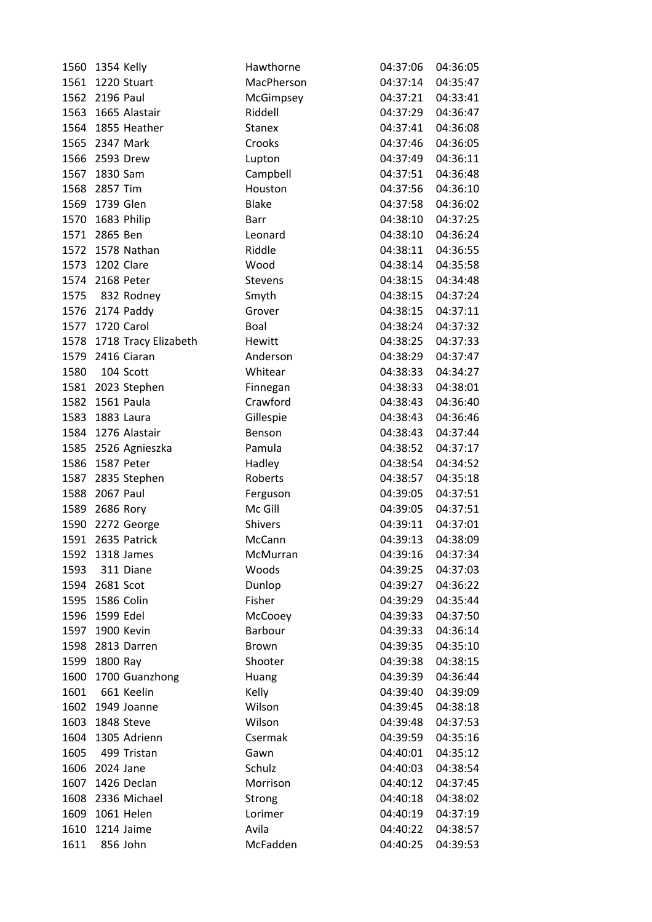| 1560 | 1354 Kelly           | Hawthorne      | 04:37:06 | 04:36:05          |
|------|----------------------|----------------|----------|-------------------|
| 1561 | 1220 Stuart          | MacPherson     | 04:37:14 | 04:35:47          |
|      | 1562 2196 Paul       | McGimpsey      | 04:37:21 | 04:33:41          |
|      | 1563 1665 Alastair   | Riddell        | 04:37:29 | 04:36:47          |
| 1564 | 1855 Heather         | <b>Stanex</b>  | 04:37:41 | 04:36:08          |
| 1565 | 2347 Mark            | Crooks         | 04:37:46 | 04:36:05          |
| 1566 | 2593 Drew            | Lupton         | 04:37:49 | 04:36:11          |
| 1567 | 1830 Sam             | Campbell       | 04:37:51 | 04:36:48          |
| 1568 | 2857 Tim             | Houston        | 04:37:56 | 04:36:10          |
|      | 1569 1739 Glen       | <b>Blake</b>   | 04:37:58 | 04:36:02          |
| 1570 | 1683 Philip          | <b>Barr</b>    | 04:38:10 | 04:37:25          |
| 1571 | 2865 Ben             | Leonard        | 04:38:10 | 04:36:24          |
|      | 1572 1578 Nathan     | Riddle         | 04:38:11 | 04:36:55          |
| 1573 | 1202 Clare           | Wood           | 04:38:14 | 04:35:58          |
| 1574 | 2168 Peter           | Stevens        | 04:38:15 | 04:34:48          |
|      | 1575 832 Rodney      | Smyth          | 04:38:15 | 04:37:24          |
|      | 1576 2174 Paddy      | Grover         | 04:38:15 | 04:37:11          |
| 1577 | 1720 Carol           | Boal           | 04:38:24 | 04:37:32          |
| 1578 | 1718 Tracy Elizabeth | Hewitt         | 04:38:25 | 04:37:33          |
|      | 1579 2416 Ciaran     | Anderson       | 04:38:29 | 04:37:47          |
| 1580 | 104 Scott            | Whitear        | 04:38:33 | 04:34:27          |
|      | 1581 2023 Stephen    | Finnegan       | 04:38:33 | 04:38:01          |
| 1582 | 1561 Paula           | Crawford       | 04:38:43 | 04:36:40          |
| 1583 | 1883 Laura           | Gillespie      | 04:38:43 | 04:36:46          |
| 1584 | 1276 Alastair        | Benson         | 04:38:43 | 04:37:44          |
| 1585 | 2526 Agnieszka       | Pamula         | 04:38:52 | 04:37:17          |
| 1586 | 1587 Peter           | Hadley         | 04:38:54 | 04:34:52          |
| 1587 | 2835 Stephen         | Roberts        | 04:38:57 | 04:35:18          |
| 1588 | 2067 Paul            | Ferguson       | 04:39:05 | 04:37:51          |
| 1589 | 2686 Rory            | Mc Gill        | 04:39:05 | 04:37:51          |
| 1590 | 2272 George          | <b>Shivers</b> | 04:39:11 | 04:37:01          |
|      | 1591 2635 Patrick    | McCann         | 04:39:13 | 04:38:09          |
| 1592 | 1318 James           | McMurran       |          | 04:39:16 04:37:34 |
| 1593 | 311 Diane            | Woods          | 04:39:25 | 04:37:03          |
|      | 1594 2681 Scot       | Dunlop         | 04:39:27 | 04:36:22          |
| 1595 | 1586 Colin           | Fisher         | 04:39:29 | 04:35:44          |
| 1596 | 1599 Edel            | McCooey        | 04:39:33 | 04:37:50          |
|      | 1597 1900 Kevin      | Barbour        | 04:39:33 | 04:36:14          |
| 1598 | 2813 Darren          | Brown          | 04:39:35 | 04:35:10          |
| 1599 | 1800 Ray             | Shooter        | 04:39:38 | 04:38:15          |
| 1600 | 1700 Guanzhong       | Huang          | 04:39:39 | 04:36:44          |
| 1601 | 661 Keelin           | Kelly          | 04:39:40 | 04:39:09          |
| 1602 | 1949 Joanne          | Wilson         | 04:39:45 | 04:38:18          |
| 1603 | 1848 Steve           | Wilson         | 04:39:48 | 04:37:53          |
| 1604 | 1305 Adrienn         | Csermak        | 04:39:59 | 04:35:16          |
| 1605 | 499 Tristan          | Gawn           | 04:40:01 | 04:35:12          |
| 1606 | 2024 Jane            | Schulz         | 04:40:03 | 04:38:54          |
| 1607 | 1426 Declan          | Morrison       | 04:40:12 | 04:37:45          |
| 1608 | 2336 Michael         | Strong         | 04:40:18 | 04:38:02          |
| 1609 | 1061 Helen           | Lorimer        | 04:40:19 | 04:37:19          |
| 1610 | 1214 Jaime           | Avila          | 04:40:22 | 04:38:57          |
| 1611 | 856 John             | McFadden       | 04:40:25 | 04:39:53          |
|      |                      |                |          |                   |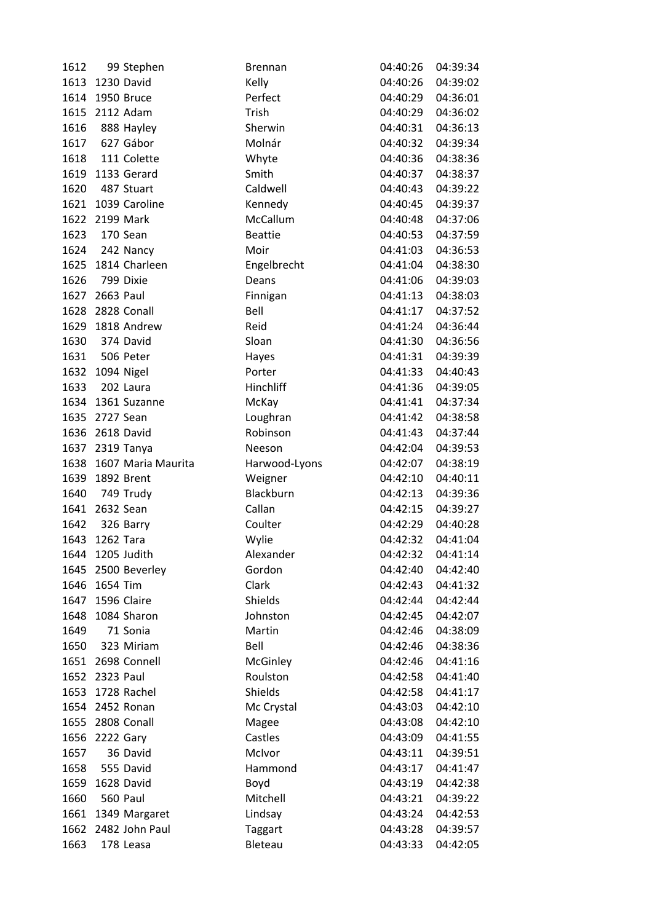| 1612         | 99 Stephen         | <b>Brennan</b>   | 04:40:26          | 04:39:34             |
|--------------|--------------------|------------------|-------------------|----------------------|
| 1613         | 1230 David         | Kelly            | 04:40:26          | 04:39:02             |
| 1614         | 1950 Bruce         | Perfect          | 04:40:29          | 04:36:01             |
|              | 1615 2112 Adam     | Trish            | 04:40:29          | 04:36:02             |
| 1616         | 888 Hayley         | Sherwin          | 04:40:31          | 04:36:13             |
| 1617         | 627 Gábor          | Molnár           | 04:40:32          | 04:39:34             |
| 1618         | 111 Colette        | Whyte            | 04:40:36          | 04:38:36             |
| 1619         | 1133 Gerard        | Smith            | 04:40:37          | 04:38:37             |
| 1620         | 487 Stuart         | Caldwell         | 04:40:43          | 04:39:22             |
| 1621         | 1039 Caroline      | Kennedy          | 04:40:45          | 04:39:37             |
| 1622         | 2199 Mark          | McCallum         | 04:40:48          | 04:37:06             |
| 1623         | 170 Sean           | <b>Beattie</b>   | 04:40:53          | 04:37:59             |
| 1624         | 242 Nancy          | Moir             | 04:41:03          | 04:36:53             |
| 1625         | 1814 Charleen      | Engelbrecht      | 04:41:04          | 04:38:30             |
| 1626         | 799 Dixie          | Deans            | 04:41:06          | 04:39:03             |
|              | 1627 2663 Paul     | Finnigan         | 04:41:13          | 04:38:03             |
| 1628         | 2828 Conall        | Bell             | 04:41:17          | 04:37:52             |
| 1629         | 1818 Andrew        | Reid             | 04:41:24          | 04:36:44             |
| 1630         | 374 David          | Sloan            | 04:41:30          | 04:36:56             |
| 1631         | 506 Peter          | Hayes            | 04:41:31          | 04:39:39             |
| 1632         | 1094 Nigel         | Porter           | 04:41:33          | 04:40:43             |
| 1633         | 202 Laura          | Hinchliff        | 04:41:36          | 04:39:05             |
| 1634         | 1361 Suzanne       | McKay            | 04:41:41          | 04:37:34             |
| 1635         | 2727 Sean          | Loughran         | 04:41:42          | 04:38:58             |
| 1636         | 2618 David         | Robinson         | 04:41:43          | 04:37:44             |
|              | 1637 2319 Tanya    | Neeson           | 04:42:04          | 04:39:53             |
| 1638         | 1607 Maria Maurita | Harwood-Lyons    | 04:42:07          | 04:38:19             |
| 1639         | 1892 Brent         | Weigner          | 04:42:10          | 04:40:11             |
| 1640         | 749 Trudy          | Blackburn        | 04:42:13          | 04:39:36             |
| 1641         | 2632 Sean          | Callan           | 04:42:15          | 04:39:27             |
| 1642         | 326 Barry          | Coulter          | 04:42:29          | 04:40:28             |
| 1643         | 1262 Tara          | Wylie            | 04:42:32          | 04:41:04             |
|              | 1644 1205 Judith   | Alexander        | 04:42:32 04:41:14 |                      |
| 1645         | 2500 Beverley      | Gordon           | 04:42:40          | 04:42:40             |
| 1646         | 1654 Tim           | Clark            | 04:42:43          | 04:41:32             |
| 1647         | 1596 Claire        | Shields          | 04:42:44          | 04:42:44             |
| 1648         | 1084 Sharon        | Johnston         | 04:42:45          | 04:42:07             |
| 1649         | 71 Sonia           | Martin           | 04:42:46          | 04:38:09             |
| 1650         | 323 Miriam         | Bell             | 04:42:46          | 04:38:36             |
| 1651         | 2698 Connell       | McGinley         | 04:42:46          | 04:41:16             |
|              | 1652 2323 Paul     | Roulston         | 04:42:58          | 04:41:40             |
| 1653         | 1728 Rachel        | Shields          | 04:42:58          | 04:41:17             |
| 1654         | 2452 Ronan         | Mc Crystal       | 04:43:03          | 04:42:10             |
| 1655         | 2808 Conall        | Magee            | 04:43:08          | 04:42:10             |
|              | 2222 Gary          | Castles          | 04:43:09          | 04:41:55             |
| 1656<br>1657 | 36 David           | McIvor           | 04:43:11          | 04:39:51             |
| 1658         | 555 David          | Hammond          | 04:43:17          | 04:41:47             |
| 1659         | 1628 David         |                  | 04:43:19          | 04:42:38             |
|              | 560 Paul           | Boyd<br>Mitchell |                   |                      |
| 1660         |                    |                  | 04:43:21          | 04:39:22<br>04:42:53 |
| 1661         | 1349 Margaret      | Lindsay          | 04:43:24          |                      |
| 1662         | 2482 John Paul     | <b>Taggart</b>   | 04:43:28          | 04:39:57             |
| 1663         | 178 Leasa          | Bleteau          | 04:43:33          | 04:42:05             |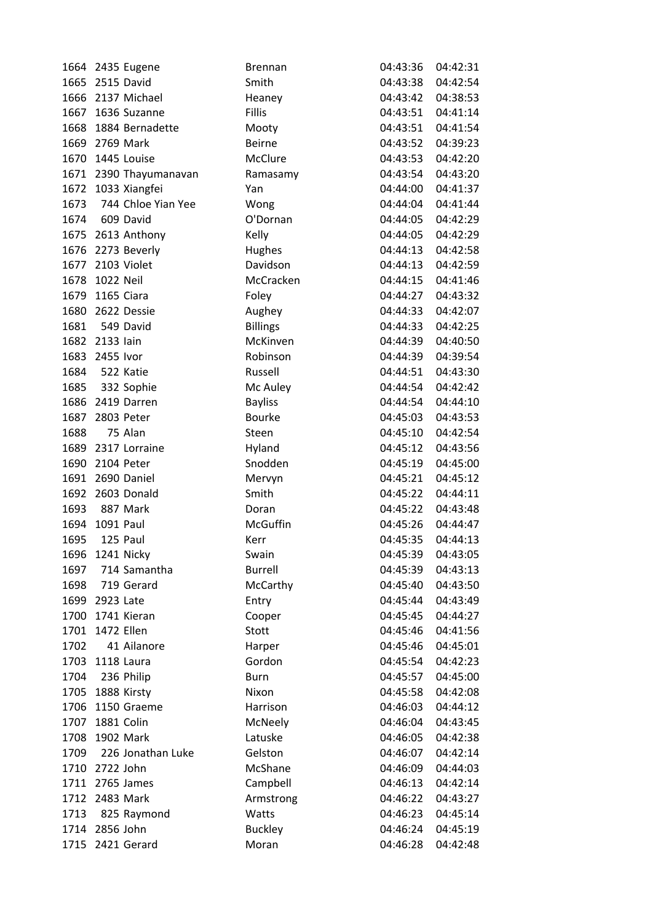|      |                 | 1664 2435 Eugene       | <b>Brennan</b>  | 04:43:36 | 04:42:31          |
|------|-----------------|------------------------|-----------------|----------|-------------------|
| 1665 | 2515 David      |                        | Smith           | 04:43:38 | 04:42:54          |
| 1666 |                 | 2137 Michael           | Heaney          | 04:43:42 | 04:38:53          |
|      |                 | 1667 1636 Suzanne      | Fillis          | 04:43:51 | 04:41:14          |
| 1668 |                 | 1884 Bernadette        | Mooty           | 04:43:51 | 04:41:54          |
| 1669 | 2769 Mark       |                        | <b>Beirne</b>   | 04:43:52 | 04:39:23          |
| 1670 |                 | 1445 Louise            | McClure         | 04:43:53 | 04:42:20          |
|      |                 | 1671 2390 Thayumanavan | Ramasamy        | 04:43:54 | 04:43:20          |
| 1672 |                 | 1033 Xiangfei          | Yan             | 04:44:00 | 04:41:37          |
| 1673 |                 | 744 Chloe Yian Yee     | Wong            | 04:44:04 | 04:41:44          |
|      | 1674 609 David  |                        | O'Dornan        | 04:44:05 | 04:42:29          |
|      |                 | 1675 2613 Anthony      | Kelly           | 04:44:05 | 04:42:29          |
|      |                 | 1676 2273 Beverly      | Hughes          | 04:44:13 | 04:42:58          |
|      |                 | 1677 2103 Violet       | Davidson        | 04:44:13 | 04:42:59          |
| 1678 | 1022 Neil       |                        | McCracken       | 04:44:15 | 04:41:46          |
| 1679 | 1165 Ciara      |                        | Foley           | 04:44:27 | 04:43:32          |
| 1680 |                 | 2622 Dessie            | Aughey          | 04:44:33 | 04:42:07          |
| 1681 |                 | 549 David              | <b>Billings</b> | 04:44:33 | 04:42:25          |
|      | 1682 2133 lain  |                        | McKinven        | 04:44:39 | 04:40:50          |
| 1683 | 2455 Ivor       |                        | Robinson        | 04:44:39 | 04:39:54          |
| 1684 | 522 Katie       |                        | Russell         | 04:44:51 | 04:43:30          |
| 1685 |                 | 332 Sophie             | Mc Auley        | 04:44:54 | 04:42:42          |
| 1686 |                 | 2419 Darren            | <b>Bayliss</b>  | 04:44:54 | 04:44:10          |
| 1687 |                 | 2803 Peter             | <b>Bourke</b>   | 04:45:03 | 04:43:53          |
| 1688 |                 | 75 Alan                | Steen           | 04:45:10 | 04:42:54          |
| 1689 |                 | 2317 Lorraine          | Hyland          | 04:45:12 | 04:43:56          |
| 1690 |                 | 2104 Peter             | Snodden         | 04:45:19 | 04:45:00          |
|      |                 | 1691 2690 Daniel       | Mervyn          | 04:45:21 | 04:45:12          |
| 1692 |                 | 2603 Donald            | Smith           | 04:45:22 | 04:44:11          |
| 1693 |                 | 887 Mark               | Doran           | 04:45:22 | 04:43:48          |
| 1694 | 1091 Paul       |                        | <b>McGuffin</b> | 04:45:26 | 04:44:47          |
| 1695 | 125 Paul        |                        | Kerr            | 04:45:35 | 04:44:13          |
|      | 1696 1241 Nicky |                        | Swain           |          | 04:45:39 04:43:05 |
| 1697 |                 | 714 Samantha           | <b>Burrell</b>  | 04:45:39 | 04:43:13          |
| 1698 |                 | 719 Gerard             | McCarthy        | 04:45:40 | 04:43:50          |
| 1699 | 2923 Late       |                        | Entry           | 04:45:44 | 04:43:49          |
| 1700 |                 | 1741 Kieran            | Cooper          | 04:45:45 | 04:44:27          |
| 1701 |                 | 1472 Ellen             | Stott           | 04:45:46 | 04:41:56          |
| 1702 |                 | 41 Ailanore            | Harper          | 04:45:46 | 04:45:01          |
| 1703 |                 | 1118 Laura             | Gordon          | 04:45:54 | 04:42:23          |
| 1704 |                 | 236 Philip             | <b>Burn</b>     | 04:45:57 | 04:45:00          |
| 1705 |                 | 1888 Kirsty            | Nixon           | 04:45:58 | 04:42:08          |
| 1706 |                 | 1150 Graeme            | Harrison        | 04:46:03 | 04:44:12          |
| 1707 | 1881 Colin      |                        | McNeely         | 04:46:04 | 04:43:45          |
| 1708 |                 | 1902 Mark              | Latuske         | 04:46:05 | 04:42:38          |
| 1709 |                 | 226 Jonathan Luke      | Gelston         | 04:46:07 | 04:42:14          |
| 1710 | 2722 John       |                        | McShane         | 04:46:09 | 04:44:03          |
| 1711 |                 | 2765 James             | Campbell        | 04:46:13 | 04:42:14          |
| 1712 | 2483 Mark       |                        | Armstrong       | 04:46:22 | 04:43:27          |
| 1713 |                 | 825 Raymond            | Watts           | 04:46:23 | 04:45:14          |
|      | 1714 2856 John  |                        | <b>Buckley</b>  | 04:46:24 | 04:45:19          |
| 1715 |                 | 2421 Gerard            | Moran           | 04:46:28 | 04:42:48          |
|      |                 |                        |                 |          |                   |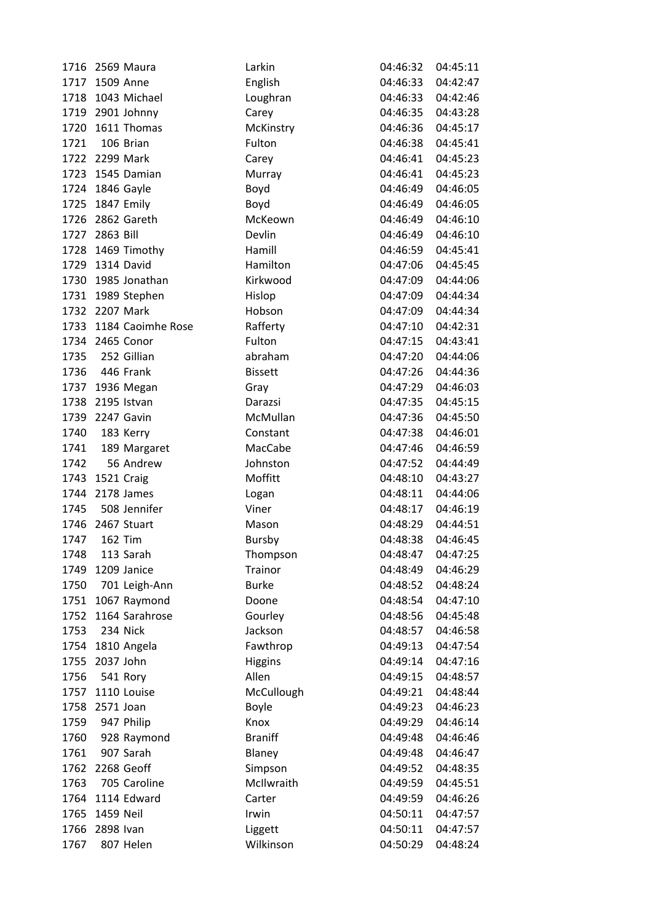|      | 1716 2569 Maura        | Larkin         | 04:46:32          | 04:45:11 |
|------|------------------------|----------------|-------------------|----------|
|      | 1717 1509 Anne         | English        | 04:46:33          | 04:42:47 |
|      | 1718 1043 Michael      | Loughran       | 04:46:33          | 04:42:46 |
|      | 1719 2901 Johnny       | Carey          | 04:46:35          | 04:43:28 |
|      | 1720 1611 Thomas       | McKinstry      | 04:46:36          | 04:45:17 |
| 1721 | 106 Brian              | Fulton         | 04:46:38          | 04:45:41 |
|      | 1722 2299 Mark         | Carey          | 04:46:41          | 04:45:23 |
|      | 1723 1545 Damian       | Murray         | 04:46:41          | 04:45:23 |
|      | 1724 1846 Gayle        | Boyd           | 04:46:49          | 04:46:05 |
|      | 1725 1847 Emily        | Boyd           | 04:46:49          | 04:46:05 |
|      | 1726 2862 Gareth       | McKeown        | 04:46:49          | 04:46:10 |
|      | 1727 2863 Bill         | Devlin         | 04:46:49          | 04:46:10 |
|      | 1728 1469 Timothy      | Hamill         | 04:46:59          | 04:45:41 |
|      | 1729 1314 David        | Hamilton       | 04:47:06          | 04:45:45 |
|      | 1730 1985 Jonathan     | Kirkwood       | 04:47:09          | 04:44:06 |
|      | 1731 1989 Stephen      | Hislop         | 04:47:09          | 04:44:34 |
|      | 1732 2207 Mark         | Hobson         | 04:47:09          | 04:44:34 |
|      | 1733 1184 Caoimhe Rose | Rafferty       | 04:47:10          | 04:42:31 |
|      | 1734 2465 Conor        | Fulton         | 04:47:15          | 04:43:41 |
|      | 1735 252 Gillian       | abraham        | 04:47:20          | 04:44:06 |
| 1736 | 446 Frank              | <b>Bissett</b> | 04:47:26          | 04:44:36 |
|      | 1737 1936 Megan        | Gray           | 04:47:29          | 04:46:03 |
|      | 1738 2195 Istvan       | Darazsi        | 04:47:35          | 04:45:15 |
|      | 1739 2247 Gavin        | McMullan       | 04:47:36          | 04:45:50 |
| 1740 | 183 Kerry              | Constant       | 04:47:38          | 04:46:01 |
|      | 1741 189 Margaret      | MacCabe        | 04:47:46          | 04:46:59 |
| 1742 | 56 Andrew              | Johnston       | 04:47:52          | 04:44:49 |
|      | 1743 1521 Craig        | Moffitt        | 04:48:10          | 04:43:27 |
|      | 1744 2178 James        | Logan          | 04:48:11          | 04:44:06 |
|      | 1745 508 Jennifer      | Viner          | 04:48:17          | 04:46:19 |
|      | 1746 2467 Stuart       | Mason          | 04:48:29          | 04:44:51 |
| 1747 | <b>162 Tim</b>         | Bursby         | 04:48:38          | 04:46:45 |
| 1748 | 113 Sarah              | Thompson       | 04:48:47 04:47:25 |          |
| 1749 | 1209 Janice            | Trainor        | 04:48:49          | 04:46:29 |
| 1750 | 701 Leigh-Ann          | <b>Burke</b>   | 04:48:52          | 04:48:24 |
|      | 1751 1067 Raymond      | Doone          | 04:48:54          | 04:47:10 |
| 1752 | 1164 Sarahrose         | Gourley        | 04:48:56          | 04:45:48 |
| 1753 | 234 Nick               | Jackson        | 04:48:57          | 04:46:58 |
|      | 1754 1810 Angela       | Fawthrop       | 04:49:13          | 04:47:54 |
| 1755 | 2037 John              | <b>Higgins</b> | 04:49:14          | 04:47:16 |
| 1756 | 541 Rory               | Allen          | 04:49:15          | 04:48:57 |
|      | 1757 1110 Louise       | McCullough     | 04:49:21          | 04:48:44 |
| 1758 | 2571 Joan              | Boyle          | 04:49:23          | 04:46:23 |
| 1759 | 947 Philip             | Knox           | 04:49:29          | 04:46:14 |
| 1760 | 928 Raymond            | <b>Braniff</b> | 04:49:48          | 04:46:46 |
| 1761 | 907 Sarah              | Blaney         | 04:49:48          | 04:46:47 |
| 1762 | 2268 Geoff             | Simpson        | 04:49:52          | 04:48:35 |
| 1763 | 705 Caroline           | McIlwraith     | 04:49:59          | 04:45:51 |
| 1764 | 1114 Edward            | Carter         | 04:49:59          | 04:46:26 |
| 1765 | 1459 Neil              | Irwin          | 04:50:11          | 04:47:57 |
|      | 1766 2898 Ivan         | Liggett        | 04:50:11          | 04:47:57 |
| 1767 | 807 Helen              | Wilkinson      | 04:50:29          | 04:48:24 |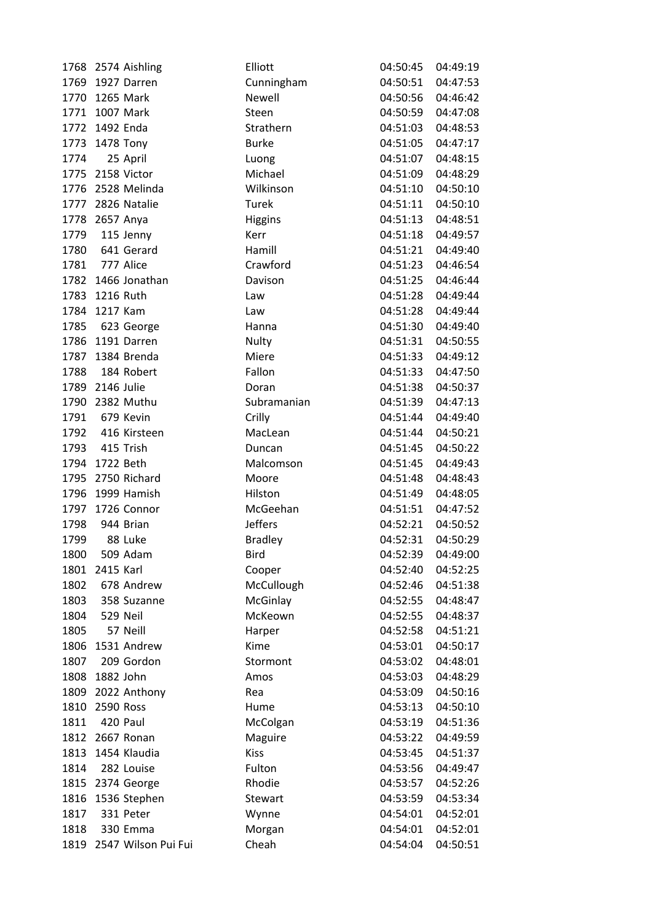| 1768 | 2574 Aishling       | Elliott        | 04:50:45          | 04:49:19 |
|------|---------------------|----------------|-------------------|----------|
| 1769 | 1927 Darren         | Cunningham     | 04:50:51          | 04:47:53 |
| 1770 | 1265 Mark           | <b>Newell</b>  | 04:50:56          | 04:46:42 |
|      | 1771 1007 Mark      | Steen          | 04:50:59          | 04:47:08 |
|      | 1772 1492 Enda      | Strathern      | 04:51:03          | 04:48:53 |
| 1773 | 1478 Tony           | <b>Burke</b>   | 04:51:05          | 04:47:17 |
| 1774 | 25 April            | Luong          | 04:51:07          | 04:48:15 |
| 1775 | 2158 Victor         | Michael        | 04:51:09          | 04:48:29 |
| 1776 | 2528 Melinda        | Wilkinson      | 04:51:10          | 04:50:10 |
|      | 1777 2826 Natalie   | Turek          | 04:51:11          | 04:50:10 |
| 1778 | 2657 Anya           | <b>Higgins</b> | 04:51:13          | 04:48:51 |
| 1779 | 115 Jenny           | Kerr           | 04:51:18          | 04:49:57 |
| 1780 | 641 Gerard          | Hamill         | 04:51:21          | 04:49:40 |
| 1781 | 777 Alice           | Crawford       | 04:51:23          | 04:46:54 |
| 1782 | 1466 Jonathan       | Davison        | 04:51:25          | 04:46:44 |
| 1783 | 1216 Ruth           | Law            | 04:51:28          | 04:49:44 |
| 1784 | 1217 Kam            | Law            | 04:51:28          | 04:49:44 |
| 1785 | 623 George          | Hanna          | 04:51:30          | 04:49:40 |
| 1786 | 1191 Darren         | Nulty          | 04:51:31          | 04:50:55 |
| 1787 | 1384 Brenda         | Miere          | 04:51:33          | 04:49:12 |
| 1788 | 184 Robert          | Fallon         | 04:51:33          | 04:47:50 |
| 1789 | 2146 Julie          | Doran          | 04:51:38          | 04:50:37 |
| 1790 | 2382 Muthu          | Subramanian    | 04:51:39          | 04:47:13 |
| 1791 | 679 Kevin           | Crilly         | 04:51:44          | 04:49:40 |
| 1792 | 416 Kirsteen        | MacLean        | 04:51:44          | 04:50:21 |
| 1793 | 415 Trish           | Duncan         | 04:51:45          | 04:50:22 |
| 1794 | 1722 Beth           | Malcomson      | 04:51:45          | 04:49:43 |
| 1795 | 2750 Richard        | Moore          | 04:51:48          | 04:48:43 |
| 1796 | 1999 Hamish         | Hilston        | 04:51:49          | 04:48:05 |
| 1797 | 1726 Connor         | McGeehan       | 04:51:51          | 04:47:52 |
| 1798 | 944 Brian           | <b>Jeffers</b> | 04:52:21          | 04:50:52 |
| 1799 | 88 Luke             | <b>Bradley</b> | 04:52:31          | 04:50:29 |
| 1800 | 509 Adam            | Bird           | 04:52:39 04:49:00 |          |
| 1801 | 2415 Karl           | Cooper         | 04:52:40          | 04:52:25 |
| 1802 | 678 Andrew          | McCullough     | 04:52:46          | 04:51:38 |
| 1803 | 358 Suzanne         | McGinlay       | 04:52:55          | 04:48:47 |
| 1804 | 529 Neil            | McKeown        | 04:52:55          | 04:48:37 |
| 1805 | 57 Neill            | Harper         | 04:52:58          | 04:51:21 |
| 1806 | 1531 Andrew         | Kime           | 04:53:01          | 04:50:17 |
| 1807 | 209 Gordon          | Stormont       | 04:53:02          | 04:48:01 |
| 1808 | 1882 John           | Amos           | 04:53:03          | 04:48:29 |
| 1809 | 2022 Anthony        | Rea            | 04:53:09          | 04:50:16 |
| 1810 | 2590 Ross           | Hume           | 04:53:13          | 04:50:10 |
| 1811 | 420 Paul            | McColgan       | 04:53:19          | 04:51:36 |
|      | 1812 2667 Ronan     | Maguire        | 04:53:22          | 04:49:59 |
| 1813 | 1454 Klaudia        | <b>Kiss</b>    | 04:53:45          | 04:51:37 |
| 1814 | 282 Louise          | Fulton         | 04:53:56          | 04:49:47 |
| 1815 | 2374 George         | Rhodie         | 04:53:57          | 04:52:26 |
| 1816 | 1536 Stephen        | Stewart        | 04:53:59          | 04:53:34 |
| 1817 | 331 Peter           | Wynne          | 04:54:01          | 04:52:01 |
| 1818 | 330 Emma            | Morgan         | 04:54:01          | 04:52:01 |
| 1819 | 2547 Wilson Pui Fui | Cheah          | 04:54:04          | 04:50:51 |
|      |                     |                |                   |          |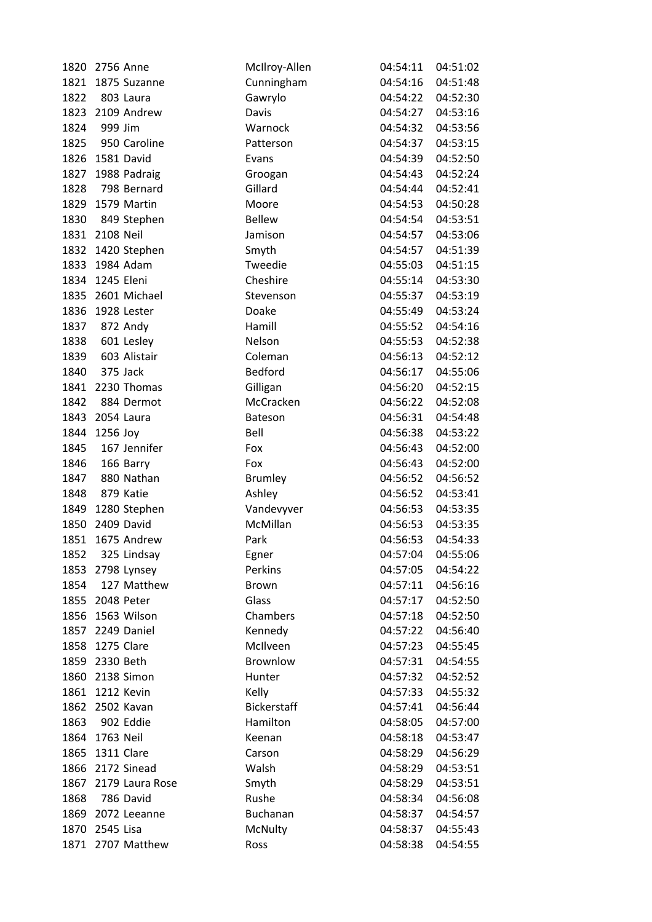|      | 1820 2756 Anne    | McIlroy-Allen      | 04:54:11             | 04:51:02             |
|------|-------------------|--------------------|----------------------|----------------------|
|      | 1821 1875 Suzanne | Cunningham         | 04:54:16             | 04:51:48             |
| 1822 | 803 Laura         | Gawrylo            | 04:54:22             | 04:52:30             |
|      | 1823 2109 Andrew  | Davis              | 04:54:27             | 04:53:16             |
| 1824 | 999 Jim           | Warnock            | 04:54:32             | 04:53:56             |
| 1825 | 950 Caroline      | Patterson          | 04:54:37             | 04:53:15             |
| 1826 | 1581 David        | Evans              | 04:54:39             | 04:52:50             |
|      | 1827 1988 Padraig | Groogan            | 04:54:43             | 04:52:24             |
| 1828 | 798 Bernard       | Gillard            | 04:54:44             | 04:52:41             |
|      | 1829 1579 Martin  | Moore              | 04:54:53             | 04:50:28             |
| 1830 | 849 Stephen       | <b>Bellew</b>      | 04:54:54             | 04:53:51             |
|      | 1831 2108 Neil    | Jamison            | 04:54:57             | 04:53:06             |
|      | 1832 1420 Stephen | Smyth              | 04:54:57             | 04:51:39             |
| 1833 | 1984 Adam         | Tweedie            | 04:55:03             | 04:51:15             |
|      | 1834 1245 Eleni   | Cheshire           | 04:55:14             | 04:53:30             |
|      | 1835 2601 Michael | Stevenson          | 04:55:37             | 04:53:19             |
| 1836 | 1928 Lester       | Doake              | 04:55:49             | 04:53:24             |
| 1837 | 872 Andy          | Hamill             | 04:55:52             | 04:54:16             |
| 1838 | 601 Lesley        | Nelson             | 04:55:53             | 04:52:38             |
| 1839 | 603 Alistair      | Coleman            | 04:56:13             | 04:52:12             |
| 1840 | 375 Jack          | Bedford            | 04:56:17             | 04:55:06             |
|      | 1841 2230 Thomas  | Gilligan           | 04:56:20             | 04:52:15             |
| 1842 | 884 Dermot        | McCracken          | 04:56:22             | 04:52:08             |
|      | 1843 2054 Laura   | Bateson            | 04:56:31             | 04:54:48             |
|      | 1844 1256 Joy     | Bell               | 04:56:38             | 04:53:22             |
| 1845 | 167 Jennifer      | Fox                | 04:56:43             | 04:52:00             |
| 1846 | 166 Barry         | Fox                | 04:56:43             | 04:52:00             |
| 1847 | 880 Nathan        | <b>Brumley</b>     | 04:56:52             | 04:56:52             |
| 1848 | 879 Katie         | Ashley             | 04:56:52             | 04:53:41             |
| 1849 | 1280 Stephen      | Vandevyver         | 04:56:53             | 04:53:35             |
|      | 1850 2409 David   | McMillan           | 04:56:53             | 04:53:35             |
| 1851 | 1675 Andrew       | Park               | 04:56:53             | 04:54:33             |
| 1852 | 325 Lindsay       | Egner              | 04:57:04             | 04:55:06             |
|      | 1853 2798 Lynsey  | Perkins            | 04:57:05             | 04:54:22             |
| 1854 | 127 Matthew       | Brown              | 04:57:11             | 04:56:16             |
| 1855 | 2048 Peter        | Glass              | 04:57:17             | 04:52:50             |
| 1856 | 1563 Wilson       | Chambers           | 04:57:18             | 04:52:50             |
|      | 1857 2249 Daniel  | Kennedy            | 04:57:22             | 04:56:40             |
| 1858 | 1275 Clare        | McIlveen           | 04:57:23             | 04:55:45             |
|      | 1859 2330 Beth    | Brownlow           | 04:57:31             | 04:54:55             |
| 1860 | 2138 Simon        | Hunter             | 04:57:32             | 04:52:52             |
| 1861 | 1212 Kevin        | Kelly              | 04:57:33             | 04:55:32             |
| 1862 | 2502 Kavan        | <b>Bickerstaff</b> | 04:57:41             | 04:56:44             |
| 1863 | 902 Eddie         | Hamilton           | 04:58:05             | 04:57:00             |
|      | 1864 1763 Neil    |                    |                      |                      |
| 1865 | 1311 Clare        | Keenan<br>Carson   | 04:58:18<br>04:58:29 | 04:53:47<br>04:56:29 |
| 1866 | 2172 Sinead       | Walsh              | 04:58:29             |                      |
| 1867 | 2179 Laura Rose   |                    |                      | 04:53:51             |
| 1868 | 786 David         | Smyth<br>Rushe     | 04:58:29<br>04:58:34 | 04:53:51             |
| 1869 | 2072 Leeanne      | Buchanan           |                      | 04:56:08             |
|      |                   |                    | 04:58:37             | 04:54:57             |
| 1870 | 2545 Lisa         | McNulty            | 04:58:37             | 04:55:43             |
|      | 1871 2707 Matthew | Ross               | 04:58:38             | 04:54:55             |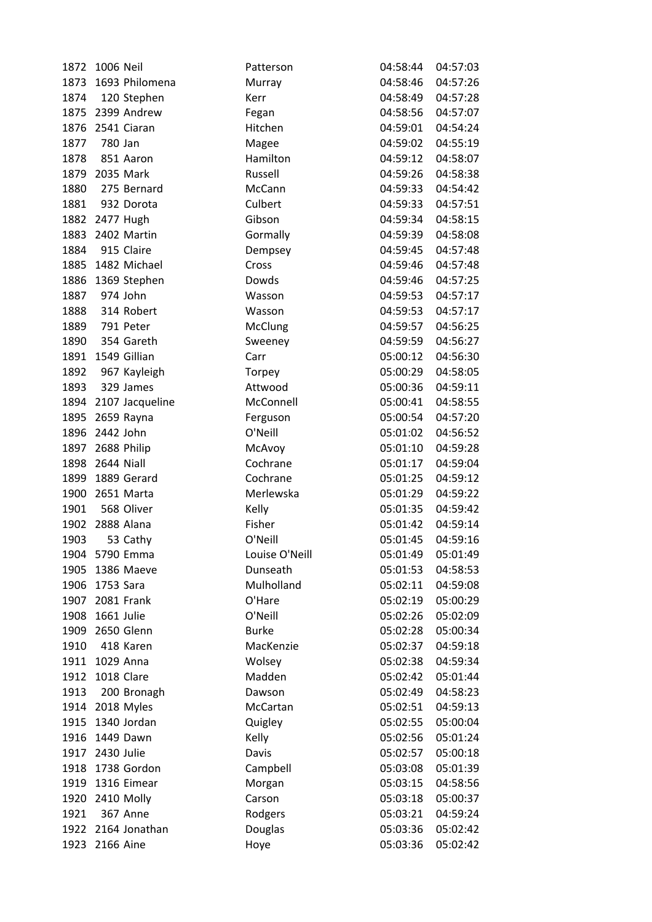| 1872 | 1006 Neil            | Patterson      | 04:58:44          | 04:57:03 |
|------|----------------------|----------------|-------------------|----------|
| 1873 | 1693 Philomena       | Murray         | 04:58:46          | 04:57:26 |
| 1874 | 120 Stephen          | Kerr           | 04:58:49          | 04:57:28 |
|      | 1875 2399 Andrew     | Fegan          | 04:58:56          | 04:57:07 |
|      | 1876 2541 Ciaran     | Hitchen        | 04:59:01          | 04:54:24 |
| 1877 | 780 Jan              | Magee          | 04:59:02          | 04:55:19 |
| 1878 | 851 Aaron            | Hamilton       | 04:59:12          | 04:58:07 |
| 1879 | 2035 Mark            | Russell        | 04:59:26          | 04:58:38 |
| 1880 | 275 Bernard          | McCann         | 04:59:33          | 04:54:42 |
|      | 1881 932 Dorota      | Culbert        | 04:59:33          | 04:57:51 |
|      | 1882 2477 Hugh       | Gibson         | 04:59:34          | 04:58:15 |
|      | 1883 2402 Martin     | Gormally       | 04:59:39          | 04:58:08 |
|      | 1884 915 Claire      | Dempsey        | 04:59:45          | 04:57:48 |
|      | 1885 1482 Michael    | Cross          | 04:59:46          | 04:57:48 |
|      | 1886 1369 Stephen    | Dowds          | 04:59:46          | 04:57:25 |
|      | 1887 974 John        | Wasson         | 04:59:53          | 04:57:17 |
| 1888 | 314 Robert           | Wasson         | 04:59:53          | 04:57:17 |
| 1889 | 791 Peter            | McClung        | 04:59:57          | 04:56:25 |
| 1890 | 354 Gareth           | Sweeney        | 04:59:59          | 04:56:27 |
|      | 1891 1549 Gillian    | Carr           | 05:00:12          | 04:56:30 |
| 1892 | 967 Kayleigh         | Torpey         | 05:00:29          | 04:58:05 |
|      | 1893 329 James       | Attwood        | 05:00:36          | 04:59:11 |
|      | 1894 2107 Jacqueline | McConnell      | 05:00:41          | 04:58:55 |
|      | 1895 2659 Rayna      | Ferguson       | 05:00:54          | 04:57:20 |
| 1896 | 2442 John            | O'Neill        | 05:01:02          | 04:56:52 |
|      | 1897 2688 Philip     | McAvoy         | 05:01:10          | 04:59:28 |
|      | 1898 2644 Niall      | Cochrane       | 05:01:17          | 04:59:04 |
| 1899 | 1889 Gerard          | Cochrane       | 05:01:25          | 04:59:12 |
|      | 1900 2651 Marta      | Merlewska      | 05:01:29          | 04:59:22 |
|      | 1901 568 Oliver      | Kelly          | 05:01:35          | 04:59:42 |
|      | 1902 2888 Alana      | Fisher         | 05:01:42          | 04:59:14 |
| 1903 | 53 Cathy             | O'Neill        | 05:01:45          | 04:59:16 |
|      | 1904 5790 Emma       | Louise O'Neill | 05:01:49 05:01:49 |          |
| 1905 | 1386 Maeve           | Dunseath       | 05:01:53          | 04:58:53 |
| 1906 | 1753 Sara            | Mulholland     | 05:02:11          | 04:59:08 |
| 1907 | 2081 Frank           | O'Hare         | 05:02:19          | 05:00:29 |
| 1908 | 1661 Julie           | O'Neill        | 05:02:26          | 05:02:09 |
|      | 1909 2650 Glenn      | <b>Burke</b>   | 05:02:28          | 05:00:34 |
| 1910 | 418 Karen            | MacKenzie      | 05:02:37          | 04:59:18 |
| 1911 | 1029 Anna            | Wolsey         | 05:02:38          | 04:59:34 |
| 1912 | 1018 Clare           | Madden         | 05:02:42          | 05:01:44 |
| 1913 | 200 Bronagh          | Dawson         | 05:02:49          | 04:58:23 |
|      | 1914 2018 Myles      | McCartan       | 05:02:51          | 04:59:13 |
| 1915 | 1340 Jordan          | Quigley        | 05:02:55          | 05:00:04 |
|      | 1916 1449 Dawn       | Kelly          | 05:02:56          | 05:01:24 |
| 1917 | 2430 Julie           | Davis          | 05:02:57          | 05:00:18 |
| 1918 | 1738 Gordon          | Campbell       | 05:03:08          | 05:01:39 |
| 1919 | 1316 Eimear          | Morgan         | 05:03:15          | 04:58:56 |
|      | 1920 2410 Molly      | Carson         | 05:03:18          | 05:00:37 |
| 1921 | <b>367 Anne</b>      | Rodgers        | 05:03:21          | 04:59:24 |
|      | 1922 2164 Jonathan   | Douglas        | 05:03:36          | 05:02:42 |
|      | 1923 2166 Aine       | Hoye           | 05:03:36          | 05:02:42 |
|      |                      |                |                   |          |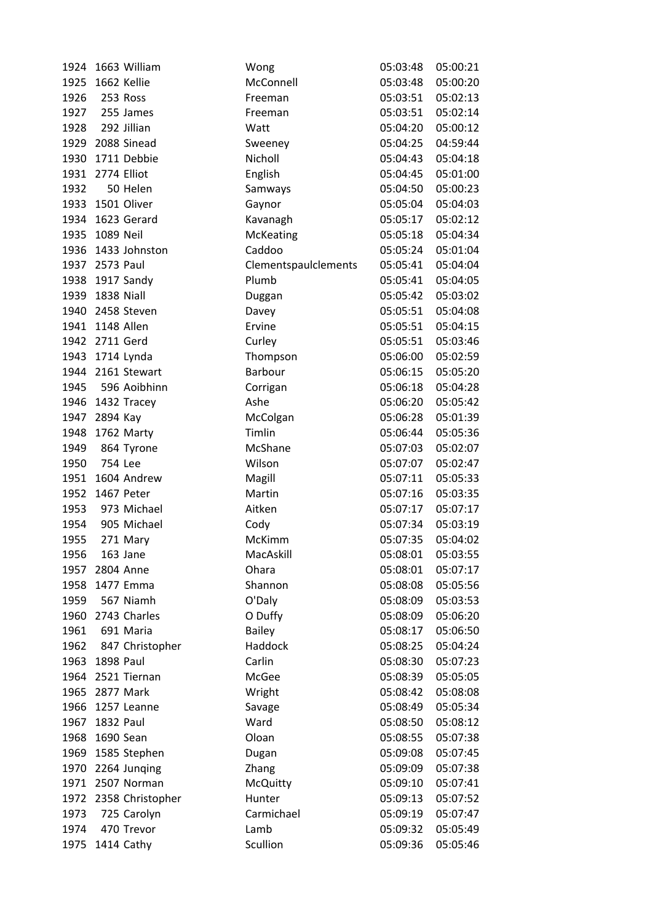| 1924 | 1663 William      | Wong                 | 05:03:48 | 05:00:21 |
|------|-------------------|----------------------|----------|----------|
| 1925 | 1662 Kellie       | McConnell            | 05:03:48 | 05:00:20 |
| 1926 | 253 Ross          | Freeman              | 05:03:51 | 05:02:13 |
| 1927 | 255 James         | Freeman              | 05:03:51 | 05:02:14 |
| 1928 | 292 Jillian       | Watt                 | 05:04:20 | 05:00:12 |
| 1929 | 2088 Sinead       | Sweeney              | 05:04:25 | 04:59:44 |
| 1930 | 1711 Debbie       | Nicholl              | 05:04:43 | 05:04:18 |
| 1931 | 2774 Elliot       | English              | 05:04:45 | 05:01:00 |
| 1932 | 50 Helen          | Samways              | 05:04:50 | 05:00:23 |
|      | 1933 1501 Oliver  | Gaynor               | 05:05:04 | 05:04:03 |
| 1934 | 1623 Gerard       | Kavanagh             | 05:05:17 | 05:02:12 |
| 1935 | 1089 Neil         | McKeating            | 05:05:18 | 05:04:34 |
| 1936 | 1433 Johnston     | Caddoo               | 05:05:24 | 05:01:04 |
| 1937 | 2573 Paul         | Clementspaulclements | 05:05:41 | 05:04:04 |
| 1938 | 1917 Sandy        | Plumb                | 05:05:41 | 05:04:05 |
| 1939 | 1838 Niall        | Duggan               | 05:05:42 | 05:03:02 |
| 1940 | 2458 Steven       | Davey                | 05:05:51 | 05:04:08 |
| 1941 | 1148 Allen        | Ervine               | 05:05:51 | 05:04:15 |
| 1942 | 2711 Gerd         | Curley               | 05:05:51 | 05:03:46 |
| 1943 | 1714 Lynda        | Thompson             | 05:06:00 | 05:02:59 |
|      | 1944 2161 Stewart | Barbour              | 05:06:15 | 05:05:20 |
| 1945 | 596 Aoibhinn      | Corrigan             | 05:06:18 | 05:04:28 |
| 1946 | 1432 Tracey       | Ashe                 | 05:06:20 | 05:05:42 |
| 1947 | 2894 Kay          | McColgan             | 05:06:28 | 05:01:39 |
| 1948 | 1762 Marty        | Timlin               | 05:06:44 | 05:05:36 |
| 1949 | 864 Tyrone        | McShane              | 05:07:03 | 05:02:07 |
| 1950 | 754 Lee           | Wilson               | 05:07:07 | 05:02:47 |
| 1951 | 1604 Andrew       | Magill               | 05:07:11 | 05:05:33 |
| 1952 | 1467 Peter        | Martin               | 05:07:16 | 05:03:35 |
| 1953 | 973 Michael       | Aitken               | 05:07:17 | 05:07:17 |
| 1954 | 905 Michael       | Cody                 | 05:07:34 | 05:03:19 |
| 1955 | 271 Mary          | McKimm               | 05:07:35 | 05:04:02 |
| 1956 | 163 Jane          | MacAskill            | 05:08:01 | 05:03:55 |
| 1957 | 2804 Anne         | Ohara                | 05:08:01 | 05:07:17 |
| 1958 | 1477 Emma         | Shannon              | 05:08:08 | 05:05:56 |
| 1959 | 567 Niamh         | O'Daly               | 05:08:09 | 05:03:53 |
| 1960 | 2743 Charles      | O Duffy              | 05:08:09 | 05:06:20 |
| 1961 | 691 Maria         | Bailey               | 05:08:17 | 05:06:50 |
| 1962 | 847 Christopher   | Haddock              | 05:08:25 | 05:04:24 |
| 1963 | <b>1898 Paul</b>  | Carlin               | 05:08:30 | 05:07:23 |
| 1964 | 2521 Tiernan      | McGee                | 05:08:39 | 05:05:05 |
| 1965 | 2877 Mark         | Wright               | 05:08:42 | 05:08:08 |
| 1966 | 1257 Leanne       | Savage               | 05:08:49 | 05:05:34 |
| 1967 | 1832 Paul         | Ward                 | 05:08:50 | 05:08:12 |
| 1968 | 1690 Sean         | Oloan                | 05:08:55 | 05:07:38 |
| 1969 | 1585 Stephen      | Dugan                | 05:09:08 | 05:07:45 |
| 1970 | 2264 Junging      | Zhang                | 05:09:09 | 05:07:38 |
| 1971 | 2507 Norman       | <b>McQuitty</b>      | 05:09:10 | 05:07:41 |
| 1972 | 2358 Christopher  | Hunter               | 05:09:13 | 05:07:52 |
| 1973 | 725 Carolyn       | Carmichael           | 05:09:19 | 05:07:47 |
| 1974 | 470 Trevor        | Lamb                 | 05:09:32 | 05:05:49 |
| 1975 | 1414 Cathy        | Scullion             | 05:09:36 | 05:05:46 |
|      |                   |                      |          |          |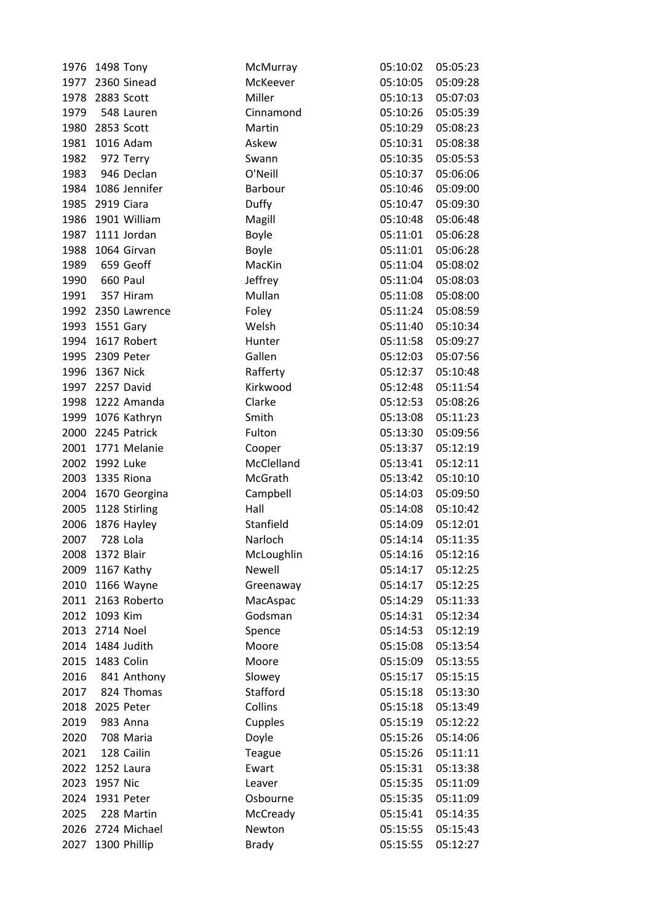| 1976 | 1498 Tony          | McMurray     | 05:10:02          | 05:05:23 |
|------|--------------------|--------------|-------------------|----------|
|      | 1977 2360 Sinead   | McKeever     | 05:10:05          | 05:09:28 |
| 1978 | 2883 Scott         | Miller       | 05:10:13          | 05:07:03 |
| 1979 | 548 Lauren         | Cinnamond    | 05:10:26          | 05:05:39 |
| 1980 | 2853 Scott         | Martin       | 05:10:29          | 05:08:23 |
| 1981 | 1016 Adam          | Askew        | 05:10:31          | 05:08:38 |
| 1982 | 972 Terry          | Swann        | 05:10:35          | 05:05:53 |
| 1983 | 946 Declan         | O'Neill      | 05:10:37          | 05:06:06 |
| 1984 | 1086 Jennifer      | Barbour      | 05:10:46          | 05:09:00 |
|      | 1985 2919 Ciara    | Duffy        | 05:10:47          | 05:09:30 |
| 1986 | 1901 William       | Magill       | 05:10:48          | 05:06:48 |
| 1987 | 1111 Jordan        | Boyle        | 05:11:01          | 05:06:28 |
| 1988 | 1064 Girvan        | <b>Boyle</b> | 05:11:01          | 05:06:28 |
| 1989 | 659 Geoff          | MacKin       | 05:11:04          | 05:08:02 |
| 1990 | 660 Paul           | Jeffrey      | 05:11:04          | 05:08:03 |
| 1991 | 357 Hiram          | Mullan       | 05:11:08          | 05:08:00 |
|      | 1992 2350 Lawrence | Foley        | 05:11:24          | 05:08:59 |
| 1993 | 1551 Gary          | Welsh        | 05:11:40          | 05:10:34 |
| 1994 | 1617 Robert        | Hunter       | 05:11:58          | 05:09:27 |
| 1995 | 2309 Peter         | Gallen       | 05:12:03          | 05:07:56 |
| 1996 | 1367 Nick          | Rafferty     | 05:12:37          | 05:10:48 |
|      | 1997 2257 David    | Kirkwood     | 05:12:48          | 05:11:54 |
|      | 1998 1222 Amanda   | Clarke       | 05:12:53          | 05:08:26 |
| 1999 | 1076 Kathryn       | Smith        | 05:13:08          | 05:11:23 |
| 2000 | 2245 Patrick       | Fulton       | 05:13:30          | 05:09:56 |
|      | 2001 1771 Melanie  | Cooper       | 05:13:37          | 05:12:19 |
| 2002 | 1992 Luke          | McClelland   | 05:13:41          | 05:12:11 |
| 2003 | 1335 Riona         | McGrath      | 05:13:42          | 05:10:10 |
|      | 2004 1670 Georgina | Campbell     | 05:14:03          | 05:09:50 |
| 2005 | 1128 Stirling      | Hall         | 05:14:08          | 05:10:42 |
| 2006 | 1876 Hayley        | Stanfield    | 05:14:09          | 05:12:01 |
| 2007 | 728 Lola           | Narloch      | 05:14:14          | 05:11:35 |
| 2008 | 1372 Blair         | McLoughlin   | 05:14:16 05:12:16 |          |
| 2009 | 1167 Kathy         | Newell       | 05:14:17          | 05:12:25 |
| 2010 | 1166 Wayne         | Greenaway    | 05:14:17          | 05:12:25 |
|      | 2011 2163 Roberto  | MacAspac     | 05:14:29          | 05:11:33 |
| 2012 | 1093 Kim           | Godsman      | 05:14:31          | 05:12:34 |
|      | 2013 2714 Noel     | Spence       | 05:14:53          | 05:12:19 |
|      | 2014 1484 Judith   | Moore        | 05:15:08          | 05:13:54 |
| 2015 | 1483 Colin         | Moore        | 05:15:09          | 05:13:55 |
| 2016 | 841 Anthony        | Slowey       | 05:15:17          | 05:15:15 |
|      | 2017 824 Thomas    | Stafford     | 05:15:18          | 05:13:30 |
| 2018 | 2025 Peter         | Collins      | 05:15:18          | 05:13:49 |
| 2019 | 983 Anna           | Cupples      | 05:15:19          | 05:12:22 |
| 2020 | 708 Maria          | Doyle        | 05:15:26          | 05:14:06 |
| 2021 | 128 Cailin         | Teague       | 05:15:26          | 05:11:11 |
| 2022 | 1252 Laura         | Ewart        | 05:15:31          | 05:13:38 |
| 2023 | 1957 Nic           | Leaver       | 05:15:35          | 05:11:09 |
|      | 2024 1931 Peter    | Osbourne     | 05:15:35          | 05:11:09 |
| 2025 | 228 Martin         | McCready     | 05:15:41          | 05:14:35 |
|      | 2026 2724 Michael  | Newton       | 05:15:55          | 05:15:43 |
| 2027 | 1300 Phillip       | <b>Brady</b> | 05:15:55          | 05:12:27 |
|      |                    |              |                   |          |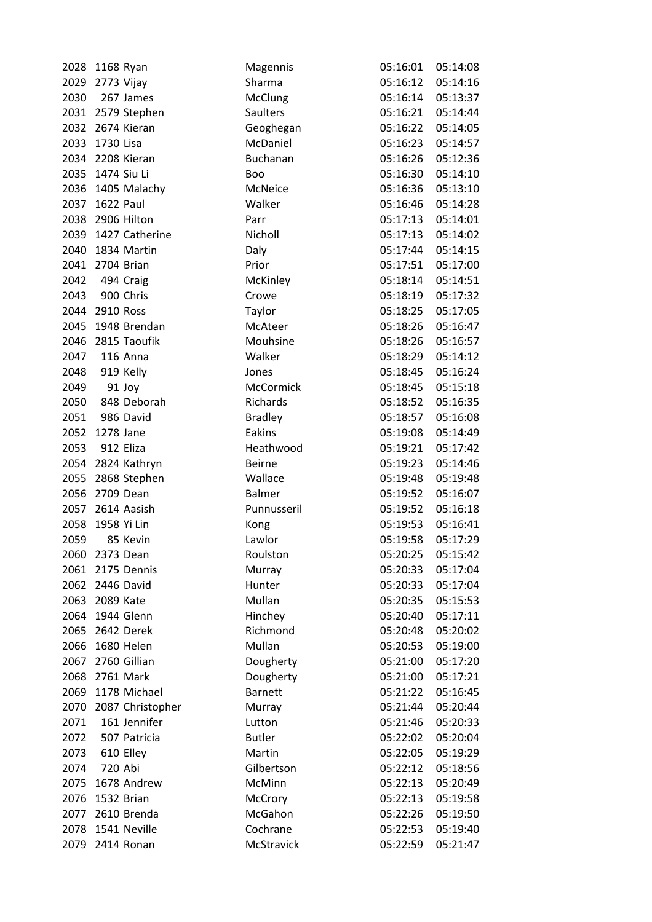| 2028 | 1168 Ryan           | Magennis       | 05:16:01           | 05:14:08 |
|------|---------------------|----------------|--------------------|----------|
|      | 2029 2773 Vijay     | Sharma         | 05:16:12           | 05:14:16 |
| 2030 | 267 James           | <b>McClung</b> | 05:16:14           | 05:13:37 |
|      | 2031 2579 Stephen   | Saulters       | 05:16:21           | 05:14:44 |
|      | 2032 2674 Kieran    | Geoghegan      | 05:16:22           | 05:14:05 |
| 2033 | 1730 Lisa           | McDaniel       | 05:16:23           | 05:14:57 |
|      | 2034 2208 Kieran    | Buchanan       | 05:16:26           | 05:12:36 |
|      | 2035 1474 Siu Li    | <b>Boo</b>     | 05:16:30           | 05:14:10 |
|      | 2036 1405 Malachy   | McNeice        | 05:16:36           | 05:13:10 |
|      | 2037 1622 Paul      | Walker         | 05:16:46           | 05:14:28 |
|      | 2038 2906 Hilton    | Parr           | 05:17:13           | 05:14:01 |
|      | 2039 1427 Catherine | Nicholl        | 05:17:13           | 05:14:02 |
| 2040 | 1834 Martin         | Daly           | 05:17:44           | 05:14:15 |
|      | 2041 2704 Brian     | Prior          | 05:17:51           | 05:17:00 |
| 2042 | 494 Craig           | McKinley       | 05:18:14           | 05:14:51 |
| 2043 | 900 Chris           | Crowe          | 05:18:19           | 05:17:32 |
|      | 2044 2910 Ross      | Taylor         | 05:18:25           | 05:17:05 |
| 2045 | 1948 Brendan        | McAteer        | 05:18:26           | 05:16:47 |
| 2046 | 2815 Taoufik        | Mouhsine       | 05:18:26           | 05:16:57 |
| 2047 | 116 Anna            | Walker         | 05:18:29           | 05:14:12 |
| 2048 | 919 Kelly           | Jones          | 05:18:45           | 05:16:24 |
| 2049 | 91 Joy              | McCormick      | 05:18:45           | 05:15:18 |
| 2050 | 848 Deborah         | Richards       | 05:18:52           | 05:16:35 |
| 2051 | 986 David           | <b>Bradley</b> | 05:18:57           | 05:16:08 |
| 2052 | 1278 Jane           | Eakins         | 05:19:08           | 05:14:49 |
| 2053 | 912 Eliza           | Heathwood      | 05:19:21           | 05:17:42 |
|      | 2054 2824 Kathryn   | <b>Beirne</b>  | 05:19:23           | 05:14:46 |
| 2055 | 2868 Stephen        | Wallace        | 05:19:48           | 05:19:48 |
|      | 2056 2709 Dean      | Balmer         | 05:19:52           | 05:16:07 |
|      | 2057 2614 Aasish    | Punnusseril    | 05:19:52           | 05:16:18 |
| 2058 | 1958 Yi Lin         | Kong           | 05:19:53           | 05:16:41 |
| 2059 | 85 Kevin            | Lawlor         | 05:19:58           | 05:17:29 |
| 2060 | 2373 Dean           | Roulston       | 05:20:25  05:15:42 |          |
| 2061 | 2175 Dennis         | Murray         | 05:20:33           | 05:17:04 |
| 2062 | 2446 David          | Hunter         | 05:20:33           | 05:17:04 |
| 2063 | 2089 Kate           | Mullan         | 05:20:35           | 05:15:53 |
| 2064 | 1944 Glenn          | Hinchey        | 05:20:40           | 05:17:11 |
|      | 2065 2642 Derek     | Richmond       | 05:20:48           | 05:20:02 |
| 2066 | 1680 Helen          | Mullan         | 05:20:53           | 05:19:00 |
| 2067 | 2760 Gillian        | Dougherty      | 05:21:00           | 05:17:20 |
| 2068 | 2761 Mark           | Dougherty      | 05:21:00           | 05:17:21 |
| 2069 | 1178 Michael        | <b>Barnett</b> | 05:21:22           | 05:16:45 |
| 2070 | 2087 Christopher    | Murray         | 05:21:44           | 05:20:44 |
| 2071 | 161 Jennifer        | Lutton         | 05:21:46           | 05:20:33 |
| 2072 | 507 Patricia        | <b>Butler</b>  | 05:22:02           | 05:20:04 |
| 2073 | 610 Elley           | Martin         | 05:22:05           | 05:19:29 |
| 2074 | 720 Abi             | Gilbertson     | 05:22:12           | 05:18:56 |
| 2075 | 1678 Andrew         | McMinn         | 05:22:13           | 05:20:49 |
| 2076 | 1532 Brian          | McCrory        | 05:22:13           | 05:19:58 |
| 2077 | 2610 Brenda         | McGahon        | 05:22:26           | 05:19:50 |
| 2078 | 1541 Neville        | Cochrane       | 05:22:53           | 05:19:40 |
| 2079 | 2414 Ronan          | McStravick     | 05:22:59           | 05:21:47 |
|      |                     |                |                    |          |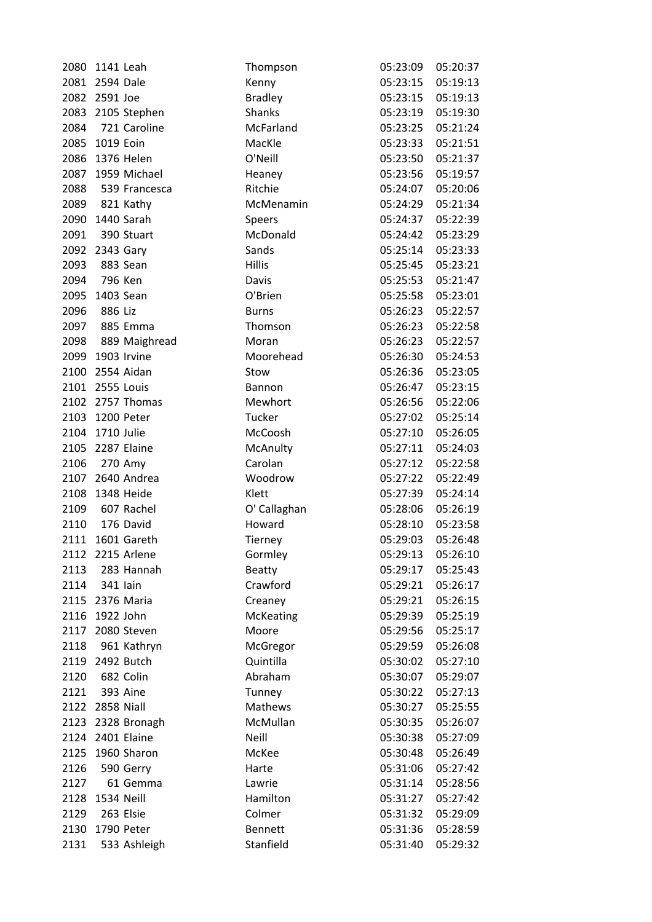| 2080         | 1141 Leah             | Thompson             | 05:23:09           | 05:20:37 |
|--------------|-----------------------|----------------------|--------------------|----------|
|              | 2081 2594 Dale        | Kenny                | 05:23:15           | 05:19:13 |
| 2082         | 2591 Joe              | <b>Bradley</b>       | 05:23:15           | 05:19:13 |
|              | 2083 2105 Stephen     | Shanks               | 05:23:19           | 05:19:30 |
| 2084         | 721 Caroline          | McFarland            | 05:23:25           | 05:21:24 |
| 2085         | 1019 Eoin             | MacKle               | 05:23:33           | 05:21:51 |
| 2086         | 1376 Helen            | O'Neill              | 05:23:50           | 05:21:37 |
| 2087         | 1959 Michael          | Heaney               | 05:23:56           | 05:19:57 |
| 2088         | 539 Francesca         | Ritchie              | 05:24:07           | 05:20:06 |
|              | 2089 821 Kathy        | McMenamin            | 05:24:29           | 05:21:34 |
|              | 2090 1440 Sarah       | Speers               | 05:24:37           | 05:22:39 |
| 2091         | 390 Stuart            | McDonald             | 05:24:42           | 05:23:29 |
|              | 2092 2343 Gary        | Sands                | 05:25:14           | 05:23:33 |
| 2093         | 883 Sean              | <b>Hillis</b>        | 05:25:45           | 05:23:21 |
| 2094         | 796 Ken               | Davis                | 05:25:53           | 05:21:47 |
| 2095         | 1403 Sean             | O'Brien              | 05:25:58           | 05:23:01 |
| 2096         | 886 Liz               | <b>Burns</b>         | 05:26:23           | 05:22:57 |
| 2097         | 885 Emma              | Thomson              | 05:26:23           | 05:22:58 |
| 2098         | 889 Maighread         | Moran                | 05:26:23           | 05:22:57 |
|              | 2099 1903 Irvine      | Moorehead            | 05:26:30           | 05:24:53 |
|              | 2100 2554 Aidan       | Stow                 | 05:26:36           | 05:23:05 |
|              | 2101 2555 Louis       | Bannon               | 05:26:47           | 05:23:15 |
|              | 2102 2757 Thomas      | Mewhort              | 05:26:56           | 05:22:06 |
| 2103         | 1200 Peter            | Tucker               | 05:27:02           | 05:25:14 |
| 2104         | 1710 Julie            | McCoosh              | 05:27:10           | 05:26:05 |
| 2105         | 2287 Elaine           | McAnulty             | 05:27:11           | 05:24:03 |
| 2106         | 270 Amy               | Carolan              | 05:27:12           | 05:22:58 |
|              | 2107 2640 Andrea      | Woodrow              | 05:27:22           | 05:22:49 |
|              | 2108 1348 Heide       | Klett                | 05:27:39           | 05:24:14 |
| 2109         | 607 Rachel            | O' Callaghan         | 05:28:06           | 05:26:19 |
| 2110         | 176 David             | Howard               | 05:28:10           | 05:23:58 |
|              | 2111 1601 Gareth      | Tierney              | 05:29:03           | 05:26:48 |
|              | 2112 2215 Arlene      | Gormley              | 05:29:13  05:26:10 |          |
| 2113         | 283 Hannah            | <b>Beatty</b>        | 05:29:17           | 05:25:43 |
| 2114         | 341 lain              | Crawford             | 05:29:21           | 05:26:17 |
|              | 2115 2376 Maria       | Creaney              | 05:29:21           | 05:26:15 |
| 2116         | 1922 John             | McKeating            | 05:29:39           | 05:25:19 |
| 2117         | 2080 Steven           | Moore                | 05:29:56           | 05:25:17 |
| 2118         | 961 Kathryn           |                      | 05:29:59           | 05:26:08 |
|              | 2119 2492 Butch       | McGregor             | 05:30:02           | 05:27:10 |
|              |                       | Quintilla<br>Abraham |                    |          |
| 2120<br>2121 | 682 Colin<br>393 Aine |                      | 05:30:07           | 05:29:07 |
|              |                       | Tunney               | 05:30:22           | 05:27:13 |
| 2122         | 2858 Niall            | Mathews              | 05:30:27           | 05:25:55 |
|              | 2123 2328 Bronagh     | McMullan             | 05:30:35           | 05:26:07 |
|              | 2124 2401 Elaine      | Neill                | 05:30:38           | 05:27:09 |
| 2125         | 1960 Sharon           | McKee                | 05:30:48           | 05:26:49 |
| 2126         | 590 Gerry             | Harte                | 05:31:06           | 05:27:42 |
| 2127         | 61 Gemma              | Lawrie               | 05:31:14           | 05:28:56 |
| 2128         | 1534 Neill            | Hamilton             | 05:31:27           | 05:27:42 |
| 2129         | 263 Elsie             | Colmer               | 05:31:32           | 05:29:09 |
| 2130         | 1790 Peter            | <b>Bennett</b>       | 05:31:36           | 05:28:59 |
| 2131         | 533 Ashleigh          | Stanfield            | 05:31:40           | 05:29:32 |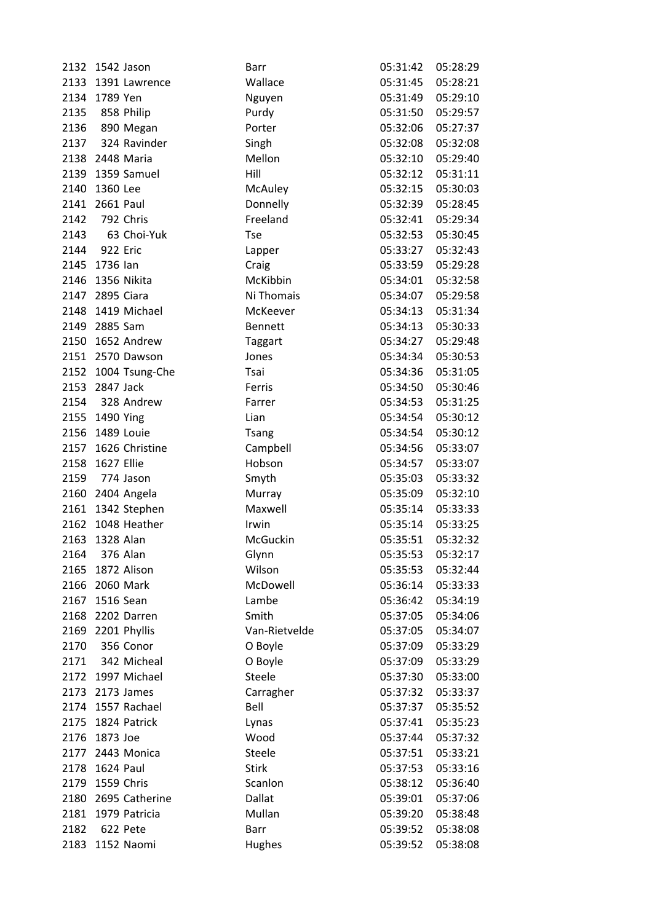| 2132 | 1542 Jason          | Barr           | 05:31:42            | 05:28:29 |
|------|---------------------|----------------|---------------------|----------|
| 2133 | 1391 Lawrence       | Wallace        | 05:31:45            | 05:28:21 |
|      | 2134 1789 Yen       | Nguyen         | 05:31:49            | 05:29:10 |
|      | 2135 858 Philip     | Purdy          | 05:31:50            | 05:29:57 |
| 2136 | 890 Megan           | Porter         | 05:32:06            | 05:27:37 |
| 2137 | 324 Ravinder        | Singh          | 05:32:08            | 05:32:08 |
|      | 2138 2448 Maria     | Mellon         | 05:32:10            | 05:29:40 |
|      | 2139 1359 Samuel    | Hill           | 05:32:12            | 05:31:11 |
| 2140 | 1360 Lee            | McAuley        | 05:32:15            | 05:30:03 |
|      | 2141 2661 Paul      | Donnelly       | 05:32:39            | 05:28:45 |
|      | 2142 792 Chris      | Freeland       | 05:32:41            | 05:29:34 |
|      | 2143 63 Choi-Yuk    | <b>Tse</b>     | 05:32:53            | 05:30:45 |
|      | 2144 922 Eric       | Lapper         | 05:33:27            | 05:32:43 |
|      | 2145 1736 lan       | Craig          | 05:33:59            | 05:29:28 |
| 2146 | 1356 Nikita         | McKibbin       | 05:34:01            | 05:32:58 |
|      | 2147 2895 Ciara     | Ni Thomais     | 05:34:07            | 05:29:58 |
|      | 2148 1419 Michael   | McKeever       | 05:34:13            | 05:31:34 |
|      | 2149 2885 Sam       | <b>Bennett</b> | 05:34:13            | 05:30:33 |
|      | 2150 1652 Andrew    | <b>Taggart</b> | 05:34:27            | 05:29:48 |
|      | 2151 2570 Dawson    | Jones          | 05:34:34            | 05:30:53 |
|      | 2152 1004 Tsung-Che | Tsai           | 05:34:36            | 05:31:05 |
|      | 2153 2847 Jack      | Ferris         | 05:34:50            | 05:30:46 |
|      | 2154 328 Andrew     | Farrer         | 05:34:53            | 05:31:25 |
|      | 2155 1490 Ying      | Lian           | 05:34:54            | 05:30:12 |
| 2156 | 1489 Louie          | <b>Tsang</b>   | 05:34:54            | 05:30:12 |
|      | 2157 1626 Christine | Campbell       | 05:34:56            | 05:33:07 |
| 2158 | 1627 Ellie          | Hobson         | 05:34:57            | 05:33:07 |
| 2159 | 774 Jason           | Smyth          | 05:35:03            | 05:33:32 |
|      | 2160 2404 Angela    | Murray         | 05:35:09            | 05:32:10 |
|      | 2161 1342 Stephen   | Maxwell        | 05:35:14            | 05:33:33 |
| 2162 | 1048 Heather        | Irwin          | 05:35:14            | 05:33:25 |
| 2163 | 1328 Alan           | McGuckin       | 05:35:51            | 05:32:32 |
|      | 2164 376 Alan       | Glynn          | 05:35:53   05:32:17 |          |
| 2165 | 1872 Alison         | Wilson         | 05:35:53            | 05:32:44 |
| 2166 | 2060 Mark           | McDowell       | 05:36:14            | 05:33:33 |
| 2167 | 1516 Sean           | Lambe          | 05:36:42            | 05:34:19 |
| 2168 | 2202 Darren         | Smith          | 05:37:05            | 05:34:06 |
|      | 2169 2201 Phyllis   | Van-Rietvelde  | 05:37:05            | 05:34:07 |
| 2170 | 356 Conor           | O Boyle        | 05:37:09            | 05:33:29 |
| 2171 | 342 Micheal         | O Boyle        | 05:37:09            | 05:33:29 |
|      | 2172 1997 Michael   | Steele         | 05:37:30            | 05:33:00 |
|      | 2173 2173 James     | Carragher      | 05:37:32            | 05:33:37 |
|      | 2174 1557 Rachael   | Bell           | 05:37:37            | 05:35:52 |
|      | 2175 1824 Patrick   | Lynas          | 05:37:41            | 05:35:23 |
| 2176 | 1873 Joe            | Wood           | 05:37:44            | 05:37:32 |
|      | 2177 2443 Monica    | Steele         | 05:37:51            | 05:33:21 |
| 2178 | 1624 Paul           | <b>Stirk</b>   | 05:37:53            | 05:33:16 |
|      | 2179 1559 Chris     | Scanlon        | 05:38:12            | 05:36:40 |
| 2180 | 2695 Catherine      | Dallat         | 05:39:01            | 05:37:06 |
|      | 2181 1979 Patricia  | Mullan         | 05:39:20            | 05:38:48 |
| 2182 | 622 Pete            | Barr           | 05:39:52            | 05:38:08 |
| 2183 | 1152 Naomi          | Hughes         | 05:39:52            | 05:38:08 |
|      |                     |                |                     |          |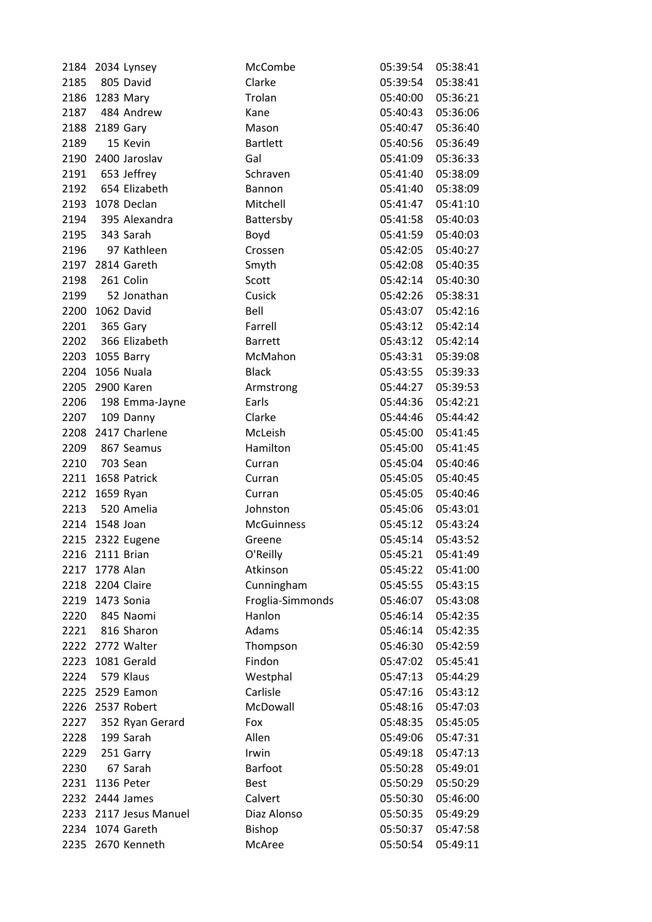|      | 2184 2034 Lynsey  | McCombe           | 05:39:54          | 05:38:41 |
|------|-------------------|-------------------|-------------------|----------|
| 2185 | 805 David         | Clarke            | 05:39:54          | 05:38:41 |
|      | 2186 1283 Mary    | Trolan            | 05:40:00          | 05:36:21 |
|      | 2187 484 Andrew   | Kane              | 05:40:43          | 05:36:06 |
|      | 2188 2189 Gary    | Mason             | 05:40:47          | 05:36:40 |
| 2189 | 15 Kevin          | <b>Bartlett</b>   | 05:40:56          | 05:36:49 |
| 2190 | 2400 Jaroslav     | Gal               | 05:41:09          | 05:36:33 |
| 2191 | 653 Jeffrey       | Schraven          | 05:41:40          | 05:38:09 |
| 2192 | 654 Elizabeth     | Bannon            | 05:41:40          | 05:38:09 |
|      | 2193 1078 Declan  | Mitchell          | 05:41:47          | 05:41:10 |
| 2194 | 395 Alexandra     | Battersby         | 05:41:58          | 05:40:03 |
| 2195 | 343 Sarah         | Boyd              | 05:41:59          | 05:40:03 |
| 2196 | 97 Kathleen       | Crossen           | 05:42:05          | 05:40:27 |
|      | 2197 2814 Gareth  | Smyth             | 05:42:08          | 05:40:35 |
| 2198 | 261 Colin         | Scott             | 05:42:14          | 05:40:30 |
| 2199 | 52 Jonathan       | Cusick            | 05:42:26          | 05:38:31 |
| 2200 | 1062 David        | Bell              | 05:43:07          | 05:42:16 |
| 2201 | 365 Gary          | Farrell           | 05:43:12          | 05:42:14 |
| 2202 | 366 Elizabeth     | <b>Barrett</b>    | 05:43:12          | 05:42:14 |
|      | 2203 1055 Barry   | McMahon           | 05:43:31          | 05:39:08 |
|      | 2204 1056 Nuala   | <b>Black</b>      | 05:43:55          | 05:39:33 |
|      | 2205 2900 Karen   | Armstrong         | 05:44:27          | 05:39:53 |
| 2206 | 198 Emma-Jayne    | Earls             | 05:44:36          | 05:42:21 |
| 2207 | 109 Danny         | Clarke            | 05:44:46          | 05:44:42 |
| 2208 | 2417 Charlene     | McLeish           | 05:45:00          | 05:41:45 |
| 2209 | 867 Seamus        | Hamilton          | 05:45:00          | 05:41:45 |
| 2210 | 703 Sean          | Curran            | 05:45:04          | 05:40:46 |
| 2211 | 1658 Patrick      | Curran            | 05:45:05          | 05:40:45 |
|      | 2212 1659 Ryan    | Curran            | 05:45:05          | 05:40:46 |
| 2213 | 520 Amelia        | Johnston          | 05:45:06          | 05:43:01 |
|      | 2214 1548 Joan    | <b>McGuinness</b> | 05:45:12          | 05:43:24 |
|      | 2215 2322 Eugene  | Greene            | 05:45:14          | 05:43:52 |
|      | 2216 2111 Brian   | O'Reilly          | 05:45:21 05:41:49 |          |
| 2217 | 1778 Alan         | Atkinson          | 05:45:22          | 05:41:00 |
| 2218 | 2204 Claire       | Cunningham        | 05:45:55          | 05:43:15 |
| 2219 | 1473 Sonia        | Froglia-Simmonds  | 05:46:07          | 05:43:08 |
| 2220 | 845 Naomi         | Hanlon            | 05:46:14          | 05:42:35 |
| 2221 | 816 Sharon        | Adams             | 05:46:14          | 05:42:35 |
|      | 2222 2772 Walter  | Thompson          | 05:46:30          | 05:42:59 |
| 2223 | 1081 Gerald       | Findon            | 05:47:02          | 05:45:41 |
| 2224 | 579 Klaus         | Westphal          | 05:47:13          | 05:44:29 |
| 2225 | 2529 Eamon        | Carlisle          | 05:47:16          | 05:43:12 |
| 2226 | 2537 Robert       | McDowall          | 05:48:16          | 05:47:03 |
| 2227 | 352 Ryan Gerard   | Fox               | 05:48:35          | 05:45:05 |
| 2228 | 199 Sarah         | Allen             | 05:49:06          | 05:47:31 |
| 2229 | 251 Garry         | Irwin             | 05:49:18          | 05:47:13 |
| 2230 | 67 Sarah          | Barfoot           | 05:50:28          | 05:49:01 |
| 2231 | 1136 Peter        | <b>Best</b>       | 05:50:29          | 05:50:29 |
| 2232 | 2444 James        | Calvert           | 05:50:30          | 05:46:00 |
| 2233 | 2117 Jesus Manuel | Diaz Alonso       | 05:50:35          | 05:49:29 |
|      | 2234 1074 Gareth  | Bishop            | 05:50:37          | 05:47:58 |
| 2235 | 2670 Kenneth      | McAree            | 05:50:54          | 05:49:11 |
|      |                   |                   |                   |          |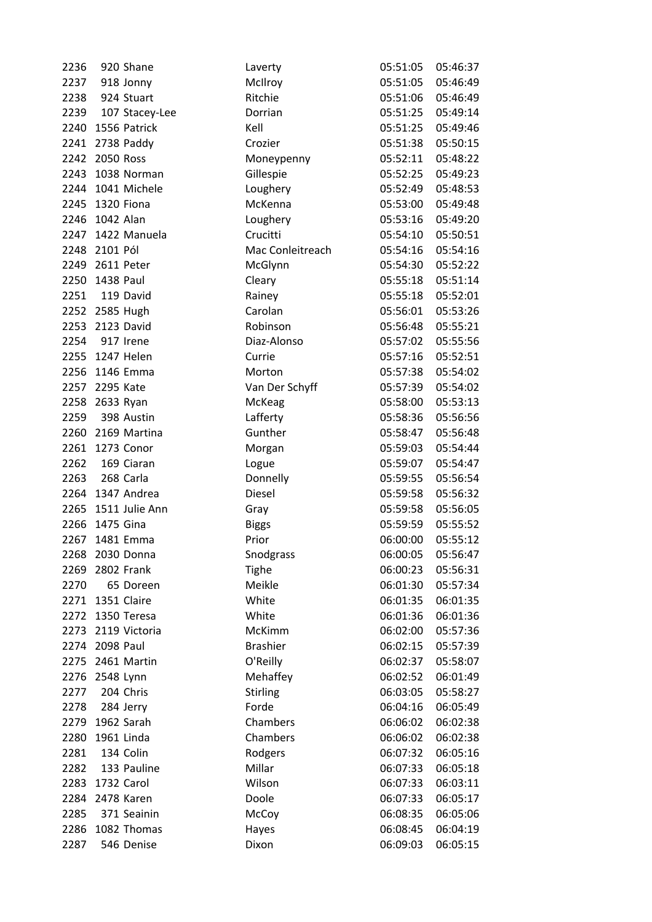| 2236 | 920 Shane         | Laverty          | 05:51:05 | 05:46:37 |
|------|-------------------|------------------|----------|----------|
| 2237 | 918 Jonny         | McIlroy          | 05:51:05 | 05:46:49 |
| 2238 | 924 Stuart        | Ritchie          | 05:51:06 | 05:46:49 |
| 2239 | 107 Stacey-Lee    | Dorrian          | 05:51:25 | 05:49:14 |
|      | 2240 1556 Patrick | Kell             | 05:51:25 | 05:49:46 |
|      | 2241 2738 Paddy   | Crozier          | 05:51:38 | 05:50:15 |
| 2242 | 2050 Ross         | Moneypenny       | 05:52:11 | 05:48:22 |
| 2243 | 1038 Norman       | Gillespie        | 05:52:25 | 05:49:23 |
|      | 2244 1041 Michele | Loughery         | 05:52:49 | 05:48:53 |
|      | 2245 1320 Fiona   | McKenna          | 05:53:00 | 05:49:48 |
| 2246 | 1042 Alan         | Loughery         | 05:53:16 | 05:49:20 |
|      | 2247 1422 Manuela | Crucitti         | 05:54:10 | 05:50:51 |
|      | 2248 2101 Pól     | Mac Conleitreach | 05:54:16 | 05:54:16 |
| 2249 | 2611 Peter        | McGlynn          | 05:54:30 | 05:52:22 |
| 2250 | 1438 Paul         | Cleary           | 05:55:18 | 05:51:14 |
| 2251 | 119 David         | Rainey           | 05:55:18 | 05:52:01 |
|      | 2252 2585 Hugh    | Carolan          | 05:56:01 | 05:53:26 |
|      | 2253 2123 David   | Robinson         | 05:56:48 | 05:55:21 |
|      | 2254 917 Irene    | Diaz-Alonso      | 05:57:02 | 05:55:56 |
| 2255 | 1247 Helen        | Currie           | 05:57:16 | 05:52:51 |
| 2256 | 1146 Emma         | Morton           | 05:57:38 | 05:54:02 |
|      | 2257 2295 Kate    | Van Der Schyff   | 05:57:39 | 05:54:02 |
| 2258 | 2633 Ryan         | McKeag           | 05:58:00 | 05:53:13 |
| 2259 | 398 Austin        | Lafferty         | 05:58:36 | 05:56:56 |
| 2260 | 2169 Martina      | Gunther          | 05:58:47 | 05:56:48 |
| 2261 | 1273 Conor        | Morgan           | 05:59:03 | 05:54:44 |
| 2262 | 169 Ciaran        | Logue            | 05:59:07 | 05:54:47 |
| 2263 | 268 Carla         | Donnelly         | 05:59:55 | 05:56:54 |
|      | 2264 1347 Andrea  | <b>Diesel</b>    | 05:59:58 | 05:56:32 |
| 2265 | 1511 Julie Ann    | Gray             | 05:59:58 | 05:56:05 |
| 2266 | 1475 Gina         | <b>Biggs</b>     | 05:59:59 | 05:55:52 |
| 2267 | 1481 Emma         | Prior            | 06:00:00 | 05:55:12 |
| 2268 | 2030 Donna        | Snodgrass        | 06:00:05 | 05:56:47 |
| 2269 | 2802 Frank        | <b>Tighe</b>     | 06:00:23 | 05:56:31 |
| 2270 | 65 Doreen         | Meikle           | 06:01:30 | 05:57:34 |
| 2271 | 1351 Claire       | White            | 06:01:35 | 06:01:35 |
| 2272 | 1350 Teresa       | White            | 06:01:36 | 06:01:36 |
| 2273 | 2119 Victoria     | McKimm           | 06:02:00 | 05:57:36 |
| 2274 | 2098 Paul         | <b>Brashier</b>  | 06:02:15 | 05:57:39 |
|      | 2275 2461 Martin  | O'Reilly         | 06:02:37 | 05:58:07 |
| 2276 | 2548 Lynn         | Mehaffey         | 06:02:52 | 06:01:49 |
| 2277 | 204 Chris         | <b>Stirling</b>  | 06:03:05 | 05:58:27 |
| 2278 | 284 Jerry         | Forde            | 06:04:16 | 06:05:49 |
| 2279 | 1962 Sarah        | Chambers         | 06:06:02 | 06:02:38 |
| 2280 | 1961 Linda        | Chambers         | 06:06:02 | 06:02:38 |
| 2281 | 134 Colin         | Rodgers          | 06:07:32 | 06:05:16 |
| 2282 | 133 Pauline       | Millar           | 06:07:33 | 06:05:18 |
| 2283 | 1732 Carol        | Wilson           | 06:07:33 | 06:03:11 |
| 2284 | 2478 Karen        | Doole            | 06:07:33 | 06:05:17 |
| 2285 | 371 Seainin       | McCoy            | 06:08:35 | 06:05:06 |
| 2286 | 1082 Thomas       | Hayes            | 06:08:45 | 06:04:19 |
| 2287 | 546 Denise        | Dixon            | 06:09:03 | 06:05:15 |
|      |                   |                  |          |          |